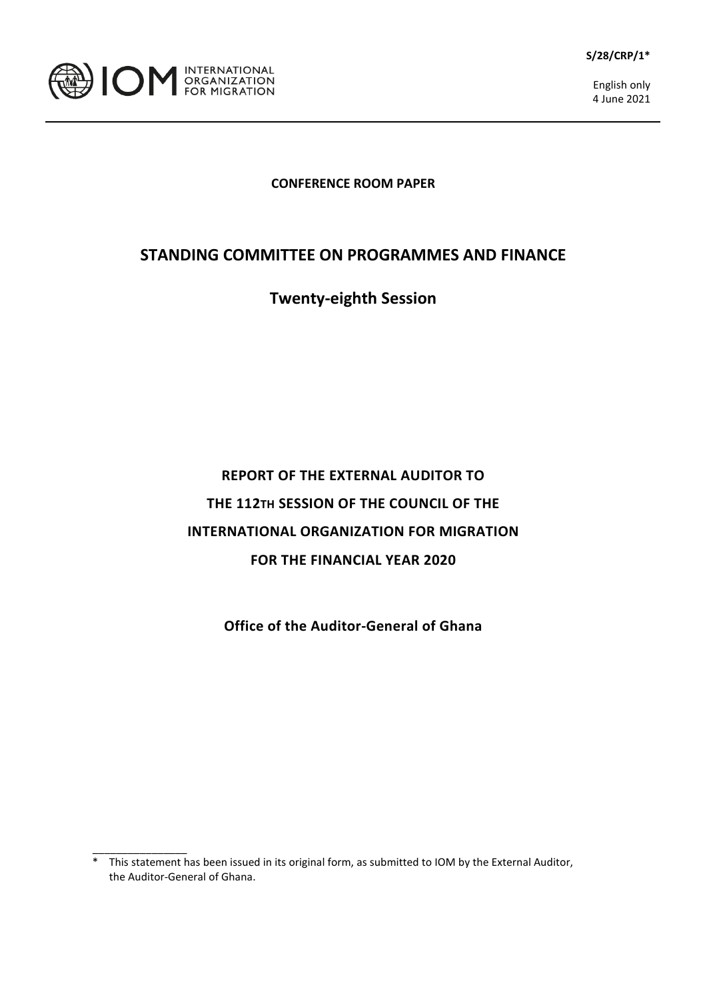



\_\_\_\_\_\_\_\_\_\_\_\_\_\_\_\_

English only 4 June 2021

## **CONFERENCE ROOM PAPER**

## **STANDING COMMITTEE ON PROGRAMMES AND FINANCE**

## **Twenty-eighth Session**

## **REPORT OF THE EXTERNAL AUDITOR TO THE 112TH SESSION OF THE COUNCIL OF THE INTERNATIONAL ORGANIZATION FOR MIGRATION FOR THE FINANCIAL YEAR 2020**

**Office of the Auditor-General of Ghana**

<sup>\*</sup> This statement has been issued in its original form, as submitted to IOM by the External Auditor, the Auditor-General of Ghana.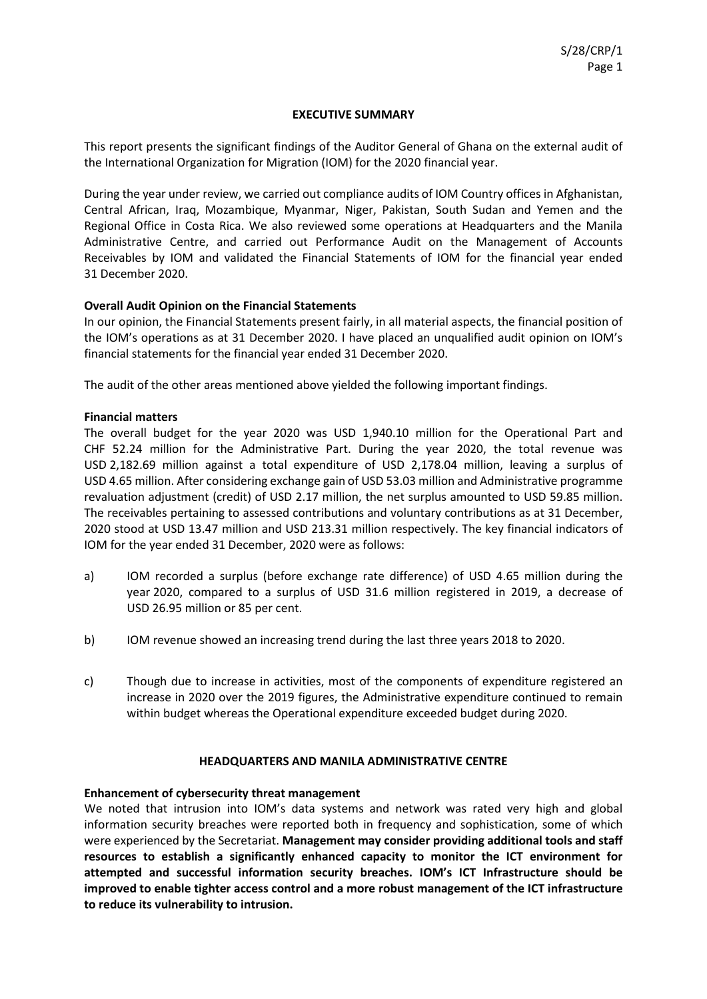#### **EXECUTIVE SUMMARY**

This report presents the significant findings of the Auditor General of Ghana on the external audit of the International Organization for Migration (IOM) for the 2020 financial year.

During the year under review, we carried out compliance audits of IOM Country offices in Afghanistan, Central African, Iraq, Mozambique, Myanmar, Niger, Pakistan, South Sudan and Yemen and the Regional Office in Costa Rica. We also reviewed some operations at Headquarters and the Manila Administrative Centre, and carried out Performance Audit on the Management of Accounts Receivables by IOM and validated the Financial Statements of IOM for the financial year ended 31 December 2020.

## **Overall Audit Opinion on the Financial Statements**

In our opinion, the Financial Statements present fairly, in all material aspects, the financial position of the IOM's operations as at 31 December 2020. I have placed an unqualified audit opinion on IOM's financial statements for the financial year ended 31 December 2020.

The audit of the other areas mentioned above yielded the following important findings.

#### **Financial matters**

The overall budget for the year 2020 was USD 1,940.10 million for the Operational Part and CHF 52.24 million for the Administrative Part. During the year 2020, the total revenue was USD 2,182.69 million against a total expenditure of USD 2,178.04 million, leaving a surplus of USD 4.65 million. After considering exchange gain of USD 53.03 million and Administrative programme revaluation adjustment (credit) of USD 2.17 million, the net surplus amounted to USD 59.85 million. The receivables pertaining to assessed contributions and voluntary contributions as at 31 December, 2020 stood at USD 13.47 million and USD 213.31 million respectively. The key financial indicators of IOM for the year ended 31 December, 2020 were as follows:

- a) IOM recorded a surplus (before exchange rate difference) of USD 4.65 million during the year 2020, compared to a surplus of USD 31.6 million registered in 2019, a decrease of USD 26.95 million or 85 per cent.
- b) IOM revenue showed an increasing trend during the last three years 2018 to 2020.
- c) Though due to increase in activities, most of the components of expenditure registered an increase in 2020 over the 2019 figures, the Administrative expenditure continued to remain within budget whereas the Operational expenditure exceeded budget during 2020.

#### **HEADQUARTERS AND MANILA ADMINISTRATIVE CENTRE**

## **Enhancement of cybersecurity threat management**

We noted that intrusion into IOM's data systems and network was rated very high and global information security breaches were reported both in frequency and sophistication, some of which were experienced by the Secretariat. **Management may consider providing additional tools and staff resources to establish a significantly enhanced capacity to monitor the ICT environment for attempted and successful information security breaches. IOM's ICT Infrastructure should be improved to enable tighter access control and a more robust management of the ICT infrastructure to reduce its vulnerability to intrusion.**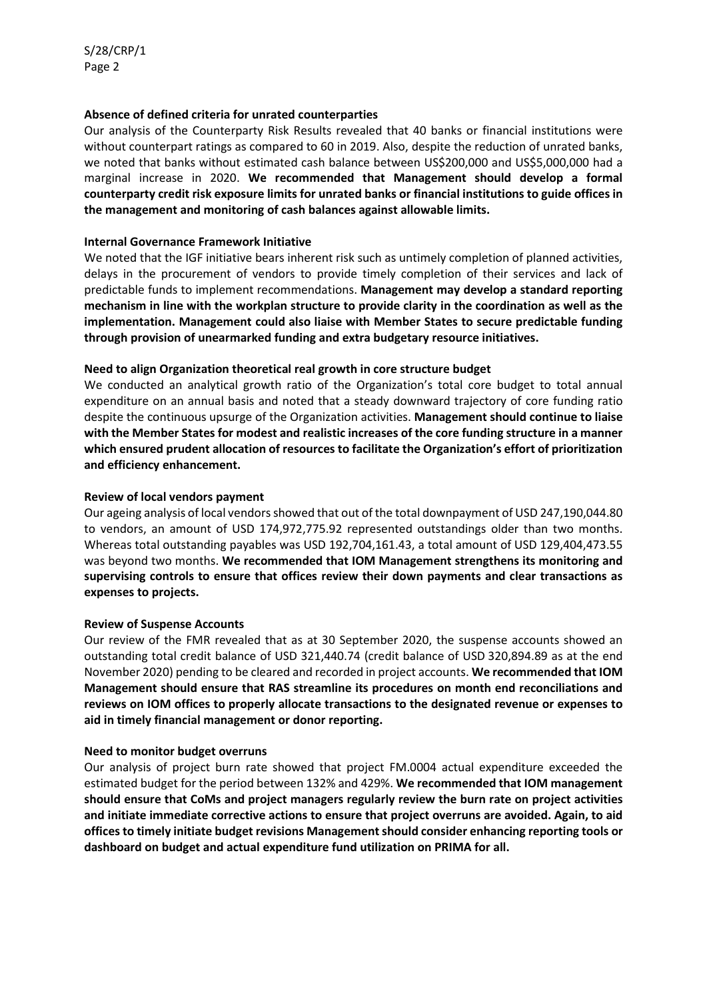## **Absence of defined criteria for unrated counterparties**

Our analysis of the Counterparty Risk Results revealed that 40 banks or financial institutions were without counterpart ratings as compared to 60 in 2019. Also, despite the reduction of unrated banks, we noted that banks without estimated cash balance between US\$200,000 and US\$5,000,000 had a marginal increase in 2020. **We recommended that Management should develop a formal counterparty credit risk exposure limits for unrated banks or financial institutions to guide offices in the management and monitoring of cash balances against allowable limits.**

## **Internal Governance Framework Initiative**

We noted that the IGF initiative bears inherent risk such as untimely completion of planned activities, delays in the procurement of vendors to provide timely completion of their services and lack of predictable funds to implement recommendations. **Management may develop a standard reporting mechanism in line with the workplan structure to provide clarity in the coordination as well as the implementation. Management could also liaise with Member States to secure predictable funding through provision of unearmarked funding and extra budgetary resource initiatives.**

## **Need to align Organization theoretical real growth in core structure budget**

We conducted an analytical growth ratio of the Organization's total core budget to total annual expenditure on an annual basis and noted that a steady downward trajectory of core funding ratio despite the continuous upsurge of the Organization activities. **Management should continue to liaise with the Member States for modest and realistic increases of the core funding structure in a manner which ensured prudent allocation of resources to facilitate the Organization's effort of prioritization and efficiency enhancement.**

## **Review of local vendors payment**

Our ageing analysis of local vendors showed that out of the total downpayment of USD 247,190,044.80 to vendors, an amount of USD 174,972,775.92 represented outstandings older than two months. Whereas total outstanding payables was USD 192,704,161.43, a total amount of USD 129,404,473.55 was beyond two months. **We recommended that IOM Management strengthens its monitoring and supervising controls to ensure that offices review their down payments and clear transactions as expenses to projects.**

## **Review of Suspense Accounts**

Our review of the FMR revealed that as at 30 September 2020, the suspense accounts showed an outstanding total credit balance of USD 321,440.74 (credit balance of USD 320,894.89 as at the end November 2020) pending to be cleared and recorded in project accounts. **We recommended that IOM Management should ensure that RAS streamline its procedures on month end reconciliations and reviews on IOM offices to properly allocate transactions to the designated revenue or expenses to aid in timely financial management or donor reporting.**

## **Need to monitor budget overruns**

Our analysis of project burn rate showed that project FM.0004 actual expenditure exceeded the estimated budget for the period between 132% and 429%. **We recommended that IOM management should ensure that CoMs and project managers regularly review the burn rate on project activities and initiate immediate corrective actions to ensure that project overruns are avoided. Again, to aid offices to timely initiate budget revisions Management should consider enhancing reporting tools or dashboard on budget and actual expenditure fund utilization on PRIMA for all.**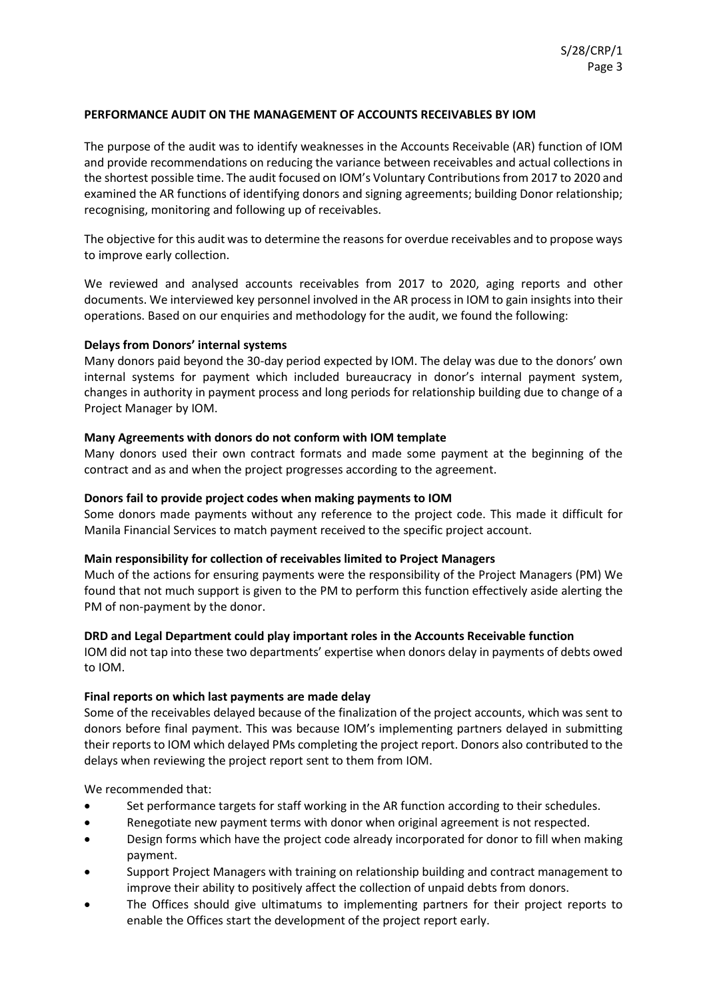## **PERFORMANCE AUDIT ON THE MANAGEMENT OF ACCOUNTS RECEIVABLES BY IOM**

The purpose of the audit was to identify weaknesses in the Accounts Receivable (AR) function of IOM and provide recommendations on reducing the variance between receivables and actual collections in the shortest possible time. The audit focused on IOM's Voluntary Contributions from 2017 to 2020 and examined the AR functions of identifying donors and signing agreements; building Donor relationship; recognising, monitoring and following up of receivables.

The objective for this audit was to determine the reasons for overdue receivables and to propose ways to improve early collection.

We reviewed and analysed accounts receivables from 2017 to 2020, aging reports and other documents. We interviewed key personnel involved in the AR process in IOM to gain insights into their operations. Based on our enquiries and methodology for the audit, we found the following:

## **Delays from Donors' internal systems**

Many donors paid beyond the 30-day period expected by IOM. The delay was due to the donors' own internal systems for payment which included bureaucracy in donor's internal payment system, changes in authority in payment process and long periods for relationship building due to change of a Project Manager by IOM.

## **Many Agreements with donors do not conform with IOM template**

Many donors used their own contract formats and made some payment at the beginning of the contract and as and when the project progresses according to the agreement.

## **Donors fail to provide project codes when making payments to IOM**

Some donors made payments without any reference to the project code. This made it difficult for Manila Financial Services to match payment received to the specific project account.

## **Main responsibility for collection of receivables limited to Project Managers**

Much of the actions for ensuring payments were the responsibility of the Project Managers (PM) We found that not much support is given to the PM to perform this function effectively aside alerting the PM of non-payment by the donor.

## **DRD and Legal Department could play important roles in the Accounts Receivable function**

IOM did not tap into these two departments' expertise when donors delay in payments of debts owed to IOM.

## **Final reports on which last payments are made delay**

Some of the receivables delayed because of the finalization of the project accounts, which was sent to donors before final payment. This was because IOM's implementing partners delayed in submitting their reports to IOM which delayed PMs completing the project report. Donors also contributed to the delays when reviewing the project report sent to them from IOM.

We recommended that:

- Set performance targets for staff working in the AR function according to their schedules.
- Renegotiate new payment terms with donor when original agreement is not respected.
- Design forms which have the project code already incorporated for donor to fill when making payment.
- Support Project Managers with training on relationship building and contract management to improve their ability to positively affect the collection of unpaid debts from donors.
- The Offices should give ultimatums to implementing partners for their project reports to enable the Offices start the development of the project report early.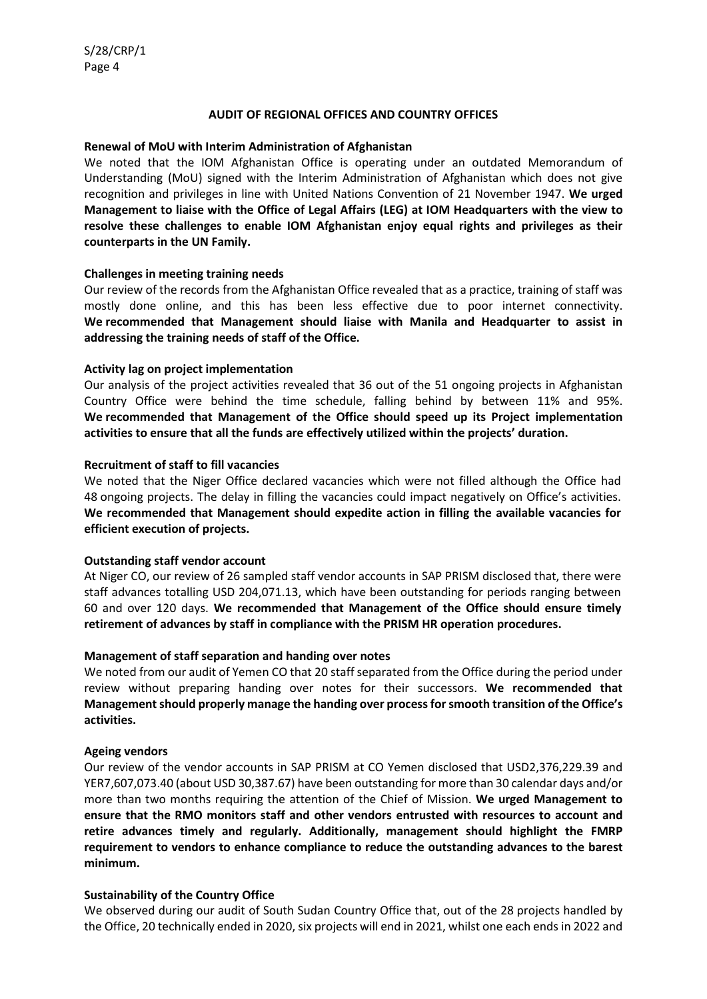## **AUDIT OF REGIONAL OFFICES AND COUNTRY OFFICES**

#### **Renewal of MoU with Interim Administration of Afghanistan**

We noted that the IOM Afghanistan Office is operating under an outdated Memorandum of Understanding (MoU) signed with the Interim Administration of Afghanistan which does not give recognition and privileges in line with United Nations Convention of 21 November 1947. **We urged Management to liaise with the Office of Legal Affairs (LEG) at IOM Headquarters with the view to resolve these challenges to enable IOM Afghanistan enjoy equal rights and privileges as their counterparts in the UN Family.**

#### **Challenges in meeting training needs**

Our review of the records from the Afghanistan Office revealed that as a practice, training of staff was mostly done online, and this has been less effective due to poor internet connectivity. **We recommended that Management should liaise with Manila and Headquarter to assist in addressing the training needs of staff of the Office.**

#### **Activity lag on project implementation**

Our analysis of the project activities revealed that 36 out of the 51 ongoing projects in Afghanistan Country Office were behind the time schedule, falling behind by between 11% and 95%. **We recommended that Management of the Office should speed up its Project implementation activities to ensure that all the funds are effectively utilized within the projects' duration.**

#### **Recruitment of staff to fill vacancies**

We noted that the Niger Office declared vacancies which were not filled although the Office had 48 ongoing projects. The delay in filling the vacancies could impact negatively on Office's activities. **We recommended that Management should expedite action in filling the available vacancies for efficient execution of projects.**

## **Outstanding staff vendor account**

At Niger CO, our review of 26 sampled staff vendor accounts in SAP PRISM disclosed that, there were staff advances totalling USD 204,071.13, which have been outstanding for periods ranging between 60 and over 120 days. **We recommended that Management of the Office should ensure timely retirement of advances by staff in compliance with the PRISM HR operation procedures.**

## **Management of staff separation and handing over notes**

We noted from our audit of Yemen CO that 20 staff separated from the Office during the period under review without preparing handing over notes for their successors. **We recommended that Management should properly manage the handing over process for smooth transition of the Office's activities.**

#### **Ageing vendors**

Our review of the vendor accounts in SAP PRISM at CO Yemen disclosed that USD2,376,229.39 and YER7,607,073.40 (about USD 30,387.67) have been outstanding for more than 30 calendar days and/or more than two months requiring the attention of the Chief of Mission. **We urged Management to ensure that the RMO monitors staff and other vendors entrusted with resources to account and retire advances timely and regularly. Additionally, management should highlight the FMRP requirement to vendors to enhance compliance to reduce the outstanding advances to the barest minimum.**

## **Sustainability of the Country Office**

We observed during our audit of South Sudan Country Office that, out of the 28 projects handled by the Office, 20 technically ended in 2020, six projects will end in 2021, whilst one each ends in 2022 and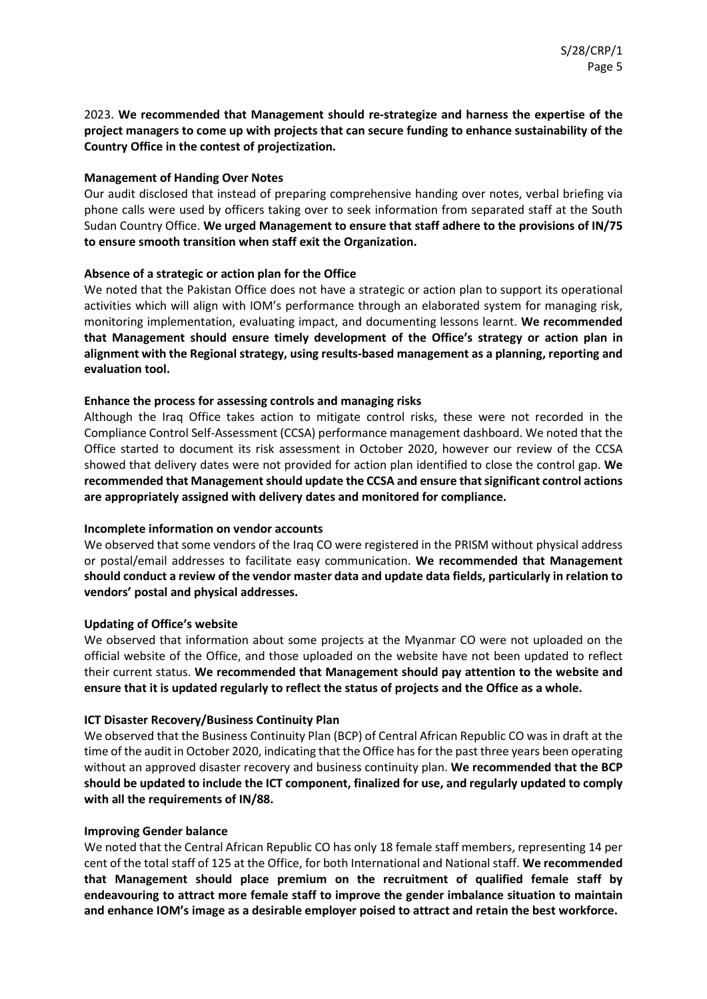2023. **We recommended that Management should re-strategize and harness the expertise of the project managers to come up with projects that can secure funding to enhance sustainability of the Country Office in the contest of projectization.**

## **Management of Handing Over Notes**

Our audit disclosed that instead of preparing comprehensive handing over notes, verbal briefing via phone calls were used by officers taking over to seek information from separated staff at the South Sudan Country Office. **We urged Management to ensure that staff adhere to the provisions of IN/75 to ensure smooth transition when staff exit the Organization.**

## **Absence of a strategic or action plan for the Office**

We noted that the Pakistan Office does not have a strategic or action plan to support its operational activities which will align with IOM's performance through an elaborated system for managing risk, monitoring implementation, evaluating impact, and documenting lessons learnt. **We recommended that Management should ensure timely development of the Office's strategy or action plan in alignment with the Regional strategy, using results-based management as a planning, reporting and evaluation tool.**

## **Enhance the process for assessing controls and managing risks**

Although the Iraq Office takes action to mitigate control risks, these were not recorded in the Compliance Control Self-Assessment (CCSA) performance management dashboard. We noted that the Office started to document its risk assessment in October 2020, however our review of the CCSA showed that delivery dates were not provided for action plan identified to close the control gap. **We recommended that Management should update the CCSA and ensure that significant control actions are appropriately assigned with delivery dates and monitored for compliance.**

## **Incomplete information on vendor accounts**

We observed that some vendors of the Iraq CO were registered in the PRISM without physical address or postal/email addresses to facilitate easy communication. **We recommended that Management should conduct a review of the vendor master data and update data fields, particularly in relation to vendors' postal and physical addresses.**

## **Updating of Office's website**

We observed that information about some projects at the Myanmar CO were not uploaded on the official website of the Office, and those uploaded on the website have not been updated to reflect their current status. **We recommended that Management should pay attention to the website and ensure that it is updated regularly to reflect the status of projects and the Office as a whole.**

## **ICT Disaster Recovery/Business Continuity Plan**

We observed that the Business Continuity Plan (BCP) of Central African Republic CO was in draft at the time of the audit in October 2020, indicating that the Office has for the past three years been operating without an approved disaster recovery and business continuity plan. **We recommended that the BCP should be updated to include the ICT component, finalized for use, and regularly updated to comply with all the requirements of IN/88.**

## **Improving Gender balance**

We noted that the Central African Republic CO has only 18 female staff members, representing 14 per cent of the total staff of 125 at the Office, for both International and National staff. **We recommended that Management should place premium on the recruitment of qualified female staff by endeavouring to attract more female staff to improve the gender imbalance situation to maintain and enhance IOM's image as a desirable employer poised to attract and retain the best workforce.**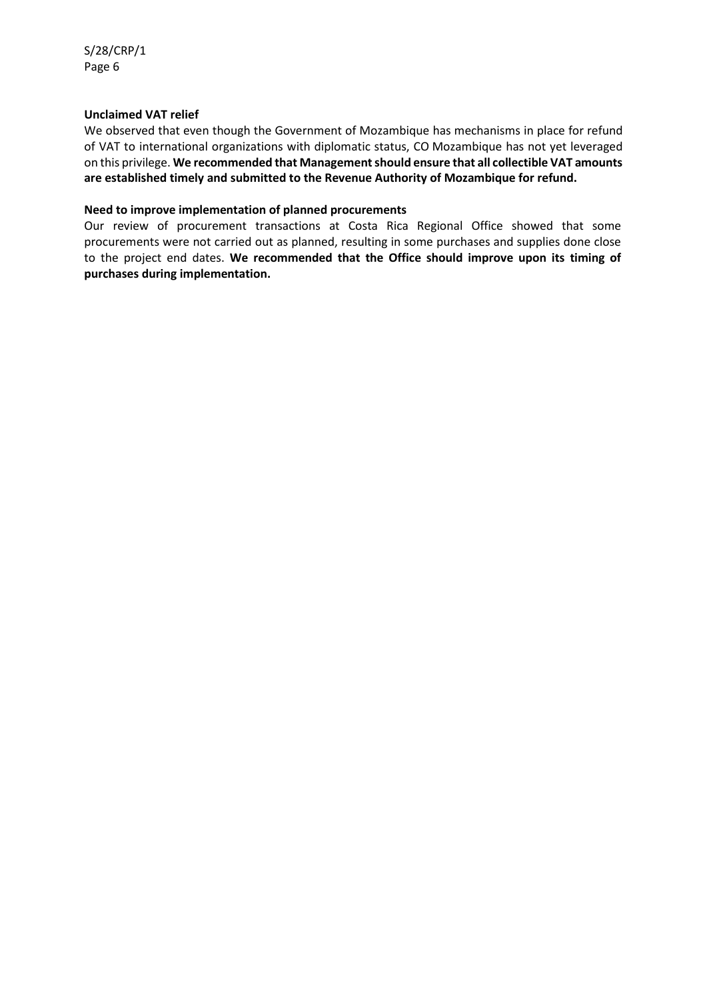## **Unclaimed VAT relief**

We observed that even though the Government of Mozambique has mechanisms in place for refund of VAT to international organizations with diplomatic status, CO Mozambique has not yet leveraged on this privilege. **We recommended that Management should ensure that all collectible VAT amounts are established timely and submitted to the Revenue Authority of Mozambique for refund.**

## **Need to improve implementation of planned procurements**

Our review of procurement transactions at Costa Rica Regional Office showed that some procurements were not carried out as planned, resulting in some purchases and supplies done close to the project end dates. **We recommended that the Office should improve upon its timing of purchases during implementation.**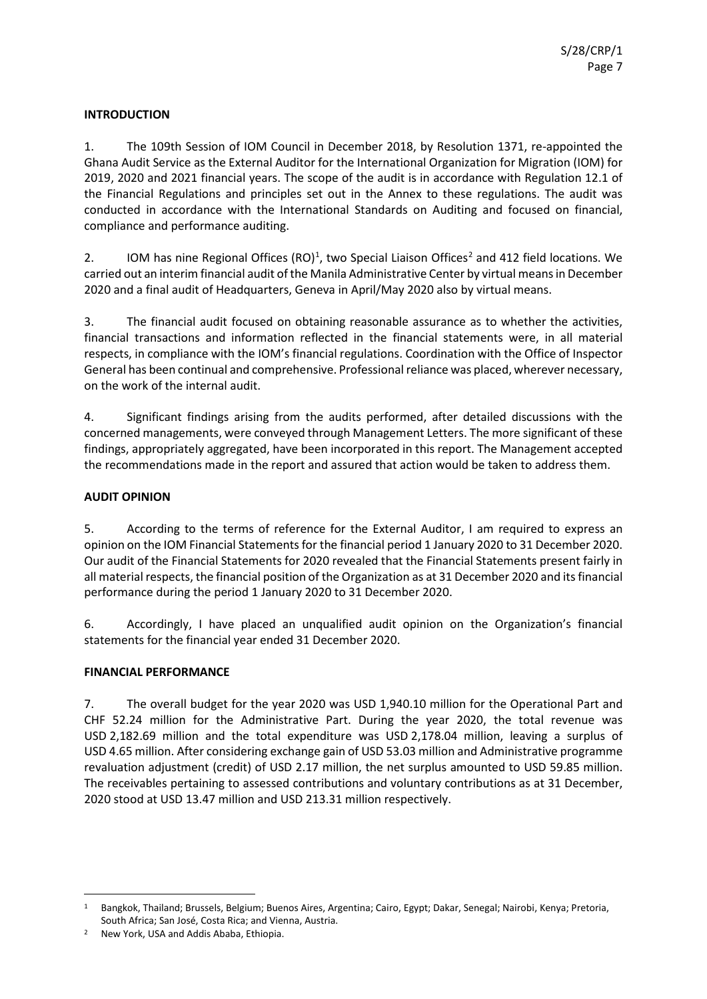## **INTRODUCTION**

1. The 109th Session of IOM Council in December 2018, by Resolution 1371, re-appointed the Ghana Audit Service as the External Auditor for the International Organization for Migration (IOM) for 2019, 2020 and 2021 financial years. The scope of the audit is in accordance with Regulation 12.1 of the Financial Regulations and principles set out in the Annex to these regulations. The audit was conducted in accordance with the International Standards on Auditing and focused on financial, compliance and performance auditing.

[2](#page-8-1). IOM has nine Regional Offices  $(RO)^1$  $(RO)^1$ , two Special Liaison Offices<sup>2</sup> and 412 field locations. We carried out an interim financial audit of the Manila Administrative Center by virtual means in December 2020 and a final audit of Headquarters, Geneva in April/May 2020 also by virtual means.

3. The financial audit focused on obtaining reasonable assurance as to whether the activities, financial transactions and information reflected in the financial statements were, in all material respects, in compliance with the IOM's financial regulations. Coordination with the Office of Inspector General has been continual and comprehensive. Professional reliance was placed, wherever necessary, on the work of the internal audit.

4. Significant findings arising from the audits performed, after detailed discussions with the concerned managements, were conveyed through Management Letters. The more significant of these findings, appropriately aggregated, have been incorporated in this report. The Management accepted the recommendations made in the report and assured that action would be taken to address them.

## **AUDIT OPINION**

5. According to the terms of reference for the External Auditor, I am required to express an opinion on the IOM Financial Statements for the financial period 1 January 2020 to 31 December 2020. Our audit of the Financial Statements for 2020 revealed that the Financial Statements present fairly in all material respects, the financial position of the Organization as at 31 December 2020 and its financial performance during the period 1 January 2020 to 31 December 2020.

6. Accordingly, I have placed an unqualified audit opinion on the Organization's financial statements for the financial year ended 31 December 2020.

## **FINANCIAL PERFORMANCE**

7. The overall budget for the year 2020 was USD 1,940.10 million for the Operational Part and CHF 52.24 million for the Administrative Part. During the year 2020, the total revenue was USD 2,182.69 million and the total expenditure was USD 2,178.04 million, leaving a surplus of USD 4.65 million. After considering exchange gain of USD 53.03 million and Administrative programme revaluation adjustment (credit) of USD 2.17 million, the net surplus amounted to USD 59.85 million. The receivables pertaining to assessed contributions and voluntary contributions as at 31 December, 2020 stood at USD 13.47 million and USD 213.31 million respectively.

<span id="page-8-0"></span><sup>1</sup> Bangkok, Thailand; Brussels, Belgium; Buenos Aires, Argentina; Cairo, Egypt; Dakar, Senegal; Nairobi, Kenya; Pretoria, South Africa; San José, Costa Rica; and Vienna, Austria.

<span id="page-8-1"></span><sup>2</sup> New York, USA and Addis Ababa, Ethiopia.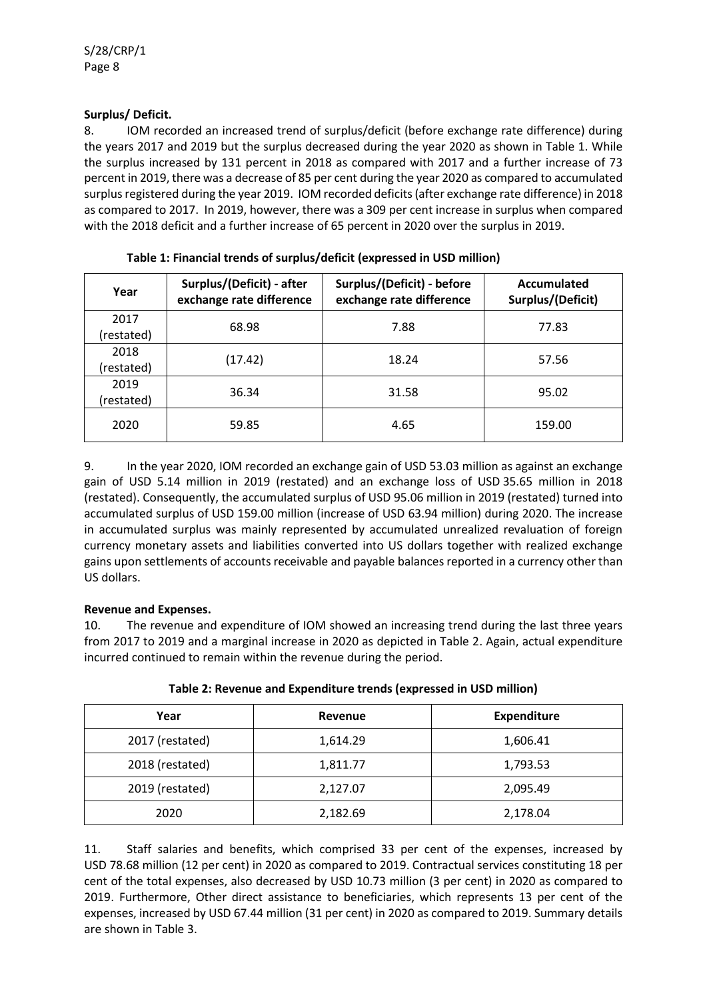## **Surplus/ Deficit.**

8. IOM recorded an increased trend of surplus/deficit (before exchange rate difference) during the years 2017 and 2019 but the surplus decreased during the year 2020 as shown in Table 1. While the surplus increased by 131 percent in 2018 as compared with 2017 and a further increase of 73 percent in 2019, there was a decrease of 85 per cent during the year 2020 as compared to accumulated surplus registered during the year 2019. IOM recorded deficits (after exchange rate difference) in 2018 as compared to 2017. In 2019, however, there was a 309 per cent increase in surplus when compared with the 2018 deficit and a further increase of 65 percent in 2020 over the surplus in 2019.

| Year       | Surplus/(Deficit) - after<br>exchange rate difference | Surplus/(Deficit) - before<br>exchange rate difference | Accumulated<br>Surplus/(Deficit) |  |
|------------|-------------------------------------------------------|--------------------------------------------------------|----------------------------------|--|
| 2017       | 68.98                                                 | 7.88                                                   | 77.83                            |  |
| (restated) |                                                       |                                                        |                                  |  |
| 2018       | (17.42)                                               | 18.24                                                  | 57.56                            |  |
| (restated) |                                                       |                                                        |                                  |  |
| 2019       | 36.34                                                 | 31.58                                                  | 95.02                            |  |
| (restated) |                                                       |                                                        |                                  |  |
| 2020       | 59.85                                                 | 4.65                                                   | 159.00                           |  |

**Table 1: Financial trends of surplus/deficit (expressed in USD million)**

9. In the year 2020, IOM recorded an exchange gain of USD 53.03 million as against an exchange gain of USD 5.14 million in 2019 (restated) and an exchange loss of USD 35.65 million in 2018 (restated). Consequently, the accumulated surplus of USD 95.06 million in 2019 (restated) turned into accumulated surplus of USD 159.00 million (increase of USD 63.94 million) during 2020. The increase in accumulated surplus was mainly represented by accumulated unrealized revaluation of foreign currency monetary assets and liabilities converted into US dollars together with realized exchange gains upon settlements of accounts receivable and payable balances reported in a currency other than US dollars.

## **Revenue and Expenses.**

10. The revenue and expenditure of IOM showed an increasing trend during the last three years from 2017 to 2019 and a marginal increase in 2020 as depicted in Table 2. Again, actual expenditure incurred continued to remain within the revenue during the period.

| Year            | Revenue  | <b>Expenditure</b> |
|-----------------|----------|--------------------|
| 2017 (restated) | 1,614.29 | 1,606.41           |
| 2018 (restated) | 1,811.77 | 1,793.53           |
| 2019 (restated) | 2,127.07 | 2,095.49           |
| 2020            | 2,182.69 | 2,178.04           |

**Table 2: Revenue and Expenditure trends (expressed in USD million)**

11. Staff salaries and benefits, which comprised 33 per cent of the expenses, increased by USD 78.68 million (12 per cent) in 2020 as compared to 2019. Contractual services constituting 18 per cent of the total expenses, also decreased by USD 10.73 million (3 per cent) in 2020 as compared to 2019. Furthermore, Other direct assistance to beneficiaries, which represents 13 per cent of the expenses, increased by USD 67.44 million (31 per cent) in 2020 as compared to 2019. Summary details are shown in Table 3.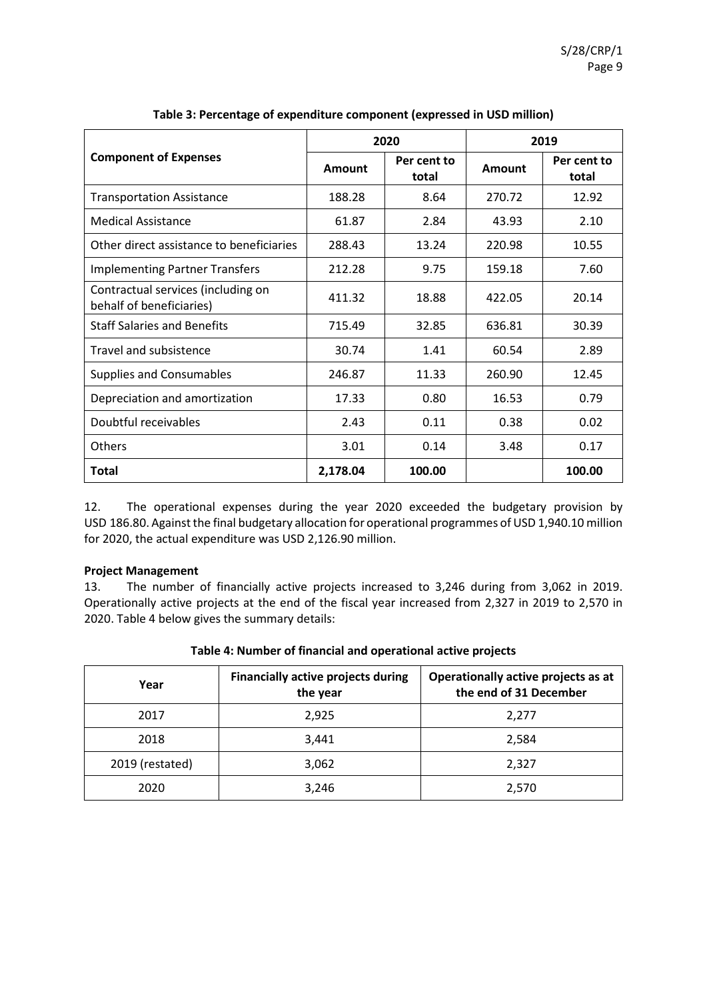|                                                                |          | 2020                 |        | 2019                 |  |
|----------------------------------------------------------------|----------|----------------------|--------|----------------------|--|
| <b>Component of Expenses</b>                                   | Amount   | Per cent to<br>total | Amount | Per cent to<br>total |  |
| <b>Transportation Assistance</b>                               | 188.28   | 8.64                 | 270.72 | 12.92                |  |
| Medical Assistance                                             | 61.87    | 2.84                 | 43.93  | 2.10                 |  |
| Other direct assistance to beneficiaries                       | 288.43   | 13.24                | 220.98 | 10.55                |  |
| <b>Implementing Partner Transfers</b>                          | 212.28   | 9.75                 | 159.18 | 7.60                 |  |
| Contractual services (including on<br>behalf of beneficiaries) | 411.32   | 18.88                | 422.05 | 20.14                |  |
| <b>Staff Salaries and Benefits</b>                             | 715.49   | 32.85                | 636.81 | 30.39                |  |
| <b>Travel and subsistence</b>                                  | 30.74    | 1.41                 | 60.54  | 2.89                 |  |
| Supplies and Consumables                                       | 246.87   | 11.33                | 260.90 | 12.45                |  |
| Depreciation and amortization                                  | 17.33    | 0.80                 | 16.53  | 0.79                 |  |
| Doubtful receivables                                           | 2.43     | 0.11                 | 0.38   | 0.02                 |  |
| Others                                                         | 3.01     | 0.14                 | 3.48   | 0.17                 |  |
| <b>Total</b>                                                   | 2,178.04 | 100.00               |        | 100.00               |  |

12. The operational expenses during the year 2020 exceeded the budgetary provision by USD 186.80. Against the final budgetary allocation for operational programmes of USD 1,940.10 million for 2020, the actual expenditure was USD 2,126.90 million.

## **Project Management**

13. The number of financially active projects increased to 3,246 during from 3,062 in 2019. Operationally active projects at the end of the fiscal year increased from 2,327 in 2019 to 2,570 in 2020. Table 4 below gives the summary details:

| Year            | <b>Financially active projects during</b><br>the year | Operationally active projects as at<br>the end of 31 December |
|-----------------|-------------------------------------------------------|---------------------------------------------------------------|
| 2017            | 2,925                                                 | 2,277                                                         |
| 2018            | 3,441                                                 | 2,584                                                         |
| 2019 (restated) | 3,062                                                 | 2,327                                                         |
| 2020            | 3,246                                                 | 2,570                                                         |

## **Table 4: Number of financial and operational active projects**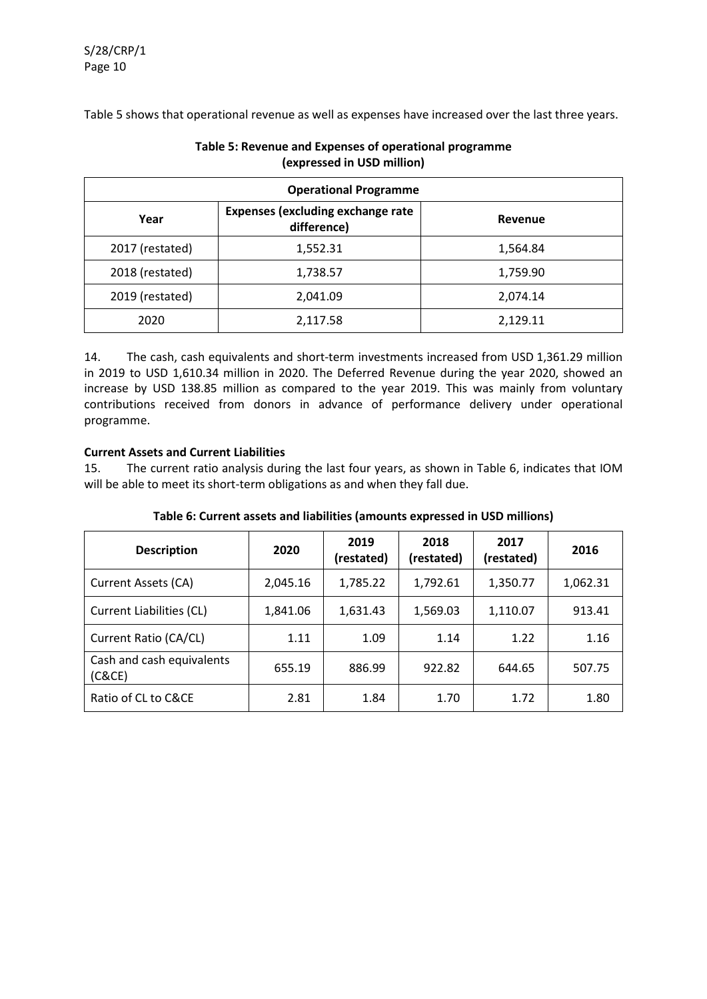Table 5 shows that operational revenue as well as expenses have increased over the last three years.

| <b>Operational Programme</b> |                                                         |          |  |  |
|------------------------------|---------------------------------------------------------|----------|--|--|
| Year                         | <b>Expenses (excluding exchange rate</b><br>difference) | Revenue  |  |  |
| 2017 (restated)              | 1,552.31                                                | 1,564.84 |  |  |
| 2018 (restated)              | 1,738.57                                                | 1,759.90 |  |  |
| 2019 (restated)              | 2,041.09                                                | 2,074.14 |  |  |
| 2020                         | 2,117.58                                                | 2,129.11 |  |  |

## **Table 5: Revenue and Expenses of operational programme (expressed in USD million)**

14. The cash, cash equivalents and short-term investments increased from USD 1,361.29 million in 2019 to USD 1,610.34 million in 2020. The Deferred Revenue during the year 2020, showed an increase by USD 138.85 million as compared to the year 2019. This was mainly from voluntary contributions received from donors in advance of performance delivery under operational programme.

## **Current Assets and Current Liabilities**

15. The current ratio analysis during the last four years, as shown in Table 6, indicates that IOM will be able to meet its short-term obligations as and when they fall due.

| <b>Description</b>                  | 2020     | 2019<br>(restated) | 2018<br>(restated) | 2017<br>(restated) | 2016     |
|-------------------------------------|----------|--------------------|--------------------|--------------------|----------|
| Current Assets (CA)                 | 2,045.16 | 1,785.22           | 1,792.61           | 1,350.77           | 1,062.31 |
| Current Liabilities (CL)            | 1,841.06 | 1,631.43           | 1,569.03           | 1,110.07           | 913.41   |
| Current Ratio (CA/CL)               | 1.11     | 1.09               | 1.14               | 1.22               | 1.16     |
| Cash and cash equivalents<br>(C&CE) | 655.19   | 886.99             | 922.82             | 644.65             | 507.75   |
| Ratio of CL to C&CE                 | 2.81     | 1.84               | 1.70               | 1.72               | 1.80     |

## **Table 6: Current assets and liabilities (amounts expressed in USD millions)**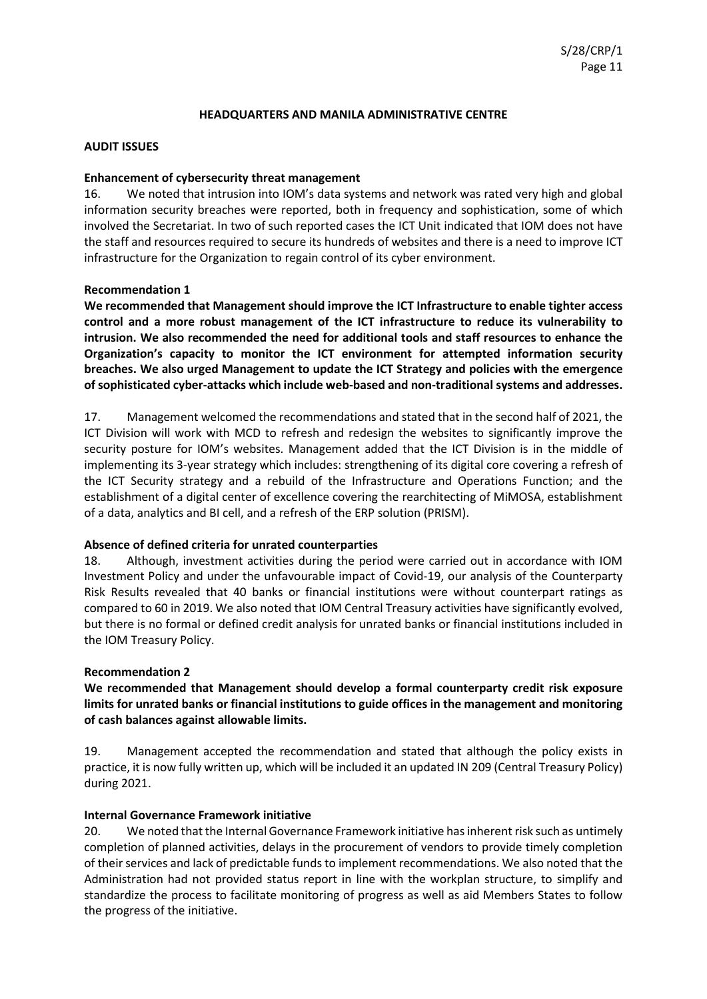#### **HEADQUARTERS AND MANILA ADMINISTRATIVE CENTRE**

## **AUDIT ISSUES**

#### **Enhancement of cybersecurity threat management**

16. We noted that intrusion into IOM's data systems and network was rated very high and global information security breaches were reported, both in frequency and sophistication, some of which involved the Secretariat. In two of such reported cases the ICT Unit indicated that IOM does not have the staff and resources required to secure its hundreds of websites and there is a need to improve ICT infrastructure for the Organization to regain control of its cyber environment.

## **Recommendation 1**

**We recommended that Management should improve the ICT Infrastructure to enable tighter access control and a more robust management of the ICT infrastructure to reduce its vulnerability to intrusion. We also recommended the need for additional tools and staff resources to enhance the Organization's capacity to monitor the ICT environment for attempted information security breaches. We also urged Management to update the ICT Strategy and policies with the emergence of sophisticated cyber-attacks which include web-based and non-traditional systems and addresses.**

17. Management welcomed the recommendations and stated that in the second half of 2021, the ICT Division will work with MCD to refresh and redesign the websites to significantly improve the security posture for IOM's websites. Management added that the ICT Division is in the middle of implementing its 3-year strategy which includes: strengthening of its digital core covering a refresh of the ICT Security strategy and a rebuild of the Infrastructure and Operations Function; and the establishment of a digital center of excellence covering the rearchitecting of MiMOSA, establishment of a data, analytics and BI cell, and a refresh of the ERP solution (PRISM).

#### **Absence of defined criteria for unrated counterparties**

18. Although, investment activities during the period were carried out in accordance with IOM Investment Policy and under the unfavourable impact of Covid-19, our analysis of the Counterparty Risk Results revealed that 40 banks or financial institutions were without counterpart ratings as compared to 60 in 2019. We also noted that IOM Central Treasury activities have significantly evolved, but there is no formal or defined credit analysis for unrated banks or financial institutions included in the IOM Treasury Policy.

#### **Recommendation 2**

**We recommended that Management should develop a formal counterparty credit risk exposure limits for unrated banks or financial institutions to guide offices in the management and monitoring of cash balances against allowable limits.**

19. Management accepted the recommendation and stated that although the policy exists in practice, it is now fully written up, which will be included it an updated IN 209 (Central Treasury Policy) during 2021.

## **Internal Governance Framework initiative**

20. We noted that the Internal Governance Framework initiative has inherent risk such as untimely completion of planned activities, delays in the procurement of vendors to provide timely completion of their services and lack of predictable funds to implement recommendations. We also noted that the Administration had not provided status report in line with the workplan structure, to simplify and standardize the process to facilitate monitoring of progress as well as aid Members States to follow the progress of the initiative.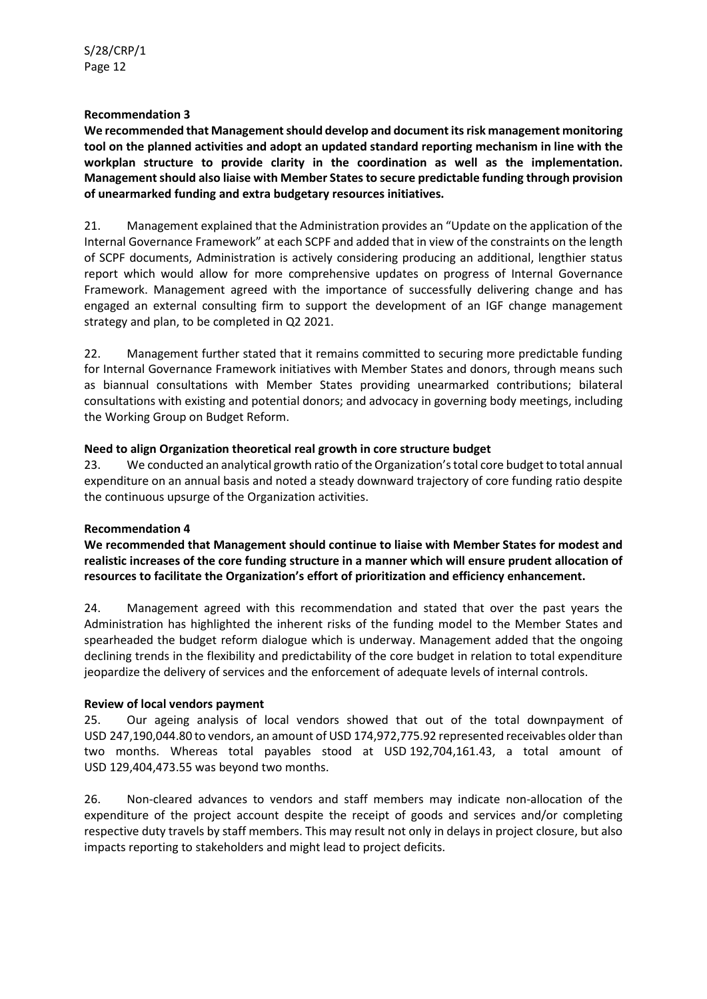**We recommended that Management should develop and document its risk management monitoring tool on the planned activities and adopt an updated standard reporting mechanism in line with the workplan structure to provide clarity in the coordination as well as the implementation. Management should also liaise with Member States to secure predictable funding through provision of unearmarked funding and extra budgetary resources initiatives.**

21. Management explained that the Administration provides an "Update on the application of the Internal Governance Framework" at each SCPF and added that in view of the constraints on the length of SCPF documents, Administration is actively considering producing an additional, lengthier status report which would allow for more comprehensive updates on progress of Internal Governance Framework. Management agreed with the importance of successfully delivering change and has engaged an external consulting firm to support the development of an IGF change management strategy and plan, to be completed in Q2 2021.

22. Management further stated that it remains committed to securing more predictable funding for Internal Governance Framework initiatives with Member States and donors, through means such as biannual consultations with Member States providing unearmarked contributions; bilateral consultations with existing and potential donors; and advocacy in governing body meetings, including the Working Group on Budget Reform.

## **Need to align Organization theoretical real growth in core structure budget**

23. We conducted an analytical growth ratio of the Organization's total core budget to total annual expenditure on an annual basis and noted a steady downward trajectory of core funding ratio despite the continuous upsurge of the Organization activities.

## **Recommendation 4**

**We recommended that Management should continue to liaise with Member States for modest and realistic increases of the core funding structure in a manner which will ensure prudent allocation of resources to facilitate the Organization's effort of prioritization and efficiency enhancement.**

24. Management agreed with this recommendation and stated that over the past years the Administration has highlighted the inherent risks of the funding model to the Member States and spearheaded the budget reform dialogue which is underway. Management added that the ongoing declining trends in the flexibility and predictability of the core budget in relation to total expenditure jeopardize the delivery of services and the enforcement of adequate levels of internal controls.

## **Review of local vendors payment**

25. Our ageing analysis of local vendors showed that out of the total downpayment of USD 247,190,044.80 to vendors, an amount of USD 174,972,775.92 represented receivables older than two months. Whereas total payables stood at USD 192,704,161.43, a total amount of USD 129,404,473.55 was beyond two months.

26. Non-cleared advances to vendors and staff members may indicate non-allocation of the expenditure of the project account despite the receipt of goods and services and/or completing respective duty travels by staff members. This may result not only in delays in project closure, but also impacts reporting to stakeholders and might lead to project deficits.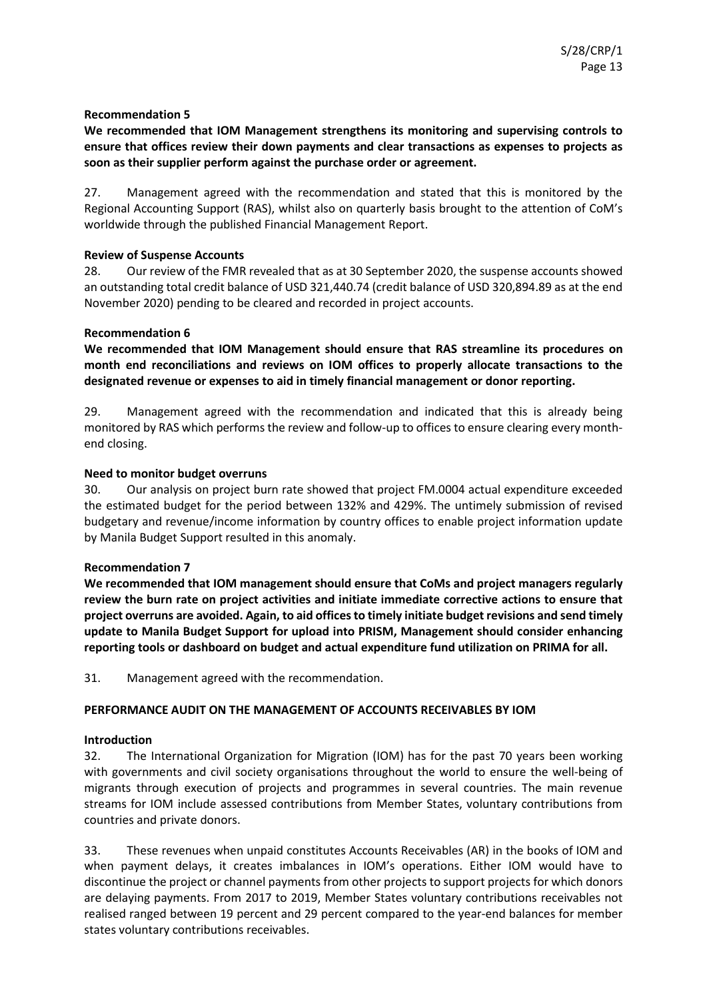## **We recommended that IOM Management strengthens its monitoring and supervising controls to ensure that offices review their down payments and clear transactions as expenses to projects as soon as their supplier perform against the purchase order or agreement.**

27. Management agreed with the recommendation and stated that this is monitored by the Regional Accounting Support (RAS), whilst also on quarterly basis brought to the attention of CoM's worldwide through the published Financial Management Report.

## **Review of Suspense Accounts**

28. Our review of the FMR revealed that as at 30 September 2020, the suspense accounts showed an outstanding total credit balance of USD 321,440.74 (credit balance of USD 320,894.89 as at the end November 2020) pending to be cleared and recorded in project accounts.

## **Recommendation 6**

**We recommended that IOM Management should ensure that RAS streamline its procedures on month end reconciliations and reviews on IOM offices to properly allocate transactions to the designated revenue or expenses to aid in timely financial management or donor reporting.**

29. Management agreed with the recommendation and indicated that this is already being monitored by RAS which performs the review and follow-up to offices to ensure clearing every monthend closing.

## **Need to monitor budget overruns**

30. Our analysis on project burn rate showed that project FM.0004 actual expenditure exceeded the estimated budget for the period between 132% and 429%. The untimely submission of revised budgetary and revenue/income information by country offices to enable project information update by Manila Budget Support resulted in this anomaly.

## **Recommendation 7**

**We recommended that IOM management should ensure that CoMs and project managers regularly review the burn rate on project activities and initiate immediate corrective actions to ensure that project overruns are avoided. Again, to aid offices to timely initiate budget revisions and send timely update to Manila Budget Support for upload into PRISM, Management should consider enhancing reporting tools or dashboard on budget and actual expenditure fund utilization on PRIMA for all.**

31. Management agreed with the recommendation.

## **PERFORMANCE AUDIT ON THE MANAGEMENT OF ACCOUNTS RECEIVABLES BY IOM**

## **Introduction**

32. The International Organization for Migration (IOM) has for the past 70 years been working with governments and civil society organisations throughout the world to ensure the well-being of migrants through execution of projects and programmes in several countries. The main revenue streams for IOM include assessed contributions from Member States, voluntary contributions from countries and private donors.

33. These revenues when unpaid constitutes Accounts Receivables (AR) in the books of IOM and when payment delays, it creates imbalances in IOM's operations. Either IOM would have to discontinue the project or channel payments from other projects to support projects for which donors are delaying payments. From 2017 to 2019, Member States voluntary contributions receivables not realised ranged between 19 percent and 29 percent compared to the year-end balances for member states voluntary contributions receivables.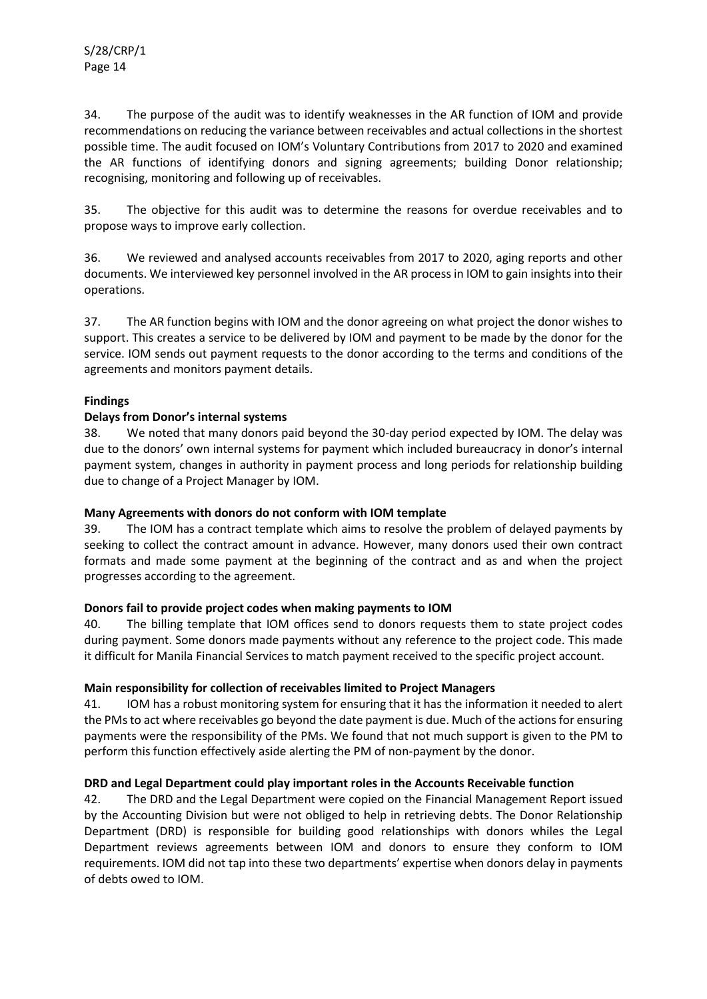34. The purpose of the audit was to identify weaknesses in the AR function of IOM and provide recommendations on reducing the variance between receivables and actual collections in the shortest possible time. The audit focused on IOM's Voluntary Contributions from 2017 to 2020 and examined the AR functions of identifying donors and signing agreements; building Donor relationship; recognising, monitoring and following up of receivables.

35. The objective for this audit was to determine the reasons for overdue receivables and to propose ways to improve early collection.

36. We reviewed and analysed accounts receivables from 2017 to 2020, aging reports and other documents. We interviewed key personnel involved in the AR process in IOM to gain insights into their operations.

37. The AR function begins with IOM and the donor agreeing on what project the donor wishes to support. This creates a service to be delivered by IOM and payment to be made by the donor for the service. IOM sends out payment requests to the donor according to the terms and conditions of the agreements and monitors payment details.

## **Findings**

## **Delays from Donor's internal systems**

38. We noted that many donors paid beyond the 30-day period expected by IOM. The delay was due to the donors' own internal systems for payment which included bureaucracy in donor's internal payment system, changes in authority in payment process and long periods for relationship building due to change of a Project Manager by IOM.

## **Many Agreements with donors do not conform with IOM template**

39. The IOM has a contract template which aims to resolve the problem of delayed payments by seeking to collect the contract amount in advance. However, many donors used their own contract formats and made some payment at the beginning of the contract and as and when the project progresses according to the agreement.

## **Donors fail to provide project codes when making payments to IOM**

40. The billing template that IOM offices send to donors requests them to state project codes during payment. Some donors made payments without any reference to the project code. This made it difficult for Manila Financial Services to match payment received to the specific project account.

## **Main responsibility for collection of receivables limited to Project Managers**

41. IOM has a robust monitoring system for ensuring that it has the information it needed to alert the PMs to act where receivables go beyond the date payment is due. Much of the actions for ensuring payments were the responsibility of the PMs. We found that not much support is given to the PM to perform this function effectively aside alerting the PM of non-payment by the donor.

## **DRD and Legal Department could play important roles in the Accounts Receivable function**

42. The DRD and the Legal Department were copied on the Financial Management Report issued by the Accounting Division but were not obliged to help in retrieving debts. The Donor Relationship Department (DRD) is responsible for building good relationships with donors whiles the Legal Department reviews agreements between IOM and donors to ensure they conform to IOM requirements. IOM did not tap into these two departments' expertise when donors delay in payments of debts owed to IOM.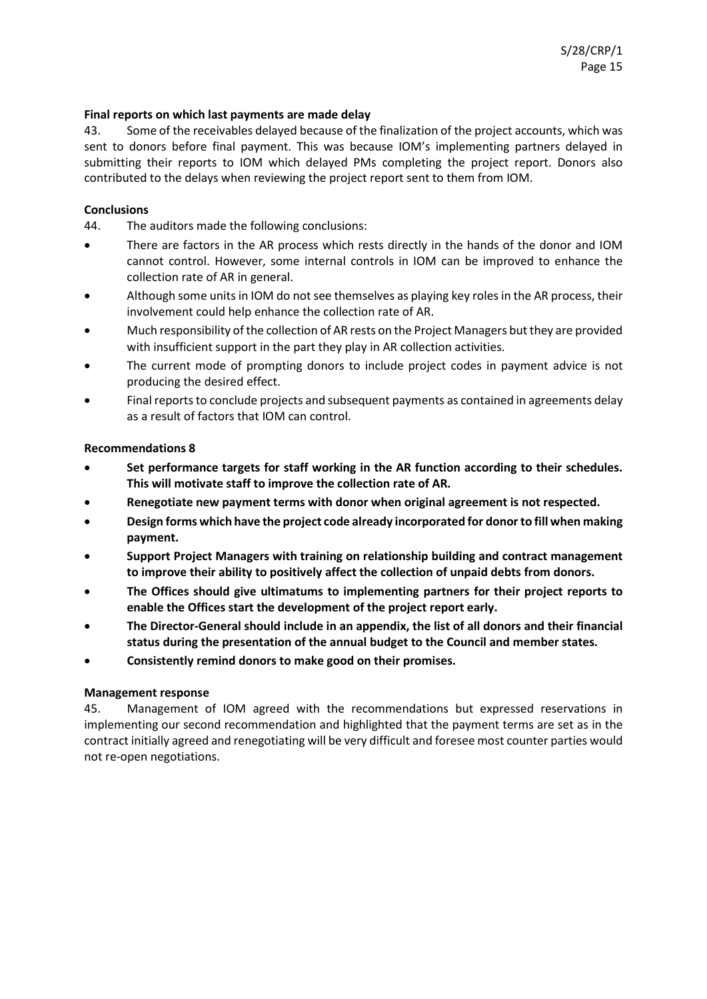## **Final reports on which last payments are made delay**

43. Some of the receivables delayed because of the finalization of the project accounts, which was sent to donors before final payment. This was because IOM's implementing partners delayed in submitting their reports to IOM which delayed PMs completing the project report. Donors also contributed to the delays when reviewing the project report sent to them from IOM.

## **Conclusions**

44. The auditors made the following conclusions:

- There are factors in the AR process which rests directly in the hands of the donor and IOM cannot control. However, some internal controls in IOM can be improved to enhance the collection rate of AR in general.
- Although some units in IOM do not see themselves as playing key roles in the AR process, their involvement could help enhance the collection rate of AR.
- Much responsibility of the collection of AR rests on the Project Managers but they are provided with insufficient support in the part they play in AR collection activities.
- The current mode of prompting donors to include project codes in payment advice is not producing the desired effect.
- Final reports to conclude projects and subsequent payments as contained in agreements delay as a result of factors that IOM can control.

## **Recommendations 8**

- **Set performance targets for staff working in the AR function according to their schedules. This will motivate staff to improve the collection rate of AR.**
- **Renegotiate new payment terms with donor when original agreement is not respected.**
- **Design forms which have the project code already incorporated for donor to fill when making payment.**
- **Support Project Managers with training on relationship building and contract management to improve their ability to positively affect the collection of unpaid debts from donors.**
- **The Offices should give ultimatums to implementing partners for their project reports to enable the Offices start the development of the project report early.**
- **The Director-General should include in an appendix, the list of all donors and their financial status during the presentation of the annual budget to the Council and member states.**
- **Consistently remind donors to make good on their promises.**

## **Management response**

45. Management of IOM agreed with the recommendations but expressed reservations in implementing our second recommendation and highlighted that the payment terms are set as in the contract initially agreed and renegotiating will be very difficult and foresee most counter parties would not re-open negotiations.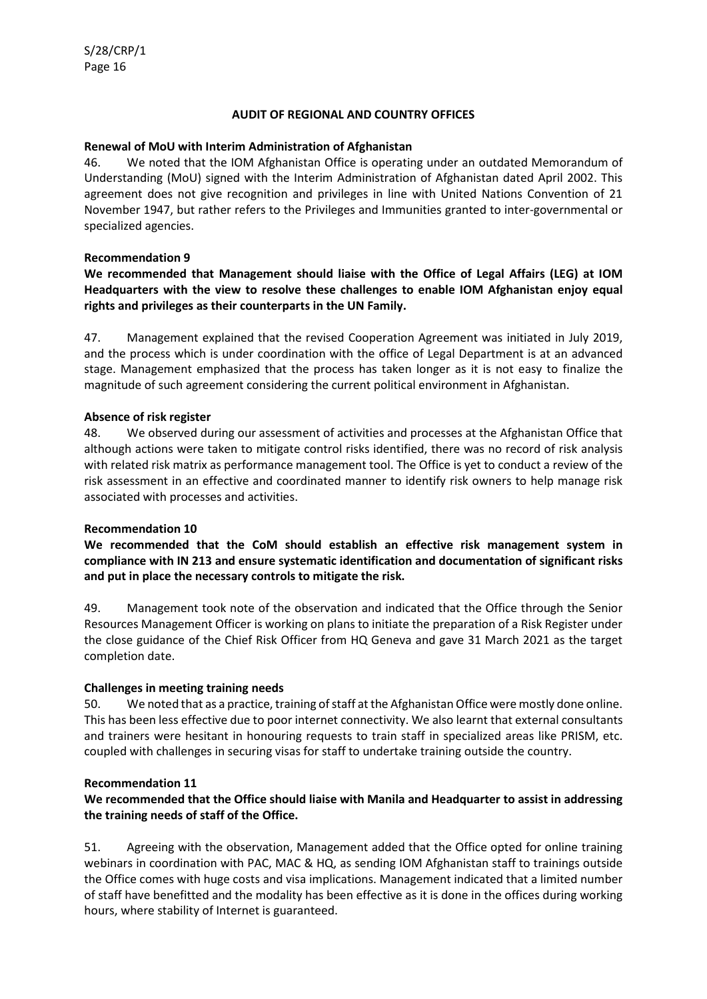## **AUDIT OF REGIONAL AND COUNTRY OFFICES**

## **Renewal of MoU with Interim Administration of Afghanistan**

46. We noted that the IOM Afghanistan Office is operating under an outdated Memorandum of Understanding (MoU) signed with the Interim Administration of Afghanistan dated April 2002. This agreement does not give recognition and privileges in line with United Nations Convention of 21 November 1947, but rather refers to the Privileges and Immunities granted to inter-governmental or specialized agencies.

## **Recommendation 9**

## **We recommended that Management should liaise with the Office of Legal Affairs (LEG) at IOM Headquarters with the view to resolve these challenges to enable IOM Afghanistan enjoy equal rights and privileges as their counterparts in the UN Family.**

47. Management explained that the revised Cooperation Agreement was initiated in July 2019, and the process which is under coordination with the office of Legal Department is at an advanced stage. Management emphasized that the process has taken longer as it is not easy to finalize the magnitude of such agreement considering the current political environment in Afghanistan.

## **Absence of risk register**

48. We observed during our assessment of activities and processes at the Afghanistan Office that although actions were taken to mitigate control risks identified, there was no record of risk analysis with related risk matrix as performance management tool. The Office is yet to conduct a review of the risk assessment in an effective and coordinated manner to identify risk owners to help manage risk associated with processes and activities.

## **Recommendation 10**

**We recommended that the CoM should establish an effective risk management system in compliance with IN 213 and ensure systematic identification and documentation of significant risks and put in place the necessary controls to mitigate the risk.**

49. Management took note of the observation and indicated that the Office through the Senior Resources Management Officer is working on plans to initiate the preparation of a Risk Register under the close guidance of the Chief Risk Officer from HQ Geneva and gave 31 March 2021 as the target completion date.

## **Challenges in meeting training needs**

50. We noted that as a practice, training of staff at the Afghanistan Office were mostly done online. This has been less effective due to poor internet connectivity. We also learnt that external consultants and trainers were hesitant in honouring requests to train staff in specialized areas like PRISM, etc. coupled with challenges in securing visas for staff to undertake training outside the country.

## **Recommendation 11**

## **We recommended that the Office should liaise with Manila and Headquarter to assist in addressing the training needs of staff of the Office.**

51. Agreeing with the observation, Management added that the Office opted for online training webinars in coordination with PAC, MAC & HQ, as sending IOM Afghanistan staff to trainings outside the Office comes with huge costs and visa implications. Management indicated that a limited number of staff have benefitted and the modality has been effective as it is done in the offices during working hours, where stability of Internet is guaranteed.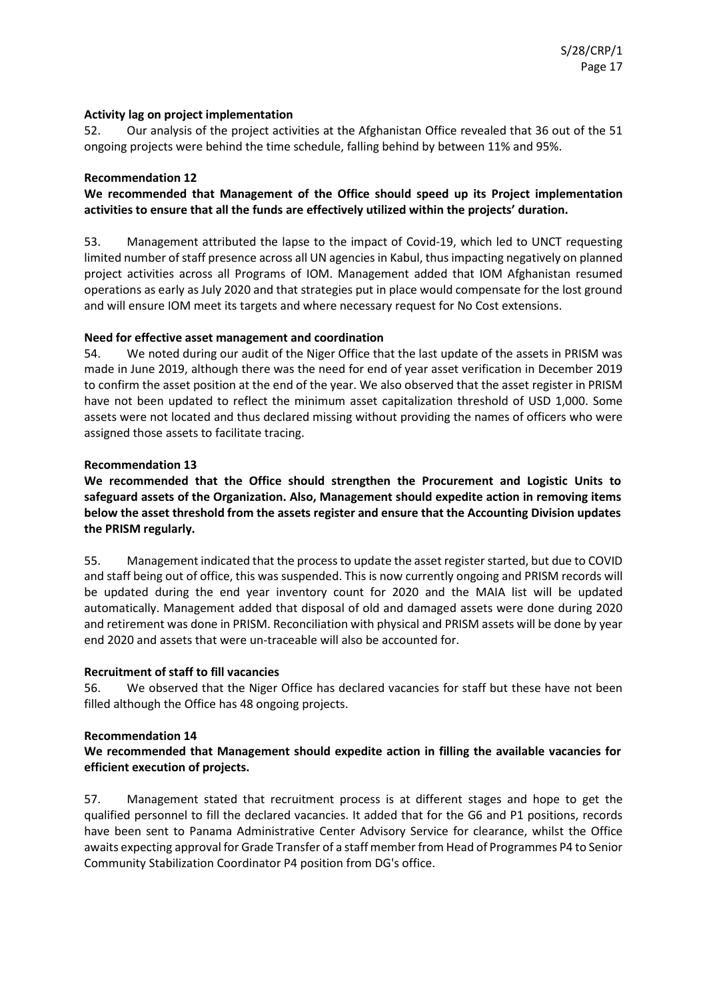## **Activity lag on project implementation**

52. Our analysis of the project activities at the Afghanistan Office revealed that 36 out of the 51 ongoing projects were behind the time schedule, falling behind by between 11% and 95%.

## **Recommendation 12**

**We recommended that Management of the Office should speed up its Project implementation activities to ensure that all the funds are effectively utilized within the projects' duration.**

53. Management attributed the lapse to the impact of Covid-19, which led to UNCT requesting limited number of staff presence across all UN agencies in Kabul, thus impacting negatively on planned project activities across all Programs of IOM. Management added that IOM Afghanistan resumed operations as early as July 2020 and that strategies put in place would compensate for the lost ground and will ensure IOM meet its targets and where necessary request for No Cost extensions.

## **Need for effective asset management and coordination**

54. We noted during our audit of the Niger Office that the last update of the assets in PRISM was made in June 2019, although there was the need for end of year asset verification in December 2019 to confirm the asset position at the end of the year. We also observed that the asset register in PRISM have not been updated to reflect the minimum asset capitalization threshold of USD 1,000. Some assets were not located and thus declared missing without providing the names of officers who were assigned those assets to facilitate tracing.

## **Recommendation 13**

**We recommended that the Office should strengthen the Procurement and Logistic Units to safeguard assets of the Organization. Also, Management should expedite action in removing items below the asset threshold from the assets register and ensure that the Accounting Division updates the PRISM regularly.**

55. Management indicated that the process to update the asset register started, but due to COVID and staff being out of office, this was suspended. This is now currently ongoing and PRISM records will be updated during the end year inventory count for 2020 and the MAIA list will be updated automatically. Management added that disposal of old and damaged assets were done during 2020 and retirement was done in PRISM. Reconciliation with physical and PRISM assets will be done by year end 2020 and assets that were un-traceable will also be accounted for.

## **Recruitment of staff to fill vacancies**

56. We observed that the Niger Office has declared vacancies for staff but these have not been filled although the Office has 48 ongoing projects.

## **Recommendation 14**

## **We recommended that Management should expedite action in filling the available vacancies for efficient execution of projects.**

57. Management stated that recruitment process is at different stages and hope to get the qualified personnel to fill the declared vacancies. It added that for the G6 and P1 positions, records have been sent to Panama Administrative Center Advisory Service for clearance, whilst the Office awaits expecting approval for Grade Transfer of a staff member from Head of Programmes P4 to Senior Community Stabilization Coordinator P4 position from DG's office.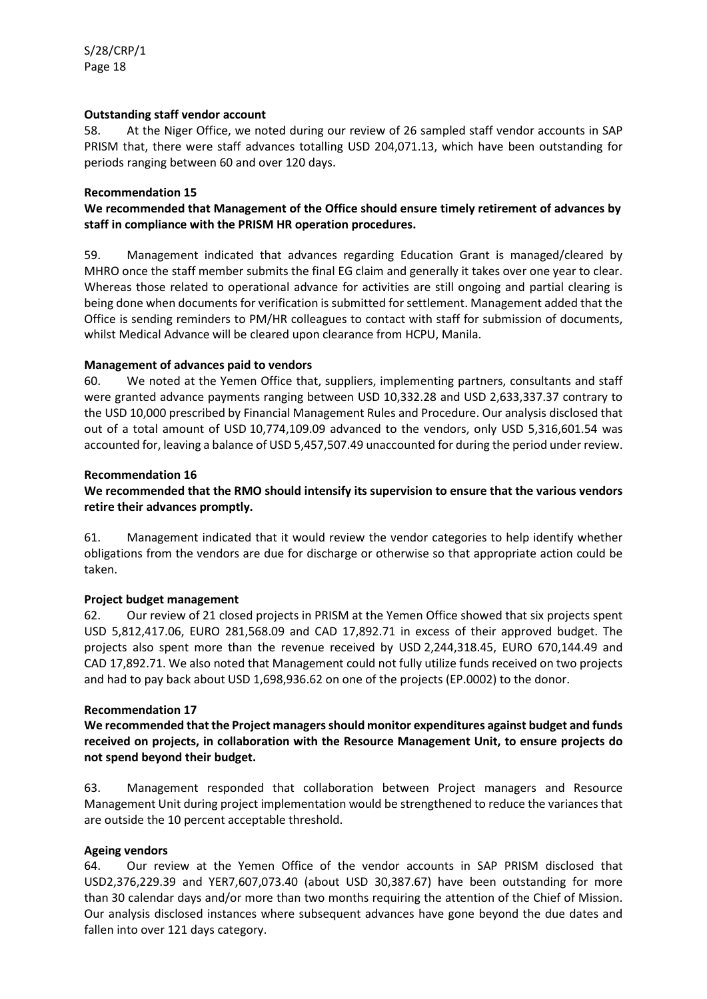## **Outstanding staff vendor account**

58. At the Niger Office, we noted during our review of 26 sampled staff vendor accounts in SAP PRISM that, there were staff advances totalling USD 204,071.13, which have been outstanding for periods ranging between 60 and over 120 days.

## **Recommendation 15**

## **We recommended that Management of the Office should ensure timely retirement of advances by staff in compliance with the PRISM HR operation procedures.**

59. Management indicated that advances regarding Education Grant is managed/cleared by MHRO once the staff member submits the final EG claim and generally it takes over one year to clear. Whereas those related to operational advance for activities are still ongoing and partial clearing is being done when documents for verification is submitted for settlement. Management added that the Office is sending reminders to PM/HR colleagues to contact with staff for submission of documents, whilst Medical Advance will be cleared upon clearance from HCPU, Manila.

## **Management of advances paid to vendors**

60. We noted at the Yemen Office that, suppliers, implementing partners, consultants and staff were granted advance payments ranging between USD 10,332.28 and USD 2,633,337.37 contrary to the USD 10,000 prescribed by Financial Management Rules and Procedure. Our analysis disclosed that out of a total amount of USD 10,774,109.09 advanced to the vendors, only USD 5,316,601.54 was accounted for, leaving a balance of USD 5,457,507.49 unaccounted for during the period under review.

## **Recommendation 16**

## **We recommended that the RMO should intensify its supervision to ensure that the various vendors retire their advances promptly.**

61. Management indicated that it would review the vendor categories to help identify whether obligations from the vendors are due for discharge or otherwise so that appropriate action could be taken.

## **Project budget management**

62. Our review of 21 closed projects in PRISM at the Yemen Office showed that six projects spent USD 5,812,417.06, EURO 281,568.09 and CAD 17,892.71 in excess of their approved budget. The projects also spent more than the revenue received by USD 2,244,318.45, EURO 670,144.49 and CAD 17,892.71. We also noted that Management could not fully utilize funds received on two projects and had to pay back about USD 1,698,936.62 on one of the projects (EP.0002) to the donor.

## **Recommendation 17**

**We recommended that the Project managers should monitor expenditures against budget and funds received on projects, in collaboration with the Resource Management Unit, to ensure projects do not spend beyond their budget.**

63. Management responded that collaboration between Project managers and Resource Management Unit during project implementation would be strengthened to reduce the variances that are outside the 10 percent acceptable threshold.

## **Ageing vendors**

64. Our review at the Yemen Office of the vendor accounts in SAP PRISM disclosed that USD2,376,229.39 and YER7,607,073.40 (about USD 30,387.67) have been outstanding for more than 30 calendar days and/or more than two months requiring the attention of the Chief of Mission. Our analysis disclosed instances where subsequent advances have gone beyond the due dates and fallen into over 121 days category.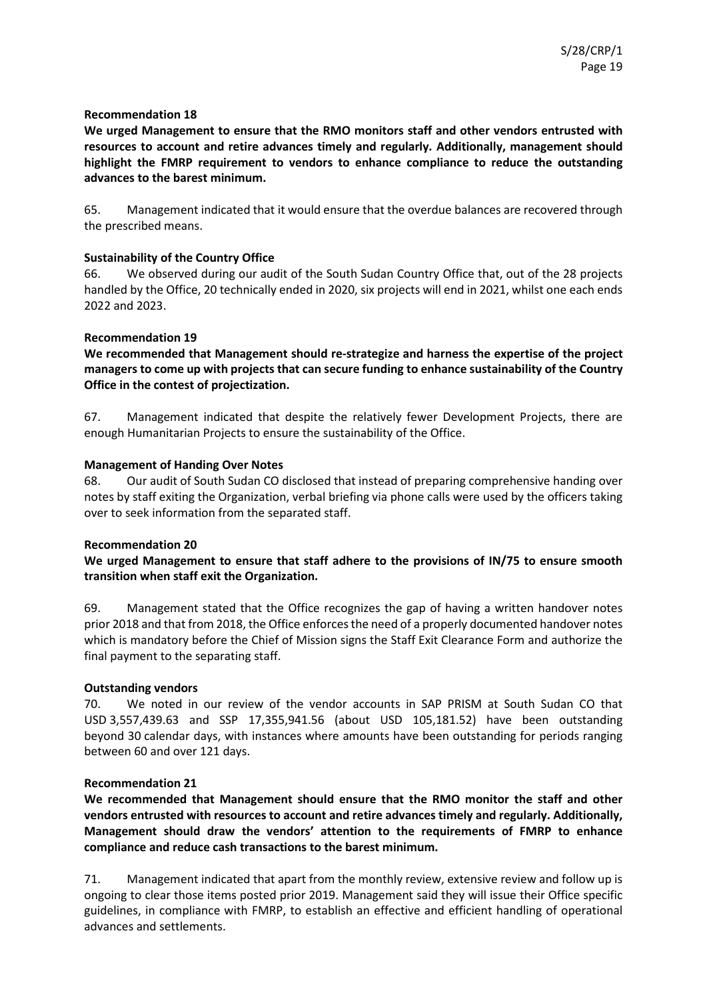**We urged Management to ensure that the RMO monitors staff and other vendors entrusted with resources to account and retire advances timely and regularly. Additionally, management should highlight the FMRP requirement to vendors to enhance compliance to reduce the outstanding advances to the barest minimum.**

65. Management indicated that it would ensure that the overdue balances are recovered through the prescribed means.

## **Sustainability of the Country Office**

66. We observed during our audit of the South Sudan Country Office that, out of the 28 projects handled by the Office, 20 technically ended in 2020, six projects will end in 2021, whilst one each ends 2022 and 2023.

## **Recommendation 19**

**We recommended that Management should re-strategize and harness the expertise of the project managers to come up with projects that can secure funding to enhance sustainability of the Country Office in the contest of projectization.**

67. Management indicated that despite the relatively fewer Development Projects, there are enough Humanitarian Projects to ensure the sustainability of the Office.

## **Management of Handing Over Notes**

68. Our audit of South Sudan CO disclosed that instead of preparing comprehensive handing over notes by staff exiting the Organization, verbal briefing via phone calls were used by the officers taking over to seek information from the separated staff.

## **Recommendation 20**

## **We urged Management to ensure that staff adhere to the provisions of IN/75 to ensure smooth transition when staff exit the Organization.**

69. Management stated that the Office recognizes the gap of having a written handover notes prior 2018 and that from 2018, the Office enforces the need of a properly documented handover notes which is mandatory before the Chief of Mission signs the Staff Exit Clearance Form and authorize the final payment to the separating staff.

## **Outstanding vendors**

70. We noted in our review of the vendor accounts in SAP PRISM at South Sudan CO that USD 3,557,439.63 and SSP 17,355,941.56 (about USD 105,181.52) have been outstanding beyond 30 calendar days, with instances where amounts have been outstanding for periods ranging between 60 and over 121 days.

## **Recommendation 21**

**We recommended that Management should ensure that the RMO monitor the staff and other vendors entrusted with resources to account and retire advances timely and regularly. Additionally, Management should draw the vendors' attention to the requirements of FMRP to enhance compliance and reduce cash transactions to the barest minimum.**

71. Management indicated that apart from the monthly review, extensive review and follow up is ongoing to clear those items posted prior 2019. Management said they will issue their Office specific guidelines, in compliance with FMRP, to establish an effective and efficient handling of operational advances and settlements.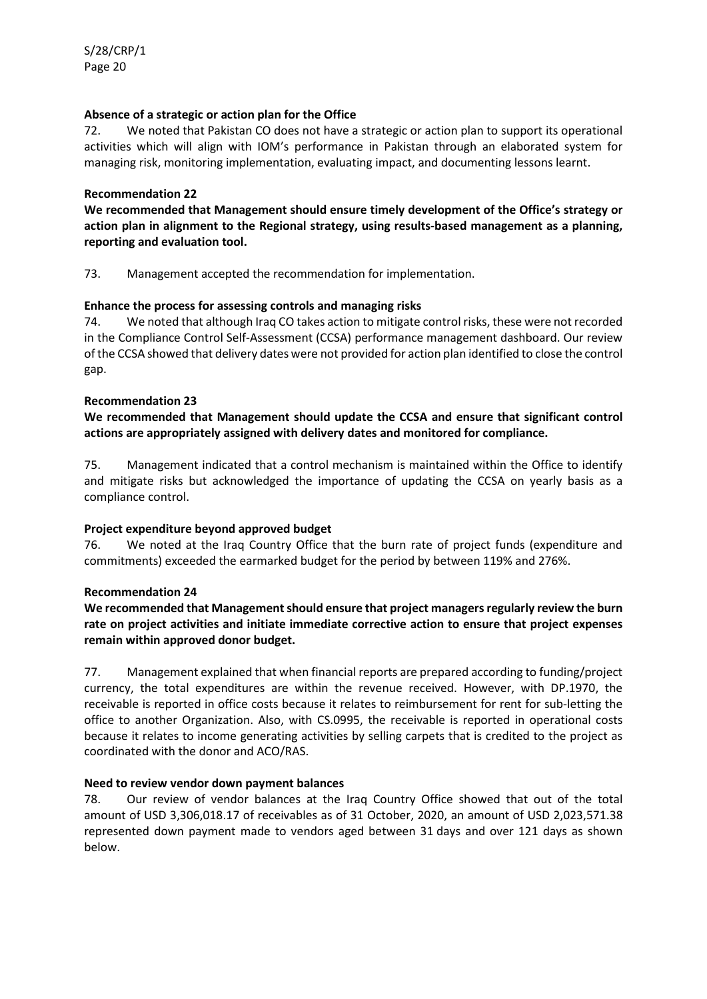## **Absence of a strategic or action plan for the Office**

72. We noted that Pakistan CO does not have a strategic or action plan to support its operational activities which will align with IOM's performance in Pakistan through an elaborated system for managing risk, monitoring implementation, evaluating impact, and documenting lessons learnt.

## **Recommendation 22**

**We recommended that Management should ensure timely development of the Office's strategy or action plan in alignment to the Regional strategy, using results-based management as a planning, reporting and evaluation tool.**

73. Management accepted the recommendation for implementation.

## **Enhance the process for assessing controls and managing risks**

74. We noted that although Iraq CO takes action to mitigate control risks, these were not recorded in the Compliance Control Self-Assessment (CCSA) performance management dashboard. Our review of the CCSA showed that delivery dates were not provided for action plan identified to close the control gap.

## **Recommendation 23**

## **We recommended that Management should update the CCSA and ensure that significant control actions are appropriately assigned with delivery dates and monitored for compliance.**

75. Management indicated that a control mechanism is maintained within the Office to identify and mitigate risks but acknowledged the importance of updating the CCSA on yearly basis as a compliance control.

## **Project expenditure beyond approved budget**

76. We noted at the Iraq Country Office that the burn rate of project funds (expenditure and commitments) exceeded the earmarked budget for the period by between 119% and 276%.

## **Recommendation 24**

## **We recommended that Management should ensure that project managers regularly review the burn rate on project activities and initiate immediate corrective action to ensure that project expenses remain within approved donor budget.**

77. Management explained that when financial reports are prepared according to funding/project currency, the total expenditures are within the revenue received. However, with DP.1970, the receivable is reported in office costs because it relates to reimbursement for rent for sub-letting the office to another Organization. Also, with CS.0995, the receivable is reported in operational costs because it relates to income generating activities by selling carpets that is credited to the project as coordinated with the donor and ACO/RAS.

## **Need to review vendor down payment balances**

78. Our review of vendor balances at the Iraq Country Office showed that out of the total amount of USD 3,306,018.17 of receivables as of 31 October, 2020, an amount of USD 2,023,571.38 represented down payment made to vendors aged between 31 days and over 121 days as shown below.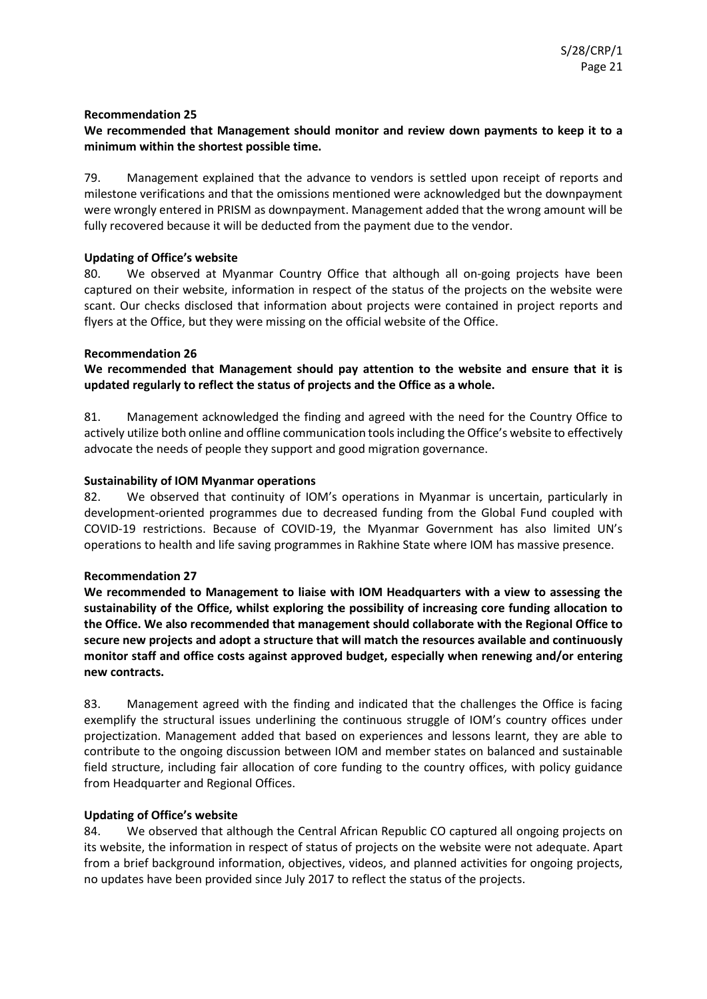## **We recommended that Management should monitor and review down payments to keep it to a minimum within the shortest possible time.**

79. Management explained that the advance to vendors is settled upon receipt of reports and milestone verifications and that the omissions mentioned were acknowledged but the downpayment were wrongly entered in PRISM as downpayment. Management added that the wrong amount will be fully recovered because it will be deducted from the payment due to the vendor.

## **Updating of Office's website**

80. We observed at Myanmar Country Office that although all on-going projects have been captured on their website, information in respect of the status of the projects on the website were scant. Our checks disclosed that information about projects were contained in project reports and flyers at the Office, but they were missing on the official website of the Office.

## **Recommendation 26**

**We recommended that Management should pay attention to the website and ensure that it is updated regularly to reflect the status of projects and the Office as a whole.**

81. Management acknowledged the finding and agreed with the need for the Country Office to actively utilize both online and offline communication tools including the Office's website to effectively advocate the needs of people they support and good migration governance.

## **Sustainability of IOM Myanmar operations**

82. We observed that continuity of IOM's operations in Myanmar is uncertain, particularly in development-oriented programmes due to decreased funding from the Global Fund coupled with COVID-19 restrictions. Because of COVID-19, the Myanmar Government has also limited UN's operations to health and life saving programmes in Rakhine State where IOM has massive presence.

## **Recommendation 27**

**We recommended to Management to liaise with IOM Headquarters with a view to assessing the sustainability of the Office, whilst exploring the possibility of increasing core funding allocation to the Office. We also recommended that management should collaborate with the Regional Office to secure new projects and adopt a structure that will match the resources available and continuously monitor staff and office costs against approved budget, especially when renewing and/or entering new contracts.**

83. Management agreed with the finding and indicated that the challenges the Office is facing exemplify the structural issues underlining the continuous struggle of IOM's country offices under projectization. Management added that based on experiences and lessons learnt, they are able to contribute to the ongoing discussion between IOM and member states on balanced and sustainable field structure, including fair allocation of core funding to the country offices, with policy guidance from Headquarter and Regional Offices.

## **Updating of Office's website**

84. We observed that although the Central African Republic CO captured all ongoing projects on its website, the information in respect of status of projects on the website were not adequate. Apart from a brief background information, objectives, videos, and planned activities for ongoing projects, no updates have been provided since July 2017 to reflect the status of the projects.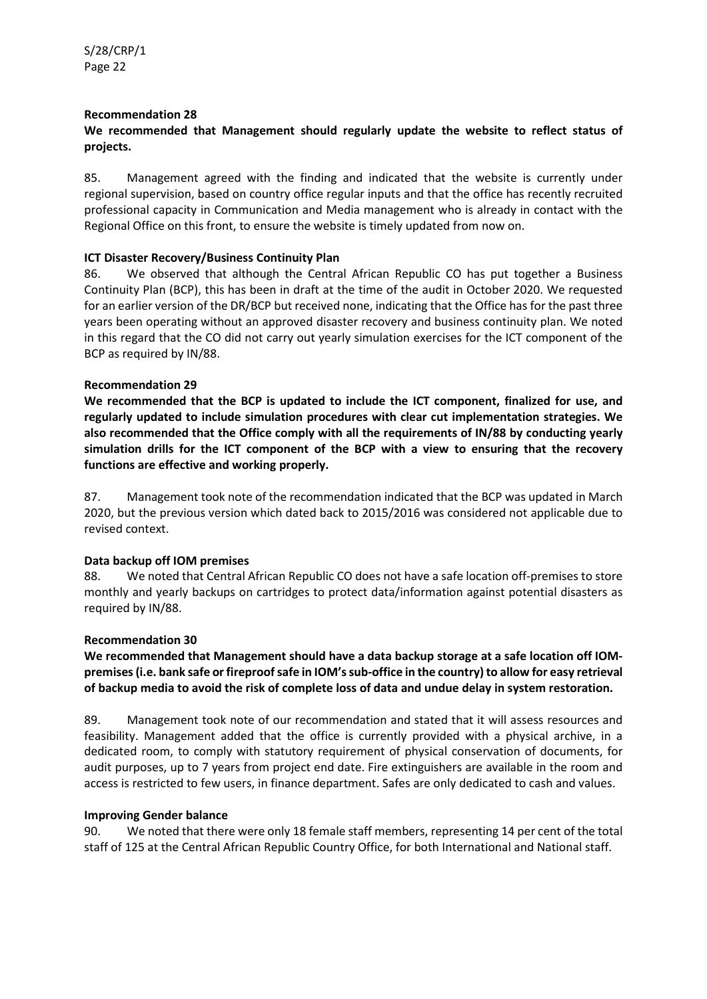## **We recommended that Management should regularly update the website to reflect status of projects.**

85. Management agreed with the finding and indicated that the website is currently under regional supervision, based on country office regular inputs and that the office has recently recruited professional capacity in Communication and Media management who is already in contact with the Regional Office on this front, to ensure the website is timely updated from now on.

## **ICT Disaster Recovery/Business Continuity Plan**

86. We observed that although the Central African Republic CO has put together a Business Continuity Plan (BCP), this has been in draft at the time of the audit in October 2020. We requested for an earlier version of the DR/BCP but received none, indicating that the Office has for the past three years been operating without an approved disaster recovery and business continuity plan. We noted in this regard that the CO did not carry out yearly simulation exercises for the ICT component of the BCP as required by IN/88.

## **Recommendation 29**

**We recommended that the BCP is updated to include the ICT component, finalized for use, and regularly updated to include simulation procedures with clear cut implementation strategies. We also recommended that the Office comply with all the requirements of IN/88 by conducting yearly simulation drills for the ICT component of the BCP with a view to ensuring that the recovery functions are effective and working properly.** 

87. Management took note of the recommendation indicated that the BCP was updated in March 2020, but the previous version which dated back to 2015/2016 was considered not applicable due to revised context.

## **Data backup off IOM premises**

88. We noted that Central African Republic CO does not have a safe location off-premises to store monthly and yearly backups on cartridges to protect data/information against potential disasters as required by IN/88.

## **Recommendation 30**

## **We recommended that Management should have a data backup storage at a safe location off IOMpremises (i.e. bank safe or fireproof safe in IOM's sub-office in the country) to allow for easy retrieval of backup media to avoid the risk of complete loss of data and undue delay in system restoration.**

89. Management took note of our recommendation and stated that it will assess resources and feasibility. Management added that the office is currently provided with a physical archive, in a dedicated room, to comply with statutory requirement of physical conservation of documents, for audit purposes, up to 7 years from project end date. Fire extinguishers are available in the room and access is restricted to few users, in finance department. Safes are only dedicated to cash and values.

## **Improving Gender balance**

90. We noted that there were only 18 female staff members, representing 14 per cent of the total staff of 125 at the Central African Republic Country Office, for both International and National staff.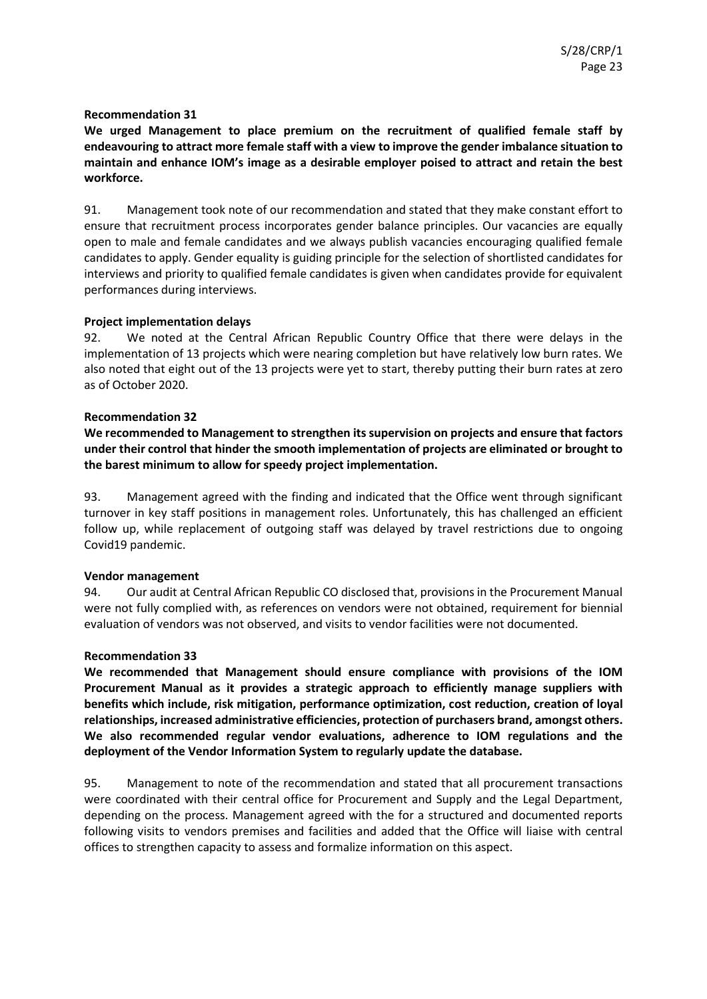**We urged Management to place premium on the recruitment of qualified female staff by endeavouring to attract more female staff with a view to improve the gender imbalance situation to maintain and enhance IOM's image as a desirable employer poised to attract and retain the best workforce.**

91. Management took note of our recommendation and stated that they make constant effort to ensure that recruitment process incorporates gender balance principles. Our vacancies are equally open to male and female candidates and we always publish vacancies encouraging qualified female candidates to apply. Gender equality is guiding principle for the selection of shortlisted candidates for interviews and priority to qualified female candidates is given when candidates provide for equivalent performances during interviews.

## **Project implementation delays**

92. We noted at the Central African Republic Country Office that there were delays in the implementation of 13 projects which were nearing completion but have relatively low burn rates. We also noted that eight out of the 13 projects were yet to start, thereby putting their burn rates at zero as of October 2020.

## **Recommendation 32**

**We recommended to Management to strengthen its supervision on projects and ensure that factors under their control that hinder the smooth implementation of projects are eliminated or brought to the barest minimum to allow for speedy project implementation.**

93. Management agreed with the finding and indicated that the Office went through significant turnover in key staff positions in management roles. Unfortunately, this has challenged an efficient follow up, while replacement of outgoing staff was delayed by travel restrictions due to ongoing Covid19 pandemic.

## **Vendor management**

94. Our audit at Central African Republic CO disclosed that, provisions in the Procurement Manual were not fully complied with, as references on vendors were not obtained, requirement for biennial evaluation of vendors was not observed, and visits to vendor facilities were not documented.

## **Recommendation 33**

**We recommended that Management should ensure compliance with provisions of the IOM Procurement Manual as it provides a strategic approach to efficiently manage suppliers with benefits which include, risk mitigation, performance optimization, cost reduction, creation of loyal relationships, increased administrative efficiencies, protection of purchasers brand, amongst others. We also recommended regular vendor evaluations, adherence to IOM regulations and the deployment of the Vendor Information System to regularly update the database.**

95. Management to note of the recommendation and stated that all procurement transactions were coordinated with their central office for Procurement and Supply and the Legal Department, depending on the process. Management agreed with the for a structured and documented reports following visits to vendors premises and facilities and added that the Office will liaise with central offices to strengthen capacity to assess and formalize information on this aspect.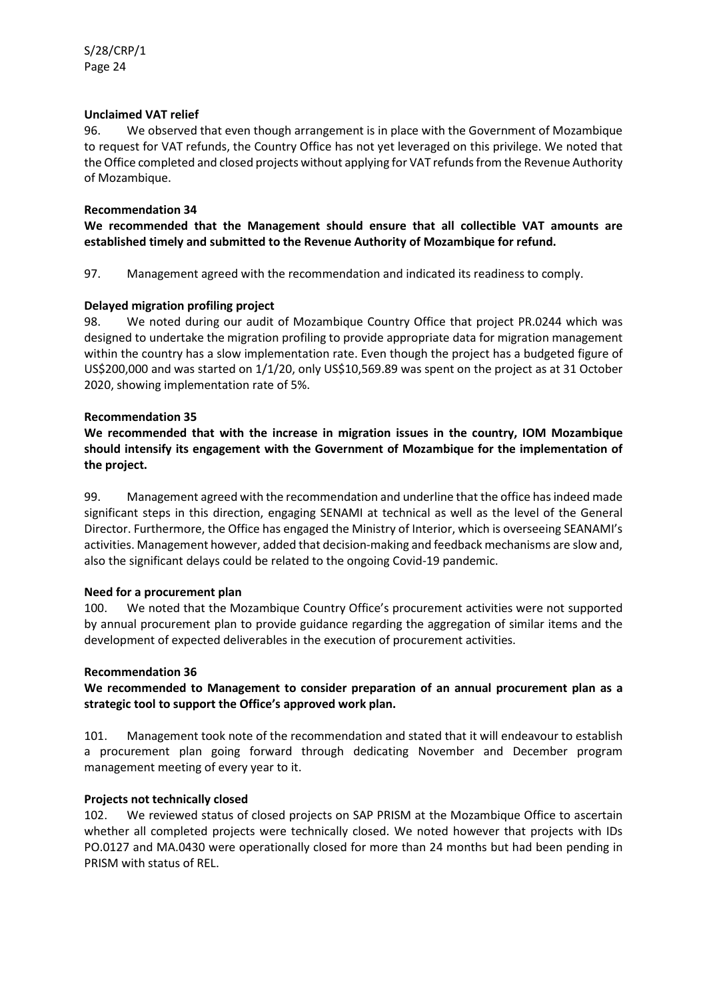## **Unclaimed VAT relief**

96. We observed that even though arrangement is in place with the Government of Mozambique to request for VAT refunds, the Country Office has not yet leveraged on this privilege. We noted that the Office completed and closed projects without applying for VAT refunds from the Revenue Authority of Mozambique.

## **Recommendation 34**

**We recommended that the Management should ensure that all collectible VAT amounts are established timely and submitted to the Revenue Authority of Mozambique for refund.**

97. Management agreed with the recommendation and indicated its readiness to comply.

## **Delayed migration profiling project**

98. We noted during our audit of Mozambique Country Office that project PR.0244 which was designed to undertake the migration profiling to provide appropriate data for migration management within the country has a slow implementation rate. Even though the project has a budgeted figure of US\$200,000 and was started on 1/1/20, only US\$10,569.89 was spent on the project as at 31 October 2020, showing implementation rate of 5%.

## **Recommendation 35**

**We recommended that with the increase in migration issues in the country, IOM Mozambique should intensify its engagement with the Government of Mozambique for the implementation of the project.**

99. Management agreed with the recommendation and underline that the office has indeed made significant steps in this direction, engaging SENAMI at technical as well as the level of the General Director. Furthermore, the Office has engaged the Ministry of Interior, which is overseeing SEANAMI's activities. Management however, added that decision-making and feedback mechanisms are slow and, also the significant delays could be related to the ongoing Covid-19 pandemic.

## **Need for a procurement plan**

100. We noted that the Mozambique Country Office's procurement activities were not supported by annual procurement plan to provide guidance regarding the aggregation of similar items and the development of expected deliverables in the execution of procurement activities.

## **Recommendation 36**

## **We recommended to Management to consider preparation of an annual procurement plan as a strategic tool to support the Office's approved work plan.**

101. Management took note of the recommendation and stated that it will endeavour to establish a procurement plan going forward through dedicating November and December program management meeting of every year to it.

## **Projects not technically closed**

102. We reviewed status of closed projects on SAP PRISM at the Mozambique Office to ascertain whether all completed projects were technically closed. We noted however that projects with IDs PO.0127 and MA.0430 were operationally closed for more than 24 months but had been pending in PRISM with status of REL.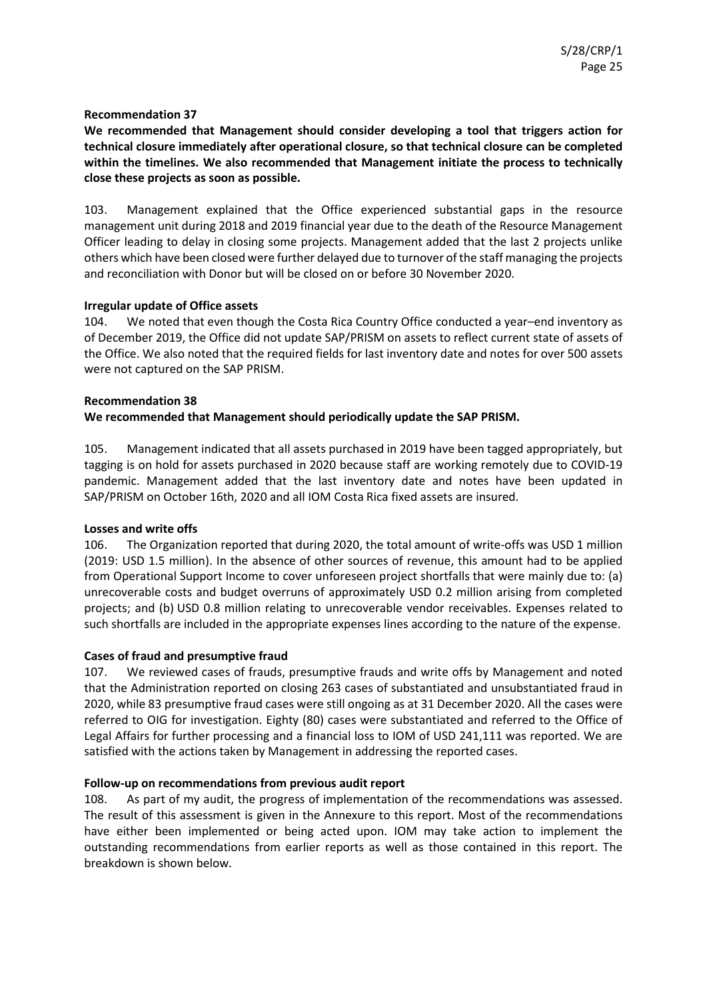**We recommended that Management should consider developing a tool that triggers action for technical closure immediately after operational closure, so that technical closure can be completed within the timelines. We also recommended that Management initiate the process to technically close these projects as soon as possible.**

103. Management explained that the Office experienced substantial gaps in the resource management unit during 2018 and 2019 financial year due to the death of the Resource Management Officer leading to delay in closing some projects. Management added that the last 2 projects unlike others which have been closed were further delayed due to turnover of the staff managing the projects and reconciliation with Donor but will be closed on or before 30 November 2020.

## **Irregular update of Office assets**

104. We noted that even though the Costa Rica Country Office conducted a year–end inventory as of December 2019, the Office did not update SAP/PRISM on assets to reflect current state of assets of the Office. We also noted that the required fields for last inventory date and notes for over 500 assets were not captured on the SAP PRISM.

## **Recommendation 38**

**We recommended that Management should periodically update the SAP PRISM.**

105. Management indicated that all assets purchased in 2019 have been tagged appropriately, but tagging is on hold for assets purchased in 2020 because staff are working remotely due to COVID-19 pandemic. Management added that the last inventory date and notes have been updated in SAP/PRISM on October 16th, 2020 and all IOM Costa Rica fixed assets are insured.

## **Losses and write offs**

106. The Organization reported that during 2020, the total amount of write-offs was USD 1 million (2019: USD 1.5 million). In the absence of other sources of revenue, this amount had to be applied from Operational Support Income to cover unforeseen project shortfalls that were mainly due to: (a) unrecoverable costs and budget overruns of approximately USD 0.2 million arising from completed projects; and (b) USD 0.8 million relating to unrecoverable vendor receivables. Expenses related to such shortfalls are included in the appropriate expenses lines according to the nature of the expense.

## **Cases of fraud and presumptive fraud**

107. We reviewed cases of frauds, presumptive frauds and write offs by Management and noted that the Administration reported on closing 263 cases of substantiated and unsubstantiated fraud in 2020, while 83 presumptive fraud cases were still ongoing as at 31 December 2020. All the cases were referred to OIG for investigation. Eighty (80) cases were substantiated and referred to the Office of Legal Affairs for further processing and a financial loss to IOM of USD 241,111 was reported. We are satisfied with the actions taken by Management in addressing the reported cases.

## **Follow-up on recommendations from previous audit report**

108. As part of my audit, the progress of implementation of the recommendations was assessed. The result of this assessment is given in the Annexure to this report. Most of the recommendations have either been implemented or being acted upon. IOM may take action to implement the outstanding recommendations from earlier reports as well as those contained in this report. The breakdown is shown below.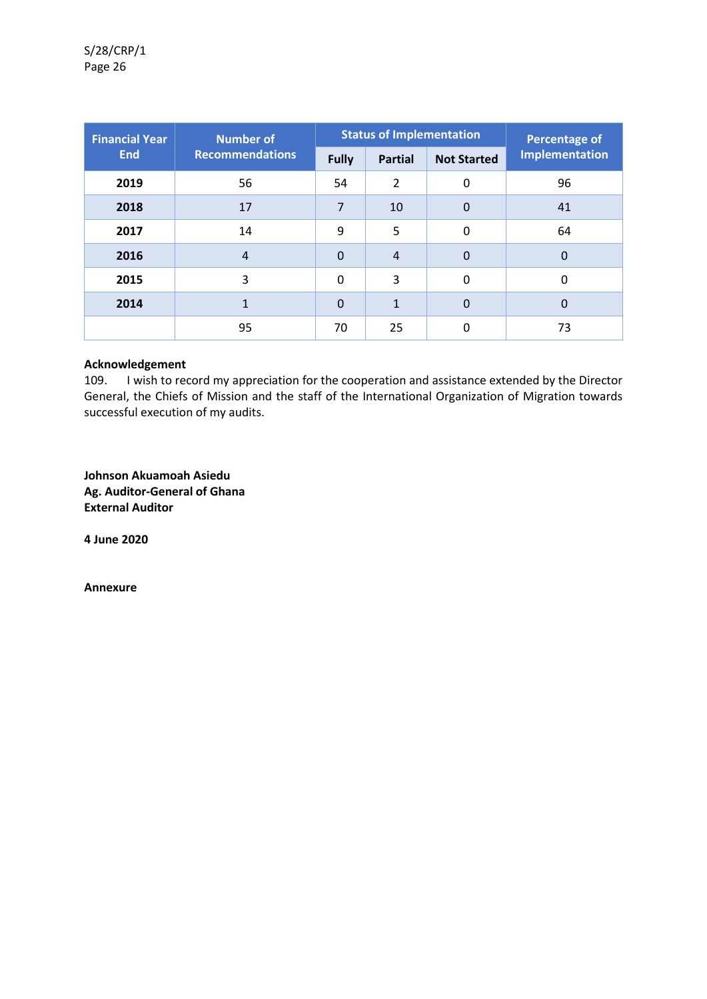| <b>Financial Year</b> | <b>Number of</b>       | <b>Status of Implementation</b> |                |                    | <b>Percentage of</b>  |
|-----------------------|------------------------|---------------------------------|----------------|--------------------|-----------------------|
| <b>End</b>            | <b>Recommendations</b> | <b>Fully</b>                    | <b>Partial</b> | <b>Not Started</b> | <b>Implementation</b> |
| 2019                  | 56                     | 54                              | $\mathcal{P}$  | 0                  | 96                    |
| 2018                  | 17                     | $\overline{7}$                  | 10             | $\Omega$           | 41                    |
| 2017                  | 14                     | 9                               | 5              | $\mathbf{0}$       | 64                    |
| 2016                  | $\overline{4}$         | $\Omega$                        | 4              | $\Omega$           | $\mathbf 0$           |
| 2015                  | 3                      | $\mathbf{0}$                    | 3              | $\mathbf{0}$       | 0                     |
| 2014                  | 1                      | $\Omega$                        | $\mathbf{1}$   | $\Omega$           | 0                     |
|                       | 95                     | 70                              | 25             | 0                  | 73                    |

#### **Acknowledgement**

109. I wish to record my appreciation for the cooperation and assistance extended by the Director General, the Chiefs of Mission and the staff of the International Organization of Migration towards successful execution of my audits.

**Johnson Akuamoah Asiedu Ag. Auditor-General of Ghana External Auditor**

**4 June 2020**

**Annexure**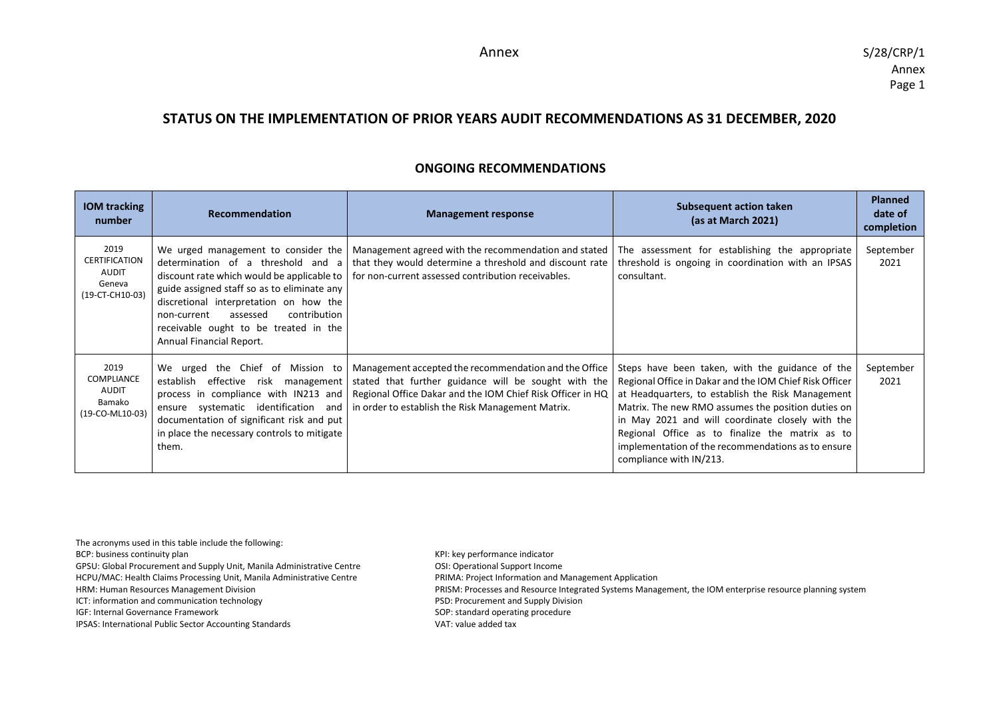## **STATUS ON THE IMPLEMENTATION OF PRIOR YEARS AUDIT RECOMMENDATIONS AS 31 DECEMBER, 2020**

## **ONGOING RECOMMENDATIONS**

| <b>IOM</b> tracking<br>number                                             | <b>Recommendation</b>                                                                                                                                                                                 | <b>Management response</b>                                                                                                                                                                                                                                                                                                                                                        | <b>Subsequent action taken</b><br>(as at March 2021)                                                                                                                                                                                                                                                                                                                                                          | <b>Planned</b><br>date of<br>completion |
|---------------------------------------------------------------------------|-------------------------------------------------------------------------------------------------------------------------------------------------------------------------------------------------------|-----------------------------------------------------------------------------------------------------------------------------------------------------------------------------------------------------------------------------------------------------------------------------------------------------------------------------------------------------------------------------------|---------------------------------------------------------------------------------------------------------------------------------------------------------------------------------------------------------------------------------------------------------------------------------------------------------------------------------------------------------------------------------------------------------------|-----------------------------------------|
| 2019<br><b>CERTIFICATION</b><br><b>AUDIT</b><br>Geneva<br>(19-CT-CH10-03) | guide assigned staff so as to eliminate any<br>discretional interpretation on how the<br>contribution<br>assessed<br>non-current<br>receivable ought to be treated in the<br>Annual Financial Report. | We urged management to consider the   Management agreed with the recommendation and stated<br>determination of a threshold and a that they would determine a threshold and discount rate<br>discount rate which would be applicable to   for non-current assessed contribution receivables.                                                                                       | The assessment for establishing the appropriate<br>threshold is ongoing in coordination with an IPSAS<br>consultant.                                                                                                                                                                                                                                                                                          | September<br>2021                       |
| 2019<br><b>COMPLIANCE</b><br>AUDIT<br>Bamako<br>(19-CO-ML10-03)           | establish<br>documentation of significant risk and put<br>in place the necessary controls to mitigate<br>them.                                                                                        | We urged the Chief of Mission to   Management accepted the recommendation and the Office<br>effective risk management   stated that further guidance will be sought with the<br>process in compliance with IN213 and Regional Office Dakar and the IOM Chief Risk Officer in HQ<br>ensure systematic identification and $\vert$ in order to establish the Risk Management Matrix. | Steps have been taken, with the guidance of the<br>Regional Office in Dakar and the IOM Chief Risk Officer<br>at Headquarters, to establish the Risk Management<br>Matrix. The new RMO assumes the position duties on<br>in May 2021 and will coordinate closely with the<br>Regional Office as to finalize the matrix as to<br>implementation of the recommendations as to ensure<br>compliance with IN/213. | September<br>2021                       |

The acronyms used in this table include the following: BCP: business continuity plan and the state of the state of the state of the KPI: key performance indicator GPSU: Global Procurement and Supply Unit, Manila Administrative Centre **OSI: Operational Support Income** HCPU/MAC: Health Claims Processing Unit, Manila Administrative Centre PRIMA: Project Information and Management Application HRM: Human Resources Management Division PRISM: Processes and Resource Integrated Systems Management, the IOM enterprise resource planning system ICT: information and communication technology example and Supply Division PSD: Procurement and Supply Division IGF: Internal Governance Framework SOP: standard operating procedure IPSAS: International Public Sector Accounting Standards VAT: value added tax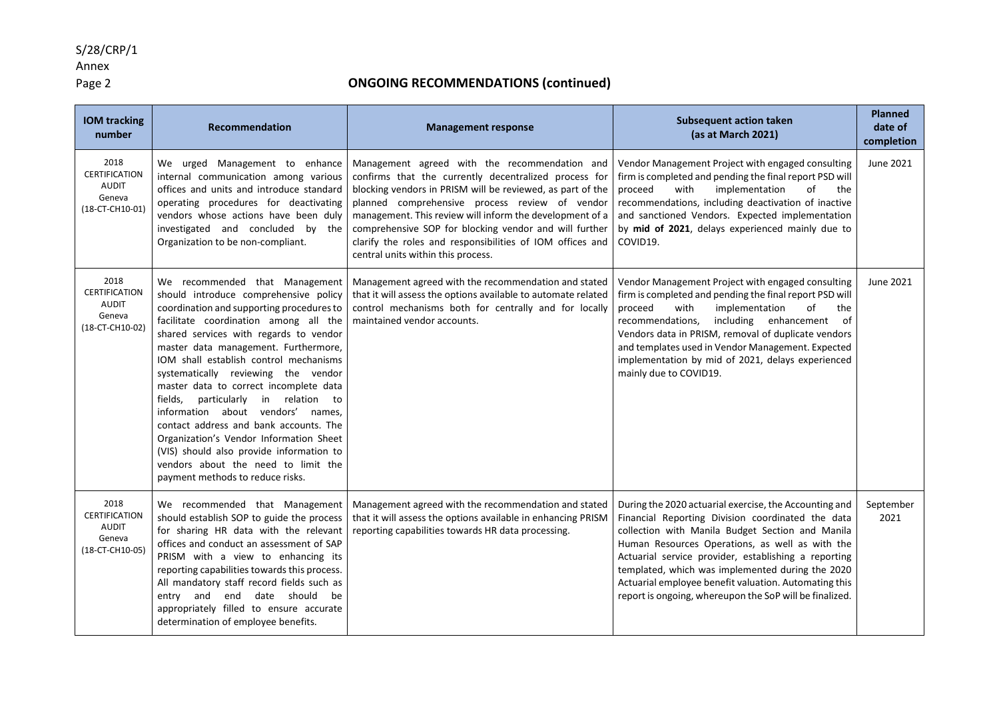## S/28/CRP/1

# Annex<br>Page 2

| <b>IOM tracking</b><br>number                                             | Recommendation                                                                                                                                                                                                                                                                                                                                                                                                                                                                                                                                                                                                                                                     | <b>Management response</b>                                                                                                                                                                                                                                                                                                                                                                                                                      | <b>Subsequent action taken</b><br>(as at March 2021)                                                                                                                                                                                                                                                                                                                                                                                               | <b>Planned</b><br>date of<br>completion |
|---------------------------------------------------------------------------|--------------------------------------------------------------------------------------------------------------------------------------------------------------------------------------------------------------------------------------------------------------------------------------------------------------------------------------------------------------------------------------------------------------------------------------------------------------------------------------------------------------------------------------------------------------------------------------------------------------------------------------------------------------------|-------------------------------------------------------------------------------------------------------------------------------------------------------------------------------------------------------------------------------------------------------------------------------------------------------------------------------------------------------------------------------------------------------------------------------------------------|----------------------------------------------------------------------------------------------------------------------------------------------------------------------------------------------------------------------------------------------------------------------------------------------------------------------------------------------------------------------------------------------------------------------------------------------------|-----------------------------------------|
| 2018<br><b>CERTIFICATION</b><br><b>AUDIT</b><br>Geneva<br>(18-CT-CH10-01) | We urged Management to enhance<br>internal communication among various<br>offices and units and introduce standard<br>operating procedures for deactivating<br>vendors whose actions have been duly<br>investigated and concluded by the<br>Organization to be non-compliant.                                                                                                                                                                                                                                                                                                                                                                                      | Management agreed with the recommendation and<br>confirms that the currently decentralized process for<br>blocking vendors in PRISM will be reviewed, as part of the<br>planned comprehensive process review of vendor<br>management. This review will inform the development of a<br>comprehensive SOP for blocking vendor and will further<br>clarify the roles and responsibilities of IOM offices and<br>central units within this process. | Vendor Management Project with engaged consulting<br>firm is completed and pending the final report PSD will<br>with<br>implementation<br>of<br>proceed<br>the<br>recommendations, including deactivation of inactive<br>and sanctioned Vendors. Expected implementation<br>by mid of 2021, delays experienced mainly due to<br>COVID19.                                                                                                           | June 2021                               |
| 2018<br><b>CERTIFICATION</b><br><b>AUDIT</b><br>Geneva<br>(18-CT-CH10-02) | We recommended that Management<br>should introduce comprehensive policy<br>coordination and supporting procedures to<br>facilitate coordination among all the<br>shared services with regards to vendor<br>master data management. Furthermore,<br>IOM shall establish control mechanisms<br>systematically reviewing the vendor<br>master data to correct incomplete data<br>fields, particularly in relation to<br>information about vendors' names,<br>contact address and bank accounts. The<br>Organization's Vendor Information Sheet<br>(VIS) should also provide information to<br>vendors about the need to limit the<br>payment methods to reduce risks. | Management agreed with the recommendation and stated<br>that it will assess the options available to automate related<br>control mechanisms both for centrally and for locally<br>maintained vendor accounts.                                                                                                                                                                                                                                   | Vendor Management Project with engaged consulting<br>firm is completed and pending the final report PSD will<br>proceed<br>with<br>implementation<br>of<br>the<br>recommendations.<br>including enhancement of<br>Vendors data in PRISM, removal of duplicate vendors<br>and templates used in Vendor Management. Expected<br>implementation by mid of 2021, delays experienced<br>mainly due to COVID19.                                          | June 2021                               |
| 2018<br><b>CERTIFICATION</b><br><b>AUDIT</b><br>Geneva<br>(18-CT-CH10-05) | We recommended that Management<br>should establish SOP to guide the process<br>for sharing HR data with the relevant<br>offices and conduct an assessment of SAP<br>PRISM with a view to enhancing its<br>reporting capabilities towards this process.<br>All mandatory staff record fields such as<br>entry and end date should<br>be<br>appropriately filled to ensure accurate<br>determination of employee benefits.                                                                                                                                                                                                                                           | Management agreed with the recommendation and stated<br>that it will assess the options available in enhancing PRISM<br>reporting capabilities towards HR data processing.                                                                                                                                                                                                                                                                      | During the 2020 actuarial exercise, the Accounting and<br>Financial Reporting Division coordinated the data<br>collection with Manila Budget Section and Manila<br>Human Resources Operations, as well as with the<br>Actuarial service provider, establishing a reporting<br>templated, which was implemented during the 2020<br>Actuarial employee benefit valuation. Automating this<br>report is ongoing, whereupon the SoP will be finalized. | September<br>2021                       |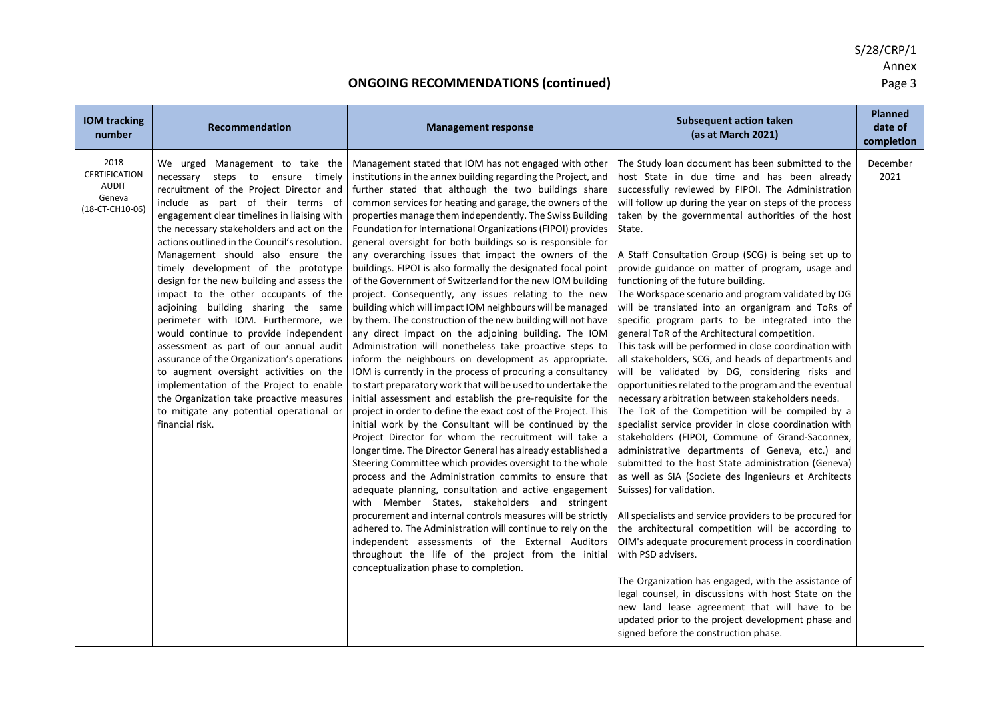S/28/CRP/1 Annex<br>Page 3

| <b>IOM tracking</b><br>number                                             | Recommendation                                                                                                                                                                                                                                                                                                                                                                                                                                                                                                                                                                                                                                                                                                                                                                                                                                                                    | <b>Management response</b>                                                                                                                                                                                                                                                                                                                                                                                                                                                                                                                                                                                                                                                                                                                                                                                                                                                                                                                                                                                                                                                                                                                                                                                                                                                                                                                                                                                                                                                                                                                                                                                                                                                                                                                                                                                                                                                                                                                                    | <b>Subsequent action taken</b><br>(as at March 2021)                                                                                                                                                                                                                                                                                                                                                                                                                                                                                                                                                                                                                                                                                                                                                                                                                                                                                                                                                                                                                                                                                                                                                                                                                                                                                                                                                                                                                                                                                                                                                                                                                                                                                                            | <b>Planned</b><br>date of<br>completion |
|---------------------------------------------------------------------------|-----------------------------------------------------------------------------------------------------------------------------------------------------------------------------------------------------------------------------------------------------------------------------------------------------------------------------------------------------------------------------------------------------------------------------------------------------------------------------------------------------------------------------------------------------------------------------------------------------------------------------------------------------------------------------------------------------------------------------------------------------------------------------------------------------------------------------------------------------------------------------------|---------------------------------------------------------------------------------------------------------------------------------------------------------------------------------------------------------------------------------------------------------------------------------------------------------------------------------------------------------------------------------------------------------------------------------------------------------------------------------------------------------------------------------------------------------------------------------------------------------------------------------------------------------------------------------------------------------------------------------------------------------------------------------------------------------------------------------------------------------------------------------------------------------------------------------------------------------------------------------------------------------------------------------------------------------------------------------------------------------------------------------------------------------------------------------------------------------------------------------------------------------------------------------------------------------------------------------------------------------------------------------------------------------------------------------------------------------------------------------------------------------------------------------------------------------------------------------------------------------------------------------------------------------------------------------------------------------------------------------------------------------------------------------------------------------------------------------------------------------------------------------------------------------------------------------------------------------------|-----------------------------------------------------------------------------------------------------------------------------------------------------------------------------------------------------------------------------------------------------------------------------------------------------------------------------------------------------------------------------------------------------------------------------------------------------------------------------------------------------------------------------------------------------------------------------------------------------------------------------------------------------------------------------------------------------------------------------------------------------------------------------------------------------------------------------------------------------------------------------------------------------------------------------------------------------------------------------------------------------------------------------------------------------------------------------------------------------------------------------------------------------------------------------------------------------------------------------------------------------------------------------------------------------------------------------------------------------------------------------------------------------------------------------------------------------------------------------------------------------------------------------------------------------------------------------------------------------------------------------------------------------------------------------------------------------------------------------------------------------------------|-----------------------------------------|
| 2018<br><b>CERTIFICATION</b><br><b>AUDIT</b><br>Geneva<br>(18-CT-CH10-06) | We urged Management to take the<br>necessary steps to ensure timely<br>recruitment of the Project Director and<br>include as part of their terms of<br>engagement clear timelines in liaising with<br>the necessary stakeholders and act on the<br>actions outlined in the Council's resolution.<br>Management should also ensure the<br>timely development of the prototype<br>design for the new building and assess the<br>impact to the other occupants of the<br>adjoining building sharing the same<br>perimeter with IOM. Furthermore, we<br>would continue to provide independent<br>assessment as part of our annual audit<br>assurance of the Organization's operations<br>to augment oversight activities on the<br>implementation of the Project to enable<br>the Organization take proactive measures<br>to mitigate any potential operational or<br>financial risk. | Management stated that IOM has not engaged with other<br>institutions in the annex building regarding the Project, and<br>further stated that although the two buildings share<br>common services for heating and garage, the owners of the<br>properties manage them independently. The Swiss Building<br>Foundation for International Organizations (FIPOI) provides<br>general oversight for both buildings so is responsible for<br>any overarching issues that impact the owners of the<br>buildings. FIPOI is also formally the designated focal point<br>of the Government of Switzerland for the new IOM building<br>project. Consequently, any issues relating to the new<br>building which will impact IOM neighbours will be managed<br>by them. The construction of the new building will not have<br>any direct impact on the adjoining building. The IOM<br>Administration will nonetheless take proactive steps to<br>inform the neighbours on development as appropriate.<br>IOM is currently in the process of procuring a consultancy<br>to start preparatory work that will be used to undertake the<br>initial assessment and establish the pre-requisite for the<br>project in order to define the exact cost of the Project. This<br>initial work by the Consultant will be continued by the<br>Project Director for whom the recruitment will take a<br>longer time. The Director General has already established a<br>Steering Committee which provides oversight to the whole<br>process and the Administration commits to ensure that<br>adequate planning, consultation and active engagement<br>with Member States, stakeholders and stringent<br>procurement and internal controls measures will be strictly<br>adhered to. The Administration will continue to rely on the<br>independent assessments of the External Auditors<br>throughout the life of the project from the initial<br>conceptualization phase to completion. | The Study loan document has been submitted to the<br>host State in due time and has been already<br>successfully reviewed by FIPOI. The Administration<br>will follow up during the year on steps of the process<br>taken by the governmental authorities of the host<br>State.<br>A Staff Consultation Group (SCG) is being set up to<br>provide guidance on matter of program, usage and<br>functioning of the future building.<br>The Workspace scenario and program validated by DG<br>will be translated into an organigram and ToRs of<br>specific program parts to be integrated into the<br>general ToR of the Architectural competition.<br>This task will be performed in close coordination with<br>all stakeholders, SCG, and heads of departments and<br>will be validated by DG, considering risks and<br>opportunities related to the program and the eventual<br>necessary arbitration between stakeholders needs.<br>The ToR of the Competition will be compiled by a<br>specialist service provider in close coordination with<br>stakeholders (FIPOI, Commune of Grand-Saconnex,<br>administrative departments of Geneva, etc.) and<br>submitted to the host State administration (Geneva)<br>as well as SIA (Societe des Ingenieurs et Architects<br>Suisses) for validation.<br>All specialists and service providers to be procured for<br>the architectural competition will be according to<br>OIM's adequate procurement process in coordination<br>with PSD advisers.<br>The Organization has engaged, with the assistance of<br>legal counsel, in discussions with host State on the<br>new land lease agreement that will have to be<br>updated prior to the project development phase and<br>signed before the construction phase. | December<br>2021                        |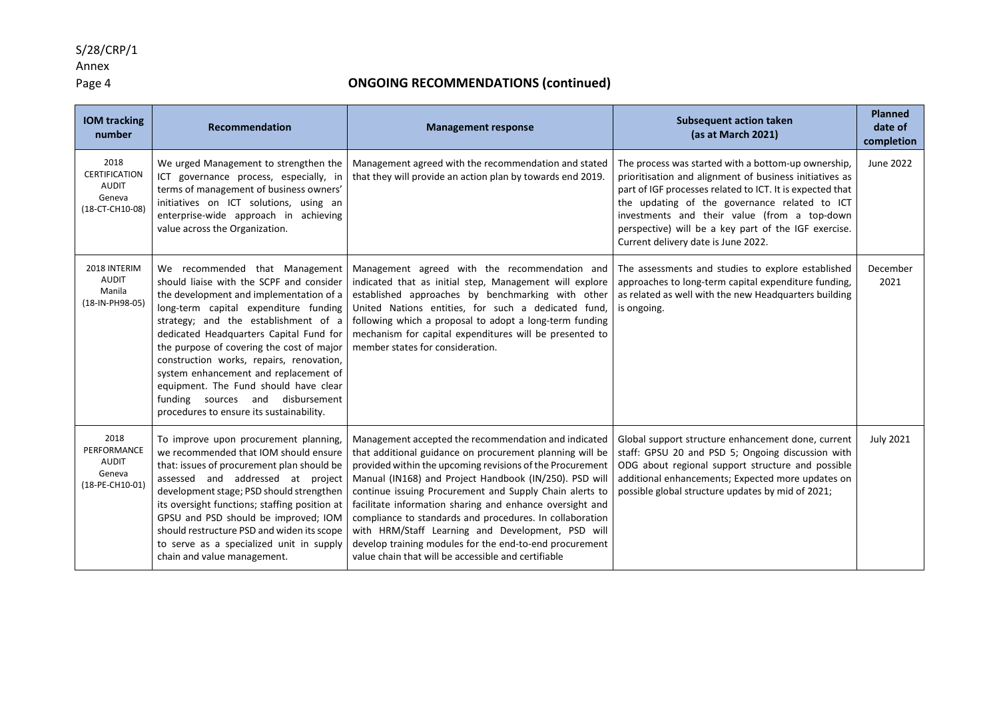## S/28/CRP/1

# Annex<br>Page 4

| <b>IOM tracking</b><br>number                                             | Recommendation                                                                                                                                                                                                                                                                                                                                                                                                                                                                                               | <b>Management response</b>                                                                                                                                                                                                                                                                                                                                                                                                                                                                                                                                                                        | <b>Subsequent action taken</b><br>(as at March 2021)                                                                                                                                                                                                                                                                                                                        | <b>Planned</b><br>date of<br>completion |
|---------------------------------------------------------------------------|--------------------------------------------------------------------------------------------------------------------------------------------------------------------------------------------------------------------------------------------------------------------------------------------------------------------------------------------------------------------------------------------------------------------------------------------------------------------------------------------------------------|---------------------------------------------------------------------------------------------------------------------------------------------------------------------------------------------------------------------------------------------------------------------------------------------------------------------------------------------------------------------------------------------------------------------------------------------------------------------------------------------------------------------------------------------------------------------------------------------------|-----------------------------------------------------------------------------------------------------------------------------------------------------------------------------------------------------------------------------------------------------------------------------------------------------------------------------------------------------------------------------|-----------------------------------------|
| 2018<br><b>CERTIFICATION</b><br><b>AUDIT</b><br>Geneva<br>(18-CT-CH10-08) | We urged Management to strengthen the<br>ICT governance process, especially, in<br>terms of management of business owners'<br>initiatives on ICT solutions, using an<br>enterprise-wide approach in achieving<br>value across the Organization.                                                                                                                                                                                                                                                              | Management agreed with the recommendation and stated<br>that they will provide an action plan by towards end 2019.                                                                                                                                                                                                                                                                                                                                                                                                                                                                                | The process was started with a bottom-up ownership,<br>prioritisation and alignment of business initiatives as<br>part of IGF processes related to ICT. It is expected that<br>the updating of the governance related to ICT<br>investments and their value (from a top-down<br>perspective) will be a key part of the IGF exercise.<br>Current delivery date is June 2022. | June 2022                               |
| 2018 INTERIM<br><b>AUDIT</b><br>Manila<br>(18-IN-PH98-05)                 | We recommended that Management<br>should liaise with the SCPF and consider<br>the development and implementation of a<br>long-term capital expenditure funding<br>strategy; and the establishment of a<br>dedicated Headquarters Capital Fund for<br>the purpose of covering the cost of major<br>construction works, repairs, renovation,<br>system enhancement and replacement of<br>equipment. The Fund should have clear<br>funding sources and disbursement<br>procedures to ensure its sustainability. | Management agreed with the recommendation and<br>indicated that as initial step, Management will explore<br>established approaches by benchmarking with other<br>United Nations entities, for such a dedicated fund,<br>following which a proposal to adopt a long-term funding<br>mechanism for capital expenditures will be presented to<br>member states for consideration.                                                                                                                                                                                                                    | The assessments and studies to explore established<br>approaches to long-term capital expenditure funding,<br>as related as well with the new Headquarters building<br>is ongoing.                                                                                                                                                                                          | December<br>2021                        |
| 2018<br>PERFORMANCE<br><b>AUDIT</b><br>Geneva<br>(18-PE-CH10-01)          | To improve upon procurement planning,<br>we recommended that IOM should ensure<br>that: issues of procurement plan should be<br>assessed and addressed at project<br>development stage; PSD should strengthen<br>its oversight functions; staffing position at<br>GPSU and PSD should be improved; IOM<br>should restructure PSD and widen its scope<br>to serve as a specialized unit in supply<br>chain and value management.                                                                              | Management accepted the recommendation and indicated<br>that additional guidance on procurement planning will be<br>provided within the upcoming revisions of the Procurement<br>Manual (IN168) and Project Handbook (IN/250). PSD will<br>continue issuing Procurement and Supply Chain alerts to<br>facilitate information sharing and enhance oversight and<br>compliance to standards and procedures. In collaboration<br>with HRM/Staff Learning and Development, PSD will<br>develop training modules for the end-to-end procurement<br>value chain that will be accessible and certifiable | Global support structure enhancement done, current<br>staff: GPSU 20 and PSD 5; Ongoing discussion with<br>ODG about regional support structure and possible<br>additional enhancements; Expected more updates on<br>possible global structure updates by mid of 2021;                                                                                                      | <b>July 2021</b>                        |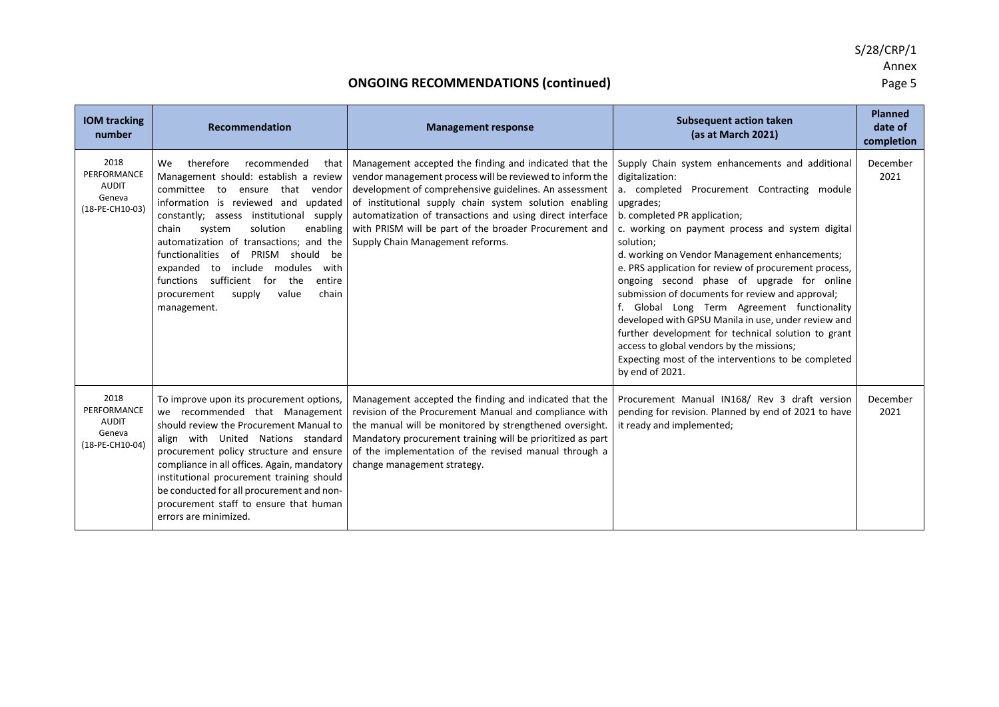S/28/CRP/1 Annex<br>Page 5

| <b>IOM tracking</b><br>number                                    | <b>Recommendation</b>                                                                                                                                                                                                                                                                                                                                                                                                                                                                                                      | <b>Management response</b>                                                                                                                                                                                                                                                                                                                                                                        | <b>Subsequent action taken</b><br>(as at March 2021)                                                                                                                                                                                                                                                                                                                                                                                                                                                                                                                                                                                                                                                                            | <b>Planned</b><br>date of<br>completion |
|------------------------------------------------------------------|----------------------------------------------------------------------------------------------------------------------------------------------------------------------------------------------------------------------------------------------------------------------------------------------------------------------------------------------------------------------------------------------------------------------------------------------------------------------------------------------------------------------------|---------------------------------------------------------------------------------------------------------------------------------------------------------------------------------------------------------------------------------------------------------------------------------------------------------------------------------------------------------------------------------------------------|---------------------------------------------------------------------------------------------------------------------------------------------------------------------------------------------------------------------------------------------------------------------------------------------------------------------------------------------------------------------------------------------------------------------------------------------------------------------------------------------------------------------------------------------------------------------------------------------------------------------------------------------------------------------------------------------------------------------------------|-----------------------------------------|
| 2018<br>PERFORMANCE<br><b>AUDIT</b><br>Geneva<br>(18-PE-CH10-03) | therefore<br>We<br>recommended<br>that I<br>Management should: establish a review<br>committee<br>that<br>to<br>vendor<br>ensure<br>information is reviewed and<br>updated<br>constantly:<br>institutional<br>assess<br>supply<br>solution<br>enabling<br>chain<br>system<br>automatization of transactions; and the<br>functionalities<br>PRISM<br>of<br>should be<br>include modules<br>with<br>expanded<br>to<br>sufficient for<br>the<br>entire<br>functions<br>chain<br>procurement<br>supply<br>value<br>management. | Management accepted the finding and indicated that the<br>vendor management process will be reviewed to inform the<br>development of comprehensive guidelines. An assessment<br>of institutional supply chain system solution enabling<br>automatization of transactions and using direct interface<br>with PRISM will be part of the broader Procurement and<br>Supply Chain Management reforms. | Supply Chain system enhancements and additional<br>digitalization:<br>a. completed Procurement Contracting module<br>upgrades;<br>b. completed PR application;<br>c. working on payment process and system digital<br>solution;<br>d. working on Vendor Management enhancements;<br>e. PRS application for review of procurement process,<br>ongoing second phase of upgrade for online<br>submission of documents for review and approval;<br>f. Global Long Term Agreement functionality<br>developed with GPSU Manila in use, under review and<br>further development for technical solution to grant<br>access to global vendors by the missions;<br>Expecting most of the interventions to be completed<br>by end of 2021. | December<br>2021                        |
| 2018<br>PERFORMANCE<br><b>AUDIT</b><br>Geneva<br>(18-PE-CH10-04) | To improve upon its procurement options,<br>we recommended that Management<br>should review the Procurement Manual to<br>align with United Nations standard<br>procurement policy structure and ensure<br>compliance in all offices. Again, mandatory<br>institutional procurement training should<br>be conducted for all procurement and non-<br>procurement staff to ensure that human<br>errors are minimized.                                                                                                         | Management accepted the finding and indicated that the<br>revision of the Procurement Manual and compliance with<br>the manual will be monitored by strengthened oversight.<br>Mandatory procurement training will be prioritized as part<br>of the implementation of the revised manual through a<br>change management strategy.                                                                 | Procurement Manual IN168/ Rev 3 draft version<br>pending for revision. Planned by end of 2021 to have<br>it ready and implemented;                                                                                                                                                                                                                                                                                                                                                                                                                                                                                                                                                                                              | December<br>2021                        |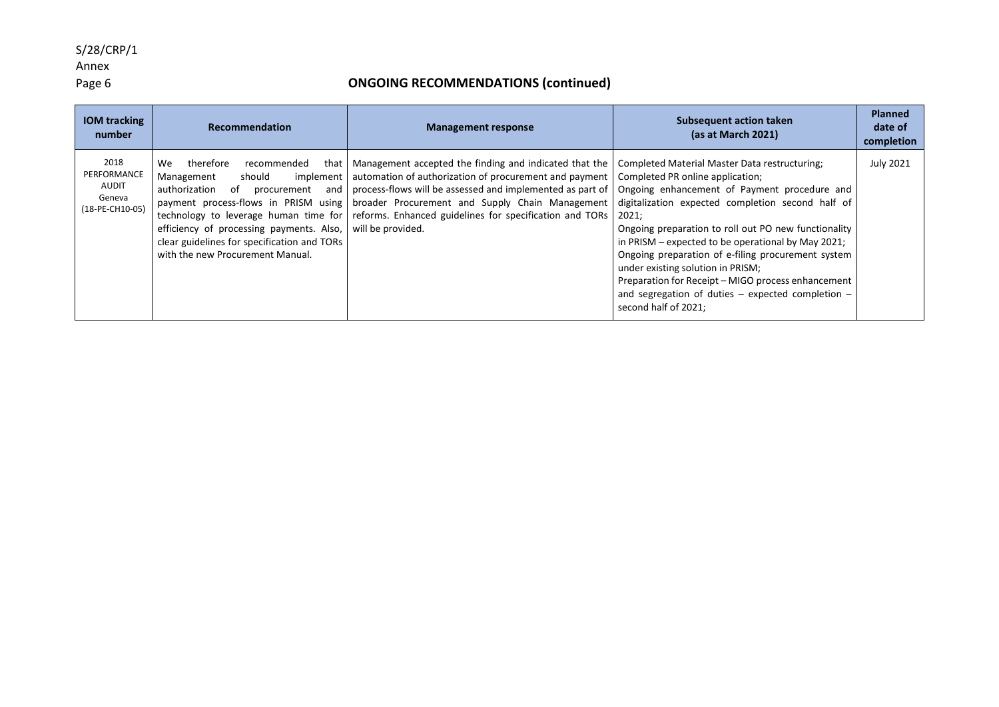## S/28/CRP/1

# Annex<br>Page 6

| <b>IOM tracking</b><br>number                             | Recommendation                                                                                                                                                                                                                                                                                                                           | <b>Management response</b>                                                                                                                                                                                                                                                                                                                          | <b>Subsequent action taken</b><br>(as at March 2021)                                                                                                                                                                                                                                                                                                                                                                                                                                                        | <b>Planned</b><br>date of<br>completion |
|-----------------------------------------------------------|------------------------------------------------------------------------------------------------------------------------------------------------------------------------------------------------------------------------------------------------------------------------------------------------------------------------------------------|-----------------------------------------------------------------------------------------------------------------------------------------------------------------------------------------------------------------------------------------------------------------------------------------------------------------------------------------------------|-------------------------------------------------------------------------------------------------------------------------------------------------------------------------------------------------------------------------------------------------------------------------------------------------------------------------------------------------------------------------------------------------------------------------------------------------------------------------------------------------------------|-----------------------------------------|
| 2018<br>PERFORMANCE<br>AUDIT<br>Geneva<br>(18-PE-CH10-05) | therefore<br>recommended<br>We<br>that<br>should<br>Management<br>implement<br>authorization<br>of<br>and<br>procurement<br>payment process-flows in PRISM using<br>technology to leverage human time for<br>efficiency of processing payments. Also,<br>clear guidelines for specification and TORs<br>with the new Procurement Manual. | Management accepted the finding and indicated that the<br>automation of authorization of procurement and payment   Completed PR online application;<br>process-flows will be assessed and implemented as part of<br>broader Procurement and Supply Chain Management<br>reforms. Enhanced guidelines for specification and TORs<br>will be provided. | Completed Material Master Data restructuring;<br>Ongoing enhancement of Payment procedure and<br>digitalization expected completion second half of<br>2021;<br>Ongoing preparation to roll out PO new functionality<br>in PRISM – expected to be operational by May 2021;<br>Ongoing preparation of e-filing procurement system<br>under existing solution in PRISM;<br>Preparation for Receipt – MIGO process enhancement<br>and segregation of duties $-$ expected completion $-$<br>second half of 2021; | <b>July 2021</b>                        |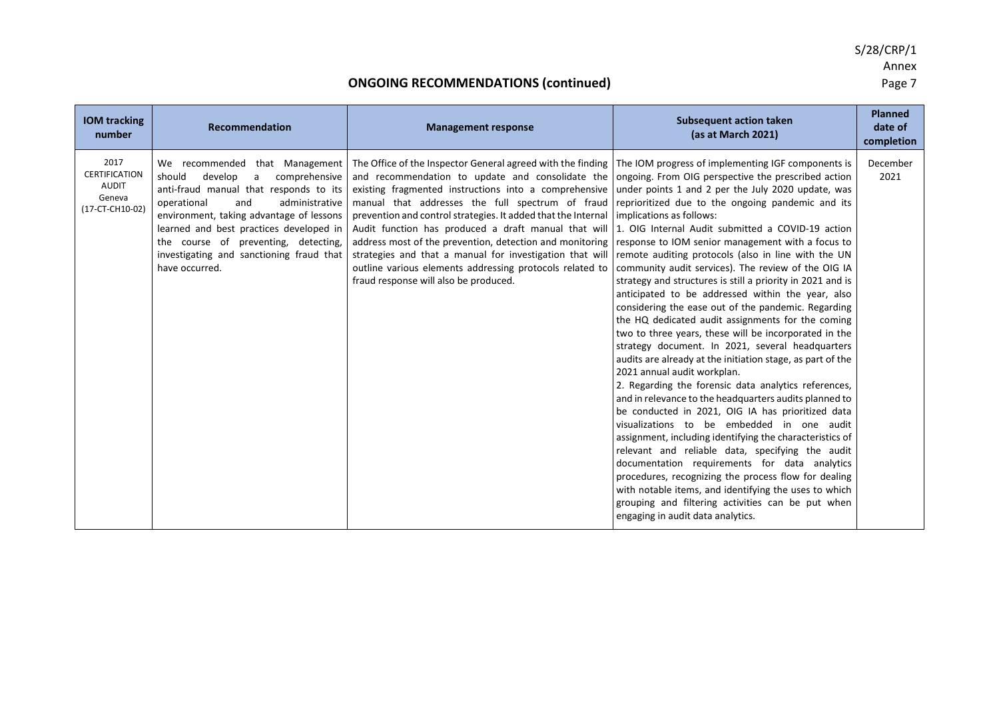S/28/CRP/1 Annex

#### **ONGOING RECOMMENDATIONS (continued) Page 7 Page 7**

**IOM tracking number Recommendation Management response Subsequent action taken (as at March 2021) Planned date of completion** 2017 **CERTIFICATION** AUDIT Geneva (17-CT-CH10-02) We recommended that Management should develop a comprehensive anti-fraud manual that responds to its operational and administrative environment, taking advantage of lessons learned and best practices developed in the course of preventing, detecting, investigating and sanctioning fraud that have occurred. The Office of the Inspector General agreed with the finding The IOM progress of implementing IGF components is and recommendation to update and consolidate the existing fragmented instructions into a comprehensive manual that addresses the full spectrum of fraud prevention and control strategies. It added that the Internal Audit function has produced a draft manual that will address most of the prevention, detection and monitoring strategies and that a manual for investigation that will outline various elements addressing protocols related to fraud response will also be produced. ongoing. From OIG perspective the prescribed action under points 1 and 2 per the July 2020 update, was reprioritized due to the ongoing pandemic and its implications as follows: 1. OIG Internal Audit submitted a COVID-19 action response to IOM senior management with a focus to remote auditing protocols (also in line with the UN community audit services). The review of the OIG IA strategy and structures is still a priority in 2021 and is anticipated to be addressed within the year, also considering the ease out of the pandemic. Regarding the HQ dedicated audit assignments for the coming two to three years, these will be incorporated in the strategy document. In 2021, several headquarters audits are already at the initiation stage, as part of the 2021 annual audit workplan. 2. Regarding the forensic data analytics references, and in relevance to the headquarters audits planned to be conducted in 2021, OIG IA has prioritized data visualizations to be embedded in one audit assignment, including identifying the characteristics of relevant and reliable data, specifying the audit documentation requirements for data analytics procedures, recognizing the process flow for dealing with notable items, and identifying the uses to which grouping and filtering activities can be put when engaging in audit data analytics. December 2021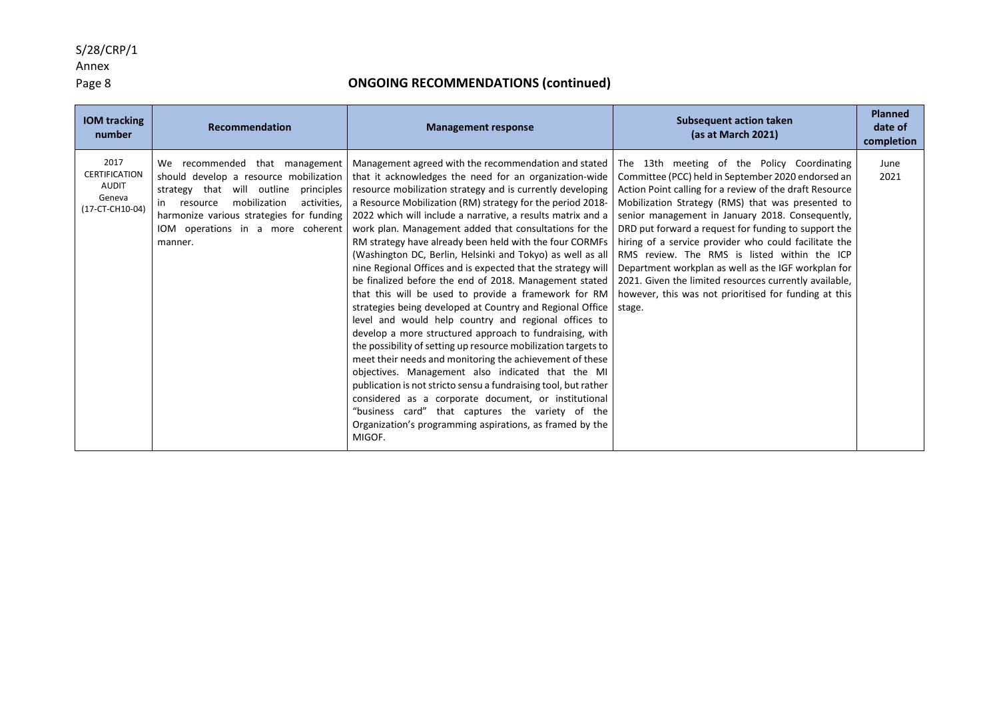## S/28/CRP/1

# Annex<br>Page 8

| <b>IOM tracking</b><br>number                                      | Recommendation                                                                                                                                                                                                                                                 | <b>Management response</b>                                                                                                                                                                                                                                                                                                                                                                                                                                                                                                                                                                                                                                                                                                                                                                                                                                                                                                                                                                                                                                                                                                                                                                                                                                                                               | <b>Subsequent action taken</b><br>(as at March 2021)                                                                                                                                                                                                                                                                                                                                                                                                                                                                                                                                                                       | <b>Planned</b><br>date of<br>completion |
|--------------------------------------------------------------------|----------------------------------------------------------------------------------------------------------------------------------------------------------------------------------------------------------------------------------------------------------------|----------------------------------------------------------------------------------------------------------------------------------------------------------------------------------------------------------------------------------------------------------------------------------------------------------------------------------------------------------------------------------------------------------------------------------------------------------------------------------------------------------------------------------------------------------------------------------------------------------------------------------------------------------------------------------------------------------------------------------------------------------------------------------------------------------------------------------------------------------------------------------------------------------------------------------------------------------------------------------------------------------------------------------------------------------------------------------------------------------------------------------------------------------------------------------------------------------------------------------------------------------------------------------------------------------|----------------------------------------------------------------------------------------------------------------------------------------------------------------------------------------------------------------------------------------------------------------------------------------------------------------------------------------------------------------------------------------------------------------------------------------------------------------------------------------------------------------------------------------------------------------------------------------------------------------------------|-----------------------------------------|
| 2017<br><b>CERTIFICATION</b><br>AUDIT<br>Geneva<br>(17-CT-CH10-04) | We recommended that management<br>should develop a resource mobilization<br>strategy that will outline<br>principles<br>mobilization<br>activities.<br>in resource<br>harmonize various strategies for funding<br>IOM operations in a more coherent<br>manner. | Management agreed with the recommendation and stated  <br>that it acknowledges the need for an organization-wide<br>resource mobilization strategy and is currently developing<br>a Resource Mobilization (RM) strategy for the period 2018-<br>2022 which will include a narrative, a results matrix and a<br>work plan. Management added that consultations for the<br>RM strategy have already been held with the four CORMFs<br>(Washington DC, Berlin, Helsinki and Tokyo) as well as all<br>nine Regional Offices and is expected that the strategy will<br>be finalized before the end of 2018. Management stated<br>that this will be used to provide a framework for RM<br>strategies being developed at Country and Regional Office<br>level and would help country and regional offices to<br>develop a more structured approach to fundraising, with<br>the possibility of setting up resource mobilization targets to<br>meet their needs and monitoring the achievement of these<br>objectives. Management also indicated that the MI<br>publication is not stricto sensu a fundraising tool, but rather<br>considered as a corporate document, or institutional<br>"business card" that captures the variety of the<br>Organization's programming aspirations, as framed by the<br>MIGOF. | The 13th meeting of the Policy Coordinating<br>Committee (PCC) held in September 2020 endorsed an<br>Action Point calling for a review of the draft Resource<br>Mobilization Strategy (RMS) that was presented to<br>senior management in January 2018. Consequently,<br>DRD put forward a request for funding to support the<br>hiring of a service provider who could facilitate the<br>RMS review. The RMS is listed within the ICP<br>Department workplan as well as the IGF workplan for<br>2021. Given the limited resources currently available,<br>however, this was not prioritised for funding at this<br>stage. | June<br>2021                            |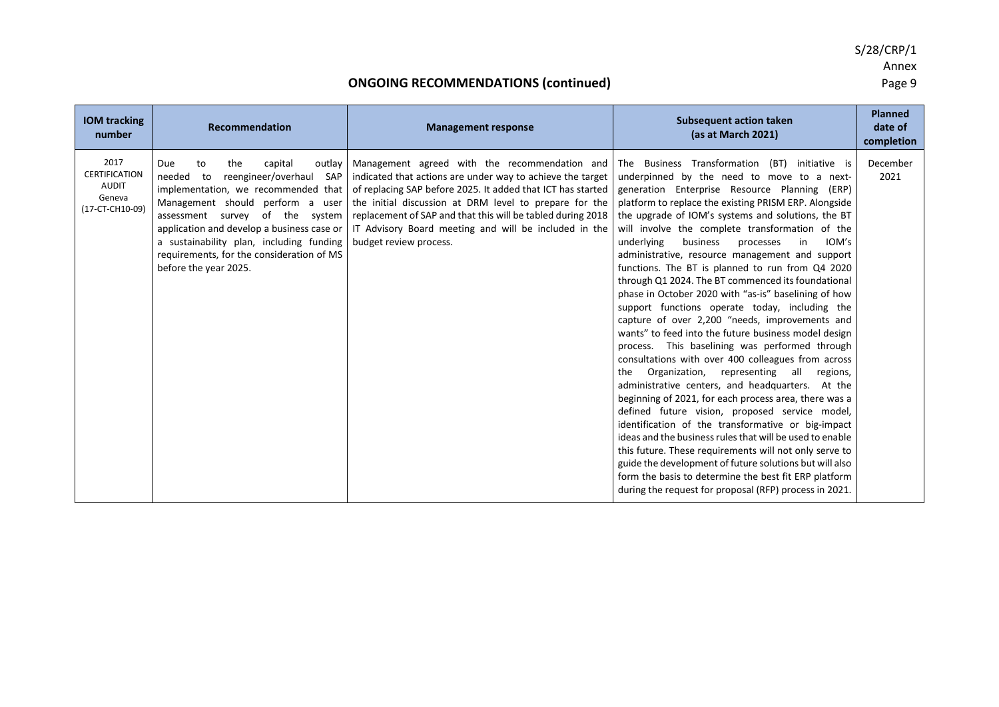| <b>IOM</b> tracking<br>number                                             | <b>Recommendation</b>                                                                                                                                                                                                                                                                                                                                          | <b>Management response</b>                                                                                                                                                                                                                                                                                                                                                             | <b>Subsequent action taken</b><br>(as at March 2021)                                                                                                                                                                                                                                                                                                                                                                                                                                                                                                                                                                                                                                                                                                                                                                                                                                                                                                                                                                                                                                                                                                                                                                                                                                                                                                                                                                                      | <b>Planned</b><br>date of<br>completion |
|---------------------------------------------------------------------------|----------------------------------------------------------------------------------------------------------------------------------------------------------------------------------------------------------------------------------------------------------------------------------------------------------------------------------------------------------------|----------------------------------------------------------------------------------------------------------------------------------------------------------------------------------------------------------------------------------------------------------------------------------------------------------------------------------------------------------------------------------------|-------------------------------------------------------------------------------------------------------------------------------------------------------------------------------------------------------------------------------------------------------------------------------------------------------------------------------------------------------------------------------------------------------------------------------------------------------------------------------------------------------------------------------------------------------------------------------------------------------------------------------------------------------------------------------------------------------------------------------------------------------------------------------------------------------------------------------------------------------------------------------------------------------------------------------------------------------------------------------------------------------------------------------------------------------------------------------------------------------------------------------------------------------------------------------------------------------------------------------------------------------------------------------------------------------------------------------------------------------------------------------------------------------------------------------------------|-----------------------------------------|
| 2017<br><b>CERTIFICATION</b><br><b>AUDIT</b><br>Geneva<br>(17-CT-CH10-09) | the<br>capital<br>to<br>outlay<br>Due<br>reengineer/overhaul SAP<br>needed<br>to<br>implementation, we recommended that<br>Management should perform a user<br>assessment survey of the system<br>application and develop a business case or<br>a sustainability plan, including funding<br>requirements, for the consideration of MS<br>before the year 2025. | Management agreed with the recommendation and<br>indicated that actions are under way to achieve the target<br>of replacing SAP before 2025. It added that ICT has started<br>the initial discussion at DRM level to prepare for the<br>replacement of SAP and that this will be tabled during 2018<br>IT Advisory Board meeting and will be included in the<br>budget review process. | The Business Transformation (BT) initiative is<br>underpinned by the need to move to a next-<br>generation Enterprise Resource Planning (ERP)<br>platform to replace the existing PRISM ERP. Alongside<br>the upgrade of IOM's systems and solutions, the BT<br>will involve the complete transformation of the<br>IOM's<br>underlying<br>business<br>processes<br>in<br>administrative, resource management and support<br>functions. The BT is planned to run from Q4 2020<br>through Q1 2024. The BT commenced its foundational<br>phase in October 2020 with "as-is" baselining of how<br>support functions operate today, including the<br>capture of over 2,200 "needs, improvements and<br>wants" to feed into the future business model design<br>process. This baselining was performed through<br>consultations with over 400 colleagues from across<br>Organization, representing all regions,<br>the<br>administrative centers, and headquarters. At the<br>beginning of 2021, for each process area, there was a<br>defined future vision, proposed service model,<br>identification of the transformative or big-impact<br>ideas and the business rules that will be used to enable<br>this future. These requirements will not only serve to<br>guide the development of future solutions but will also<br>form the basis to determine the best fit ERP platform<br>during the request for proposal (RFP) process in 2021. | December<br>2021                        |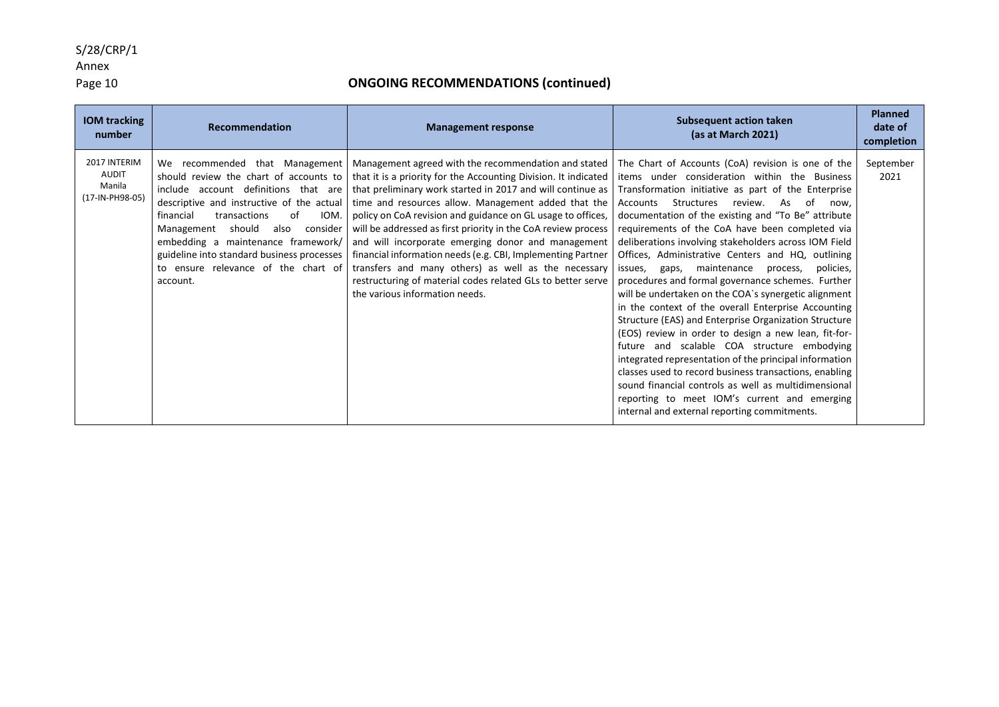Annex<br>Page 10

| <b>IOM tracking</b><br>number                             | <b>Recommendation</b>                                                                                                                                                                                                                                                                                                                                                                       | <b>Management response</b>                                                                                                                                                                                                                                                                                                                                                                                                                                                                                                                                                                                                                                                                                     | <b>Subsequent action taken</b><br>(as at March 2021)                                                                                                                                                                                                                                                                                                                                                                                                                                                                                                                                                                                                                                                                                                                                                                                                                                                                                                                                                                                                  | <b>Planned</b><br>date of<br>completion |
|-----------------------------------------------------------|---------------------------------------------------------------------------------------------------------------------------------------------------------------------------------------------------------------------------------------------------------------------------------------------------------------------------------------------------------------------------------------------|----------------------------------------------------------------------------------------------------------------------------------------------------------------------------------------------------------------------------------------------------------------------------------------------------------------------------------------------------------------------------------------------------------------------------------------------------------------------------------------------------------------------------------------------------------------------------------------------------------------------------------------------------------------------------------------------------------------|-------------------------------------------------------------------------------------------------------------------------------------------------------------------------------------------------------------------------------------------------------------------------------------------------------------------------------------------------------------------------------------------------------------------------------------------------------------------------------------------------------------------------------------------------------------------------------------------------------------------------------------------------------------------------------------------------------------------------------------------------------------------------------------------------------------------------------------------------------------------------------------------------------------------------------------------------------------------------------------------------------------------------------------------------------|-----------------------------------------|
| 2017 INTERIM<br><b>AUDIT</b><br>Manila<br>(17-IN-PH98-05) | We recommended that Management<br>should review the chart of accounts to<br>include account definitions that are<br>descriptive and instructive of the actual<br>IOM.<br>financial<br>transactions<br>of<br>should<br>consider<br>Management<br>also<br>embedding a maintenance framework/<br>guideline into standard business processes<br>to ensure relevance of the chart of<br>account. | Management agreed with the recommendation and stated   The Chart of Accounts (CoA) revision is one of the<br>that it is a priority for the Accounting Division. It indicated<br>that preliminary work started in 2017 and will continue as<br>time and resources allow. Management added that the<br>policy on CoA revision and guidance on GL usage to offices,<br>will be addressed as first priority in the CoA review process<br>and will incorporate emerging donor and management<br>financial information needs (e.g. CBI, Implementing Partner<br>transfers and many others) as well as the necessary<br>restructuring of material codes related GLs to better serve<br>the various information needs. | items under consideration within the Business<br>Transformation initiative as part of the Enterprise<br>Structures<br>review. As of<br>Accounts<br>now.<br>documentation of the existing and "To Be" attribute<br>requirements of the CoA have been completed via<br>deliberations involving stakeholders across IOM Field<br>Offices, Administrative Centers and HQ, outlining<br>gaps, maintenance process,<br>issues,<br>policies,<br>procedures and formal governance schemes. Further<br>will be undertaken on the COA's synergetic alignment<br>in the context of the overall Enterprise Accounting<br>Structure (EAS) and Enterprise Organization Structure<br>(EOS) review in order to design a new lean, fit-for-<br>future and scalable COA structure embodying<br>integrated representation of the principal information<br>classes used to record business transactions, enabling<br>sound financial controls as well as multidimensional<br>reporting to meet IOM's current and emerging<br>internal and external reporting commitments. | September<br>2021                       |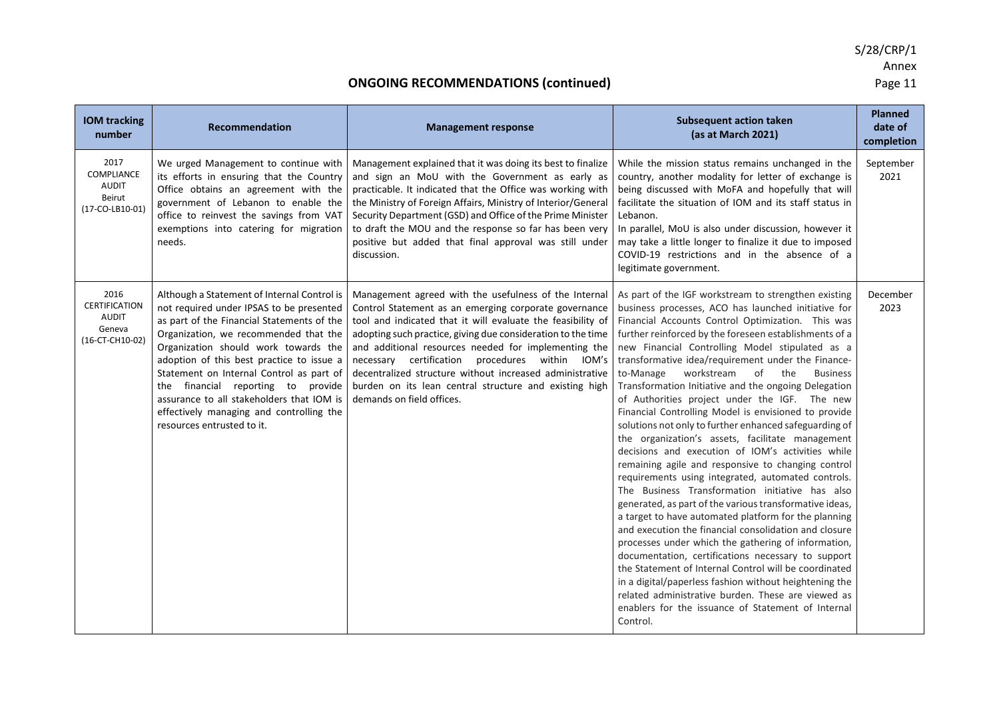| <b>IOM tracking</b><br>number                                             | Recommendation                                                                                                                                                                                                                                                                                                                                                                                                                                                               | <b>Management response</b>                                                                                                                                                                                                                                                                                                                                                                                                                                                                                  | <b>Subsequent action taken</b><br>(as at March 2021)                                                                                                                                                                                                                                                                                                                                                                                                                                                                                                                                                                                                                                                                                                                                                                                                                                                                                                                                                                                                                                                                                                                                                                                                                                                                                                                                                                                  | <b>Planned</b><br>date of<br>completion |
|---------------------------------------------------------------------------|------------------------------------------------------------------------------------------------------------------------------------------------------------------------------------------------------------------------------------------------------------------------------------------------------------------------------------------------------------------------------------------------------------------------------------------------------------------------------|-------------------------------------------------------------------------------------------------------------------------------------------------------------------------------------------------------------------------------------------------------------------------------------------------------------------------------------------------------------------------------------------------------------------------------------------------------------------------------------------------------------|---------------------------------------------------------------------------------------------------------------------------------------------------------------------------------------------------------------------------------------------------------------------------------------------------------------------------------------------------------------------------------------------------------------------------------------------------------------------------------------------------------------------------------------------------------------------------------------------------------------------------------------------------------------------------------------------------------------------------------------------------------------------------------------------------------------------------------------------------------------------------------------------------------------------------------------------------------------------------------------------------------------------------------------------------------------------------------------------------------------------------------------------------------------------------------------------------------------------------------------------------------------------------------------------------------------------------------------------------------------------------------------------------------------------------------------|-----------------------------------------|
| 2017<br><b>COMPLIANCE</b><br><b>AUDIT</b><br>Beirut<br>(17-CO-LB10-01)    | We urged Management to continue with<br>its efforts in ensuring that the Country<br>Office obtains an agreement with the<br>government of Lebanon to enable the<br>office to reinvest the savings from VAT<br>exemptions into catering for migration<br>needs.                                                                                                                                                                                                               | Management explained that it was doing its best to finalize<br>and sign an MoU with the Government as early as<br>practicable. It indicated that the Office was working with<br>the Ministry of Foreign Affairs, Ministry of Interior/General<br>Security Department (GSD) and Office of the Prime Minister<br>to draft the MOU and the response so far has been very<br>positive but added that final approval was still under<br>discussion.                                                              | While the mission status remains unchanged in the<br>country, another modality for letter of exchange is<br>being discussed with MoFA and hopefully that will<br>facilitate the situation of IOM and its staff status in<br>Lebanon.<br>In parallel, MoU is also under discussion, however it<br>may take a little longer to finalize it due to imposed<br>COVID-19 restrictions and in the absence of a<br>legitimate government.                                                                                                                                                                                                                                                                                                                                                                                                                                                                                                                                                                                                                                                                                                                                                                                                                                                                                                                                                                                                    | September<br>2021                       |
| 2016<br><b>CERTIFICATION</b><br><b>AUDIT</b><br>Geneva<br>(16-CT-CH10-02) | Although a Statement of Internal Control is<br>not required under IPSAS to be presented<br>as part of the Financial Statements of the<br>Organization, we recommended that the<br>Organization should work towards the<br>adoption of this best practice to issue a<br>Statement on Internal Control as part of<br>the financial reporting to provide<br>assurance to all stakeholders that IOM is<br>effectively managing and controlling the<br>resources entrusted to it. | Management agreed with the usefulness of the Internal<br>Control Statement as an emerging corporate governance<br>tool and indicated that it will evaluate the feasibility of<br>adopting such practice, giving due consideration to the time<br>and additional resources needed for implementing the<br>necessary certification procedures within IOM's<br>decentralized structure without increased administrative<br>burden on its lean central structure and existing high<br>demands on field offices. | As part of the IGF workstream to strengthen existing<br>business processes, ACO has launched initiative for<br>Financial Accounts Control Optimization. This was<br>further reinforced by the foreseen establishments of a<br>new Financial Controlling Model stipulated as a<br>transformative idea/requirement under the Finance-<br>workstream<br>of<br>to-Manage<br>the<br><b>Business</b><br>Transformation Initiative and the ongoing Delegation<br>of Authorities project under the IGF. The new<br>Financial Controlling Model is envisioned to provide<br>solutions not only to further enhanced safeguarding of<br>the organization's assets, facilitate management<br>decisions and execution of IOM's activities while<br>remaining agile and responsive to changing control<br>requirements using integrated, automated controls.<br>The Business Transformation initiative has also<br>generated, as part of the various transformative ideas,<br>a target to have automated platform for the planning<br>and execution the financial consolidation and closure<br>processes under which the gathering of information,<br>documentation, certifications necessary to support<br>the Statement of Internal Control will be coordinated<br>in a digital/paperless fashion without heightening the<br>related administrative burden. These are viewed as<br>enablers for the issuance of Statement of Internal<br>Control. | December<br>2023                        |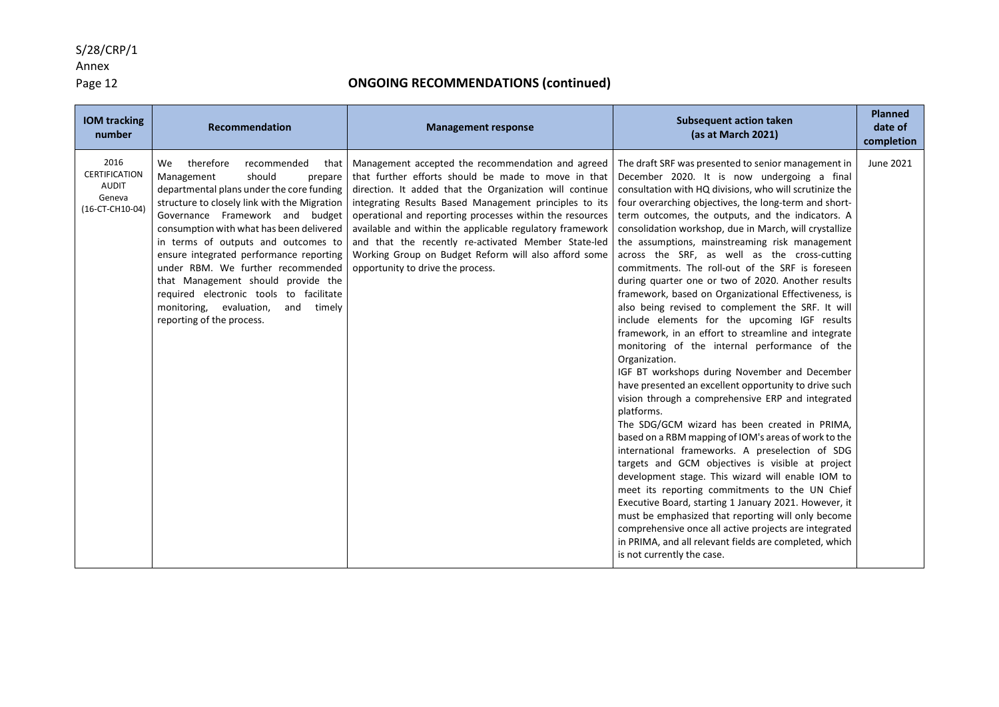Annex<br>Page 12

| <b>IOM tracking</b><br>number                                             | Recommendation                                                                                                                                                                                                                                                                                                                                                                                                                                                                                                                         | <b>Management response</b>                                                                                                                                                                                                                                                                                                                                                                                                                                                                                | <b>Subsequent action taken</b><br>(as at March 2021)                                                                                                                                                                                                                                                                                                                                                                                                                                                                                                                                                                                                                                                                                                                                                                                                                                                                                                                                                                                                                                                                                                                                                                                                                                                                                                                                                                                                                                                                                                                                                         | <b>Planned</b><br>date of<br>completion |
|---------------------------------------------------------------------------|----------------------------------------------------------------------------------------------------------------------------------------------------------------------------------------------------------------------------------------------------------------------------------------------------------------------------------------------------------------------------------------------------------------------------------------------------------------------------------------------------------------------------------------|-----------------------------------------------------------------------------------------------------------------------------------------------------------------------------------------------------------------------------------------------------------------------------------------------------------------------------------------------------------------------------------------------------------------------------------------------------------------------------------------------------------|--------------------------------------------------------------------------------------------------------------------------------------------------------------------------------------------------------------------------------------------------------------------------------------------------------------------------------------------------------------------------------------------------------------------------------------------------------------------------------------------------------------------------------------------------------------------------------------------------------------------------------------------------------------------------------------------------------------------------------------------------------------------------------------------------------------------------------------------------------------------------------------------------------------------------------------------------------------------------------------------------------------------------------------------------------------------------------------------------------------------------------------------------------------------------------------------------------------------------------------------------------------------------------------------------------------------------------------------------------------------------------------------------------------------------------------------------------------------------------------------------------------------------------------------------------------------------------------------------------------|-----------------------------------------|
| 2016<br><b>CERTIFICATION</b><br><b>AUDIT</b><br>Geneva<br>(16-CT-CH10-04) | therefore<br>We<br>recommended<br>that<br>should<br>Management<br>prepare<br>departmental plans under the core funding<br>structure to closely link with the Migration<br>Governance Framework and budget<br>consumption with what has been delivered<br>in terms of outputs and outcomes to<br>ensure integrated performance reporting<br>under RBM. We further recommended<br>that Management should provide the<br>required electronic tools to facilitate<br>monitoring, evaluation,<br>and<br>timely<br>reporting of the process. | Management accepted the recommendation and agreed<br>that further efforts should be made to move in that<br>direction. It added that the Organization will continue<br>integrating Results Based Management principles to its<br>operational and reporting processes within the resources<br>available and within the applicable regulatory framework<br>and that the recently re-activated Member State-led<br>Working Group on Budget Reform will also afford some<br>opportunity to drive the process. | The draft SRF was presented to senior management in<br>December 2020. It is now undergoing a final<br>consultation with HQ divisions, who will scrutinize the<br>four overarching objectives, the long-term and short-<br>term outcomes, the outputs, and the indicators. A<br>consolidation workshop, due in March, will crystallize<br>the assumptions, mainstreaming risk management<br>across the SRF, as well as the cross-cutting<br>commitments. The roll-out of the SRF is foreseen<br>during quarter one or two of 2020. Another results<br>framework, based on Organizational Effectiveness, is<br>also being revised to complement the SRF. It will<br>include elements for the upcoming IGF results<br>framework, in an effort to streamline and integrate<br>monitoring of the internal performance of the<br>Organization.<br>IGF BT workshops during November and December<br>have presented an excellent opportunity to drive such<br>vision through a comprehensive ERP and integrated<br>platforms.<br>The SDG/GCM wizard has been created in PRIMA,<br>based on a RBM mapping of IOM's areas of work to the<br>international frameworks. A preselection of SDG<br>targets and GCM objectives is visible at project<br>development stage. This wizard will enable IOM to<br>meet its reporting commitments to the UN Chief<br>Executive Board, starting 1 January 2021. However, it<br>must be emphasized that reporting will only become<br>comprehensive once all active projects are integrated<br>in PRIMA, and all relevant fields are completed, which<br>is not currently the case. | June 2021                               |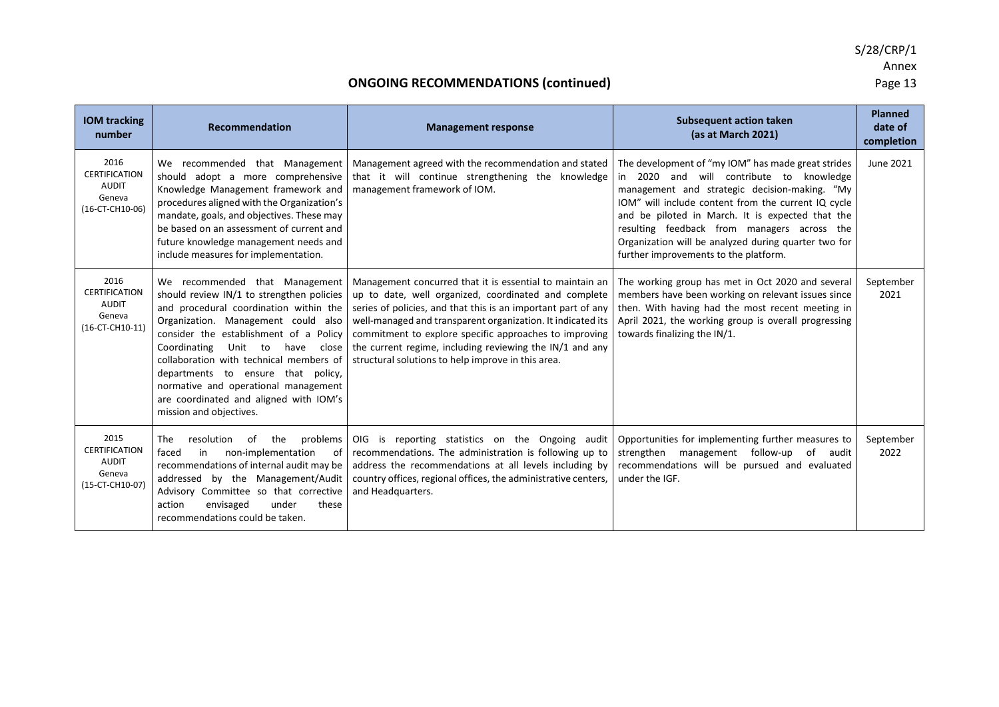| <b>IOM tracking</b><br>number                                             | Recommendation                                                                                                                                                                                                                                                                                                                                                                                                                                   | <b>Management response</b>                                                                                                                                                                                                                                                                                                                                                                                                   | <b>Subsequent action taken</b><br>(as at March 2021)                                                                                                                                                                                                                                                                                                                                                             | <b>Planned</b><br>date of<br>completion |
|---------------------------------------------------------------------------|--------------------------------------------------------------------------------------------------------------------------------------------------------------------------------------------------------------------------------------------------------------------------------------------------------------------------------------------------------------------------------------------------------------------------------------------------|------------------------------------------------------------------------------------------------------------------------------------------------------------------------------------------------------------------------------------------------------------------------------------------------------------------------------------------------------------------------------------------------------------------------------|------------------------------------------------------------------------------------------------------------------------------------------------------------------------------------------------------------------------------------------------------------------------------------------------------------------------------------------------------------------------------------------------------------------|-----------------------------------------|
| 2016<br><b>CERTIFICATION</b><br><b>AUDIT</b><br>Geneva<br>(16-CT-CH10-06) | We recommended that Management<br>should adopt a more comprehensive<br>Knowledge Management framework and<br>procedures aligned with the Organization's<br>mandate, goals, and objectives. These may<br>be based on an assessment of current and<br>future knowledge management needs and<br>include measures for implementation.                                                                                                                | Management agreed with the recommendation and stated<br>that it will continue strengthening the knowledge<br>management framework of IOM.                                                                                                                                                                                                                                                                                    | The development of "my IOM" has made great strides<br>and will contribute to knowledge<br>in<br>2020<br>management and strategic decision-making. "My<br>IOM" will include content from the current IQ cycle<br>and be piloted in March. It is expected that the<br>resulting feedback from managers across the<br>Organization will be analyzed during quarter two for<br>further improvements to the platform. | June 2021                               |
| 2016<br><b>CERTIFICATION</b><br><b>AUDIT</b><br>Geneva<br>(16-CT-CH10-11) | We recommended that Management<br>should review IN/1 to strengthen policies<br>and procedural coordination within the<br>Organization. Management could also<br>consider the establishment of a Policy<br>Coordinating<br>Unit to<br>have<br>close<br>collaboration with technical members of<br>departments to ensure that policy,<br>normative and operational management<br>are coordinated and aligned with IOM's<br>mission and objectives. | Management concurred that it is essential to maintain an<br>up to date, well organized, coordinated and complete<br>series of policies, and that this is an important part of any<br>well-managed and transparent organization. It indicated its<br>commitment to explore specific approaches to improving<br>the current regime, including reviewing the IN/1 and any<br>structural solutions to help improve in this area. | The working group has met in Oct 2020 and several<br>members have been working on relevant issues since<br>then. With having had the most recent meeting in<br>April 2021, the working group is overall progressing<br>towards finalizing the IN/1.                                                                                                                                                              | September<br>2021                       |
| 2015<br><b>CERTIFICATION</b><br>AUDIT<br>Geneva<br>(15-CT-CH10-07)        | problems<br>The<br>resolution<br>the<br>0f<br>non-implementation<br>faced<br>in<br>of<br>recommendations of internal audit may be<br>addressed by the Management/Audit<br>Advisory Committee so that corrective<br>envisaged<br>these<br>action<br>under<br>recommendations could be taken.                                                                                                                                                      | OIG is reporting statistics on the Ongoing audit<br>recommendations. The administration is following up to<br>address the recommendations at all levels including by<br>country offices, regional offices, the administrative centers,<br>and Headquarters.                                                                                                                                                                  | Opportunities for implementing further measures to<br>strengthen management follow-up of audit<br>recommendations will be pursued and evaluated<br>under the IGF.                                                                                                                                                                                                                                                | September<br>2022                       |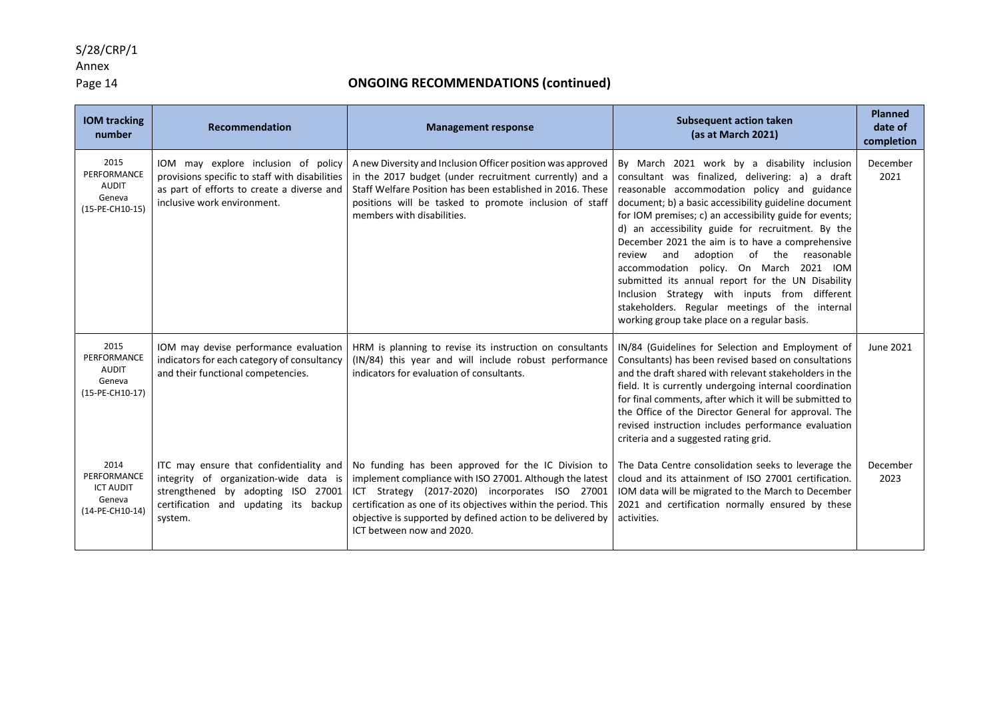#### Annex

### Page 14 **ONGOING RECOMMENDATIONS (continued)**

| <b>IOM tracking</b><br>number                                        | Recommendation                                                                                                                                                              | <b>Management response</b>                                                                                                                                                                                                                                                                                                       | <b>Subsequent action taken</b><br>(as at March 2021)                                                                                                                                                                                                                                                                                                                                                                                                                                                                                                                                                                                                                               | <b>Planned</b><br>date of<br>completion |
|----------------------------------------------------------------------|-----------------------------------------------------------------------------------------------------------------------------------------------------------------------------|----------------------------------------------------------------------------------------------------------------------------------------------------------------------------------------------------------------------------------------------------------------------------------------------------------------------------------|------------------------------------------------------------------------------------------------------------------------------------------------------------------------------------------------------------------------------------------------------------------------------------------------------------------------------------------------------------------------------------------------------------------------------------------------------------------------------------------------------------------------------------------------------------------------------------------------------------------------------------------------------------------------------------|-----------------------------------------|
| 2015<br>PERFORMANCE<br><b>AUDIT</b><br>Geneva<br>(15-PE-CH10-15)     | IOM may explore inclusion of policy<br>provisions specific to staff with disabilities<br>as part of efforts to create a diverse and<br>inclusive work environment.          | A new Diversity and Inclusion Officer position was approved<br>in the 2017 budget (under recruitment currently) and a<br>Staff Welfare Position has been established in 2016. These<br>positions will be tasked to promote inclusion of staff<br>members with disabilities.                                                      | By March 2021 work by a disability inclusion<br>consultant was finalized, delivering: a) a draft<br>reasonable accommodation policy and guidance<br>document; b) a basic accessibility guideline document<br>for IOM premises; c) an accessibility guide for events;<br>d) an accessibility guide for recruitment. By the<br>December 2021 the aim is to have a comprehensive<br>and<br>adoption of the<br>review<br>reasonable<br>accommodation policy. On March 2021 IOM<br>submitted its annual report for the UN Disability<br>Inclusion Strategy with inputs from different<br>stakeholders. Regular meetings of the internal<br>working group take place on a regular basis. | December<br>2021                        |
| 2015<br>PERFORMANCE<br><b>AUDIT</b><br>Geneva<br>(15-PE-CH10-17)     | IOM may devise performance evaluation<br>indicators for each category of consultancy<br>and their functional competencies.                                                  | HRM is planning to revise its instruction on consultants<br>(IN/84) this year and will include robust performance<br>indicators for evaluation of consultants.                                                                                                                                                                   | IN/84 (Guidelines for Selection and Employment of<br>Consultants) has been revised based on consultations<br>and the draft shared with relevant stakeholders in the<br>field. It is currently undergoing internal coordination<br>for final comments, after which it will be submitted to<br>the Office of the Director General for approval. The<br>revised instruction includes performance evaluation<br>criteria and a suggested rating grid.                                                                                                                                                                                                                                  | June 2021                               |
| 2014<br>PERFORMANCE<br><b>ICT AUDIT</b><br>Geneva<br>(14-PE-CH10-14) | ITC may ensure that confidentiality and<br>integrity of organization-wide data is<br>strengthened by adopting ISO 27001<br>certification and updating its backup<br>system. | No funding has been approved for the IC Division to<br>implement compliance with ISO 27001. Although the latest<br>ICT Strategy (2017-2020) incorporates ISO 27001<br>certification as one of its objectives within the period. This<br>objective is supported by defined action to be delivered by<br>ICT between now and 2020. | The Data Centre consolidation seeks to leverage the<br>cloud and its attainment of ISO 27001 certification.<br>IOM data will be migrated to the March to December<br>2021 and certification normally ensured by these<br>activities.                                                                                                                                                                                                                                                                                                                                                                                                                                               | December<br>2023                        |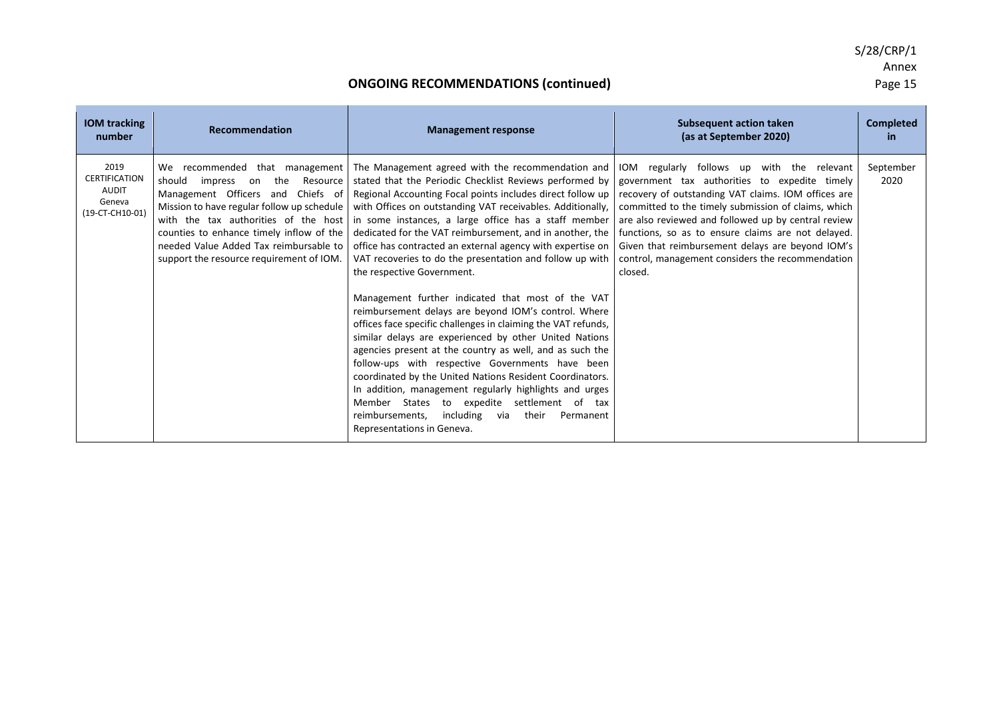| <b>IOM tracking</b><br>number                                             | <b>Recommendation</b>                                                                                                                                                                                                                                     | <b>Management response</b>                                                                                                                                                                                                                                                                                                                                                                                                                                                                                                                                                                                                                                                                                                                                                                                                                                                                                                                                                                                                                                                                                                                                                                                         | <b>Subsequent action taken</b><br>(as at September 2020)                                                                                                                                                                                                                                                                                                                                                                                  | <b>Completed</b><br>in. |
|---------------------------------------------------------------------------|-----------------------------------------------------------------------------------------------------------------------------------------------------------------------------------------------------------------------------------------------------------|--------------------------------------------------------------------------------------------------------------------------------------------------------------------------------------------------------------------------------------------------------------------------------------------------------------------------------------------------------------------------------------------------------------------------------------------------------------------------------------------------------------------------------------------------------------------------------------------------------------------------------------------------------------------------------------------------------------------------------------------------------------------------------------------------------------------------------------------------------------------------------------------------------------------------------------------------------------------------------------------------------------------------------------------------------------------------------------------------------------------------------------------------------------------------------------------------------------------|-------------------------------------------------------------------------------------------------------------------------------------------------------------------------------------------------------------------------------------------------------------------------------------------------------------------------------------------------------------------------------------------------------------------------------------------|-------------------------|
| 2019<br><b>CERTIFICATION</b><br><b>AUDIT</b><br>Geneva<br>(19-CT-CH10-01) | Resource<br>should<br>impress on the<br>Management Officers and Chiefs of<br>Mission to have regular follow up schedule<br>counties to enhance timely inflow of the<br>needed Value Added Tax reimbursable to<br>support the resource requirement of IOM. | We recommended that management   The Management agreed with the recommendation and<br>stated that the Periodic Checklist Reviews performed by<br>Regional Accounting Focal points includes direct follow up<br>with Offices on outstanding VAT receivables. Additionally,<br>with the tax authorities of the host in some instances, a large office has a staff member<br>dedicated for the VAT reimbursement, and in another, the<br>office has contracted an external agency with expertise on<br>VAT recoveries to do the presentation and follow up with<br>the respective Government.<br>Management further indicated that most of the VAT<br>reimbursement delays are beyond IOM's control. Where<br>offices face specific challenges in claiming the VAT refunds,<br>similar delays are experienced by other United Nations<br>agencies present at the country as well, and as such the<br>follow-ups with respective Governments have been<br>coordinated by the United Nations Resident Coordinators.<br>In addition, management regularly highlights and urges<br>Member States to expedite settlement of tax<br>including<br>via<br>their<br>reimbursements,<br>Permanent<br>Representations in Geneva. | IOM regularly follows up with the relevant<br>government tax authorities to expedite timely<br>recovery of outstanding VAT claims. IOM offices are<br>committed to the timely submission of claims, which<br>are also reviewed and followed up by central review<br>functions, so as to ensure claims are not delayed.<br>Given that reimbursement delays are beyond IOM's<br>control, management considers the recommendation<br>closed. | September<br>2020       |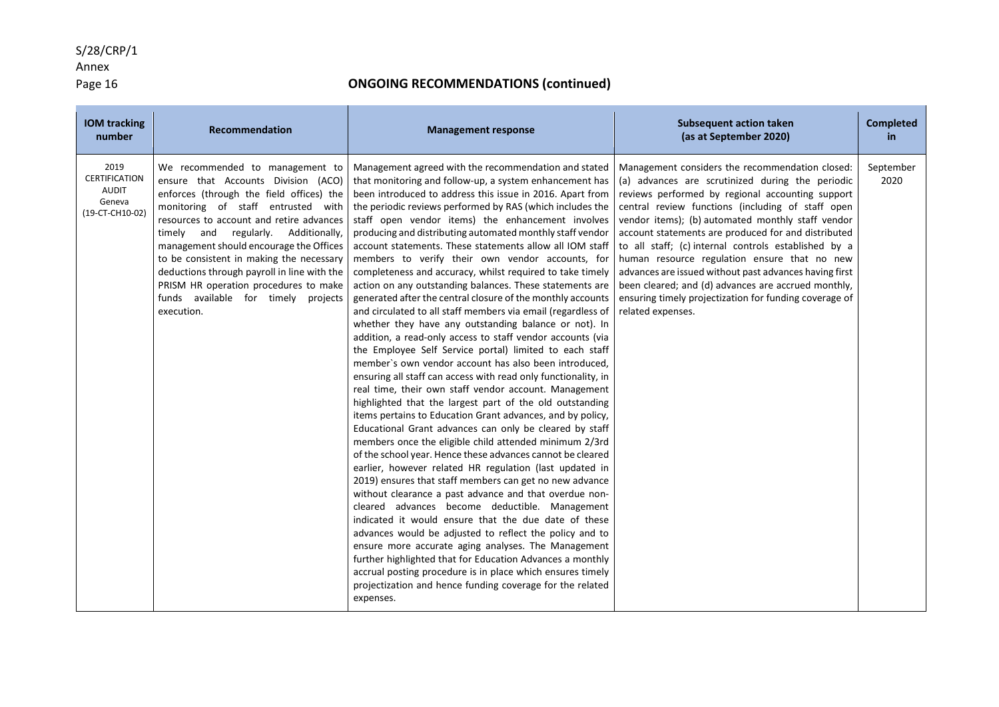### Annex

### Page 16 **ONGOING RECOMMENDATIONS (continued)**

| <b>IOM tracking</b><br>number                                             | <b>Recommendation</b>                                                                                                                                                                                                                                                                                                                                                                                                                                                              | <b>Management response</b>                                                                                                                                                                                                                                                                                                                                                                                                                                                                                                                                                                                                                                                                                                                                                                                                                                                                                                                                                                                                                                                                                                                                                                                                                                                                                                                                                                                                                                                                                                                                                                                                                                                                                                                                                                                                                                                                                                                                                                                                              | <b>Subsequent action taken</b><br>(as at September 2020)                                                                                                                                                                                                                                                                                                                                                                                                                                                                                                                                                                         | <b>Completed</b><br><b>in</b> |
|---------------------------------------------------------------------------|------------------------------------------------------------------------------------------------------------------------------------------------------------------------------------------------------------------------------------------------------------------------------------------------------------------------------------------------------------------------------------------------------------------------------------------------------------------------------------|-----------------------------------------------------------------------------------------------------------------------------------------------------------------------------------------------------------------------------------------------------------------------------------------------------------------------------------------------------------------------------------------------------------------------------------------------------------------------------------------------------------------------------------------------------------------------------------------------------------------------------------------------------------------------------------------------------------------------------------------------------------------------------------------------------------------------------------------------------------------------------------------------------------------------------------------------------------------------------------------------------------------------------------------------------------------------------------------------------------------------------------------------------------------------------------------------------------------------------------------------------------------------------------------------------------------------------------------------------------------------------------------------------------------------------------------------------------------------------------------------------------------------------------------------------------------------------------------------------------------------------------------------------------------------------------------------------------------------------------------------------------------------------------------------------------------------------------------------------------------------------------------------------------------------------------------------------------------------------------------------------------------------------------------|----------------------------------------------------------------------------------------------------------------------------------------------------------------------------------------------------------------------------------------------------------------------------------------------------------------------------------------------------------------------------------------------------------------------------------------------------------------------------------------------------------------------------------------------------------------------------------------------------------------------------------|-------------------------------|
| 2019<br><b>CERTIFICATION</b><br><b>AUDIT</b><br>Geneva<br>(19-CT-CH10-02) | We recommended to management to<br>ensure that Accounts Division (ACO)<br>enforces (through the field offices) the<br>monitoring of staff entrusted with<br>resources to account and retire advances<br>and regularly. Additionally,<br>timely<br>management should encourage the Offices<br>to be consistent in making the necessary<br>deductions through payroll in line with the<br>PRISM HR operation procedures to make<br>funds available for timely projects<br>execution. | Management agreed with the recommendation and stated<br>that monitoring and follow-up, a system enhancement has<br>been introduced to address this issue in 2016. Apart from<br>the periodic reviews performed by RAS (which includes the<br>staff open vendor items) the enhancement involves<br>producing and distributing automated monthly staff vendor<br>account statements. These statements allow all IOM staff<br>members to verify their own vendor accounts, for<br>completeness and accuracy, whilst required to take timely<br>action on any outstanding balances. These statements are<br>generated after the central closure of the monthly accounts<br>and circulated to all staff members via email (regardless of<br>whether they have any outstanding balance or not). In<br>addition, a read-only access to staff vendor accounts (via<br>the Employee Self Service portal) limited to each staff<br>member's own vendor account has also been introduced,<br>ensuring all staff can access with read only functionality, in<br>real time, their own staff vendor account. Management<br>highlighted that the largest part of the old outstanding<br>items pertains to Education Grant advances, and by policy,<br>Educational Grant advances can only be cleared by staff<br>members once the eligible child attended minimum 2/3rd<br>of the school year. Hence these advances cannot be cleared<br>earlier, however related HR regulation (last updated in<br>2019) ensures that staff members can get no new advance<br>without clearance a past advance and that overdue non-<br>cleared advances become deductible. Management<br>indicated it would ensure that the due date of these<br>advances would be adjusted to reflect the policy and to<br>ensure more accurate aging analyses. The Management<br>further highlighted that for Education Advances a monthly<br>accrual posting procedure is in place which ensures timely<br>projectization and hence funding coverage for the related<br>expenses. | Management considers the recommendation closed:<br>(a) advances are scrutinized during the periodic<br>reviews performed by regional accounting support<br>central review functions (including of staff open<br>vendor items); (b) automated monthly staff vendor<br>account statements are produced for and distributed<br>to all staff; (c) internal controls established by a<br>human resource regulation ensure that no new<br>advances are issued without past advances having first<br>been cleared; and (d) advances are accrued monthly,<br>ensuring timely projectization for funding coverage of<br>related expenses. | September<br>2020             |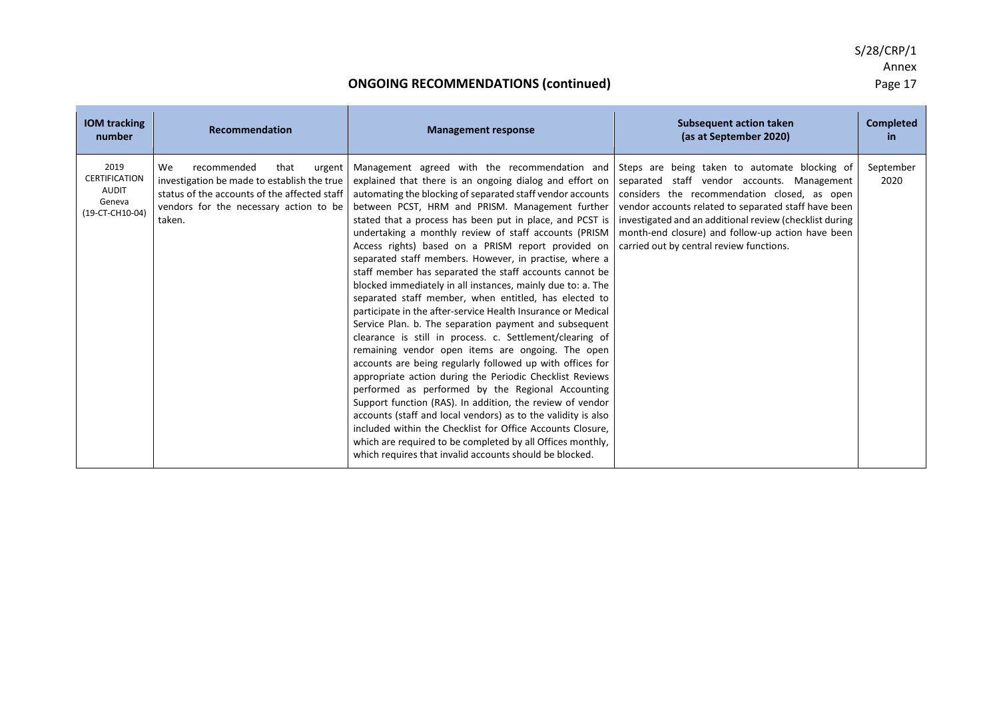| <b>IOM tracking</b><br>number                                             | Recommendation                                                                                                                                                                         | <b>Management response</b>                                                                                                                                                                                                                                                                                                                                                                                                                                                                                                                                                                                                                                                                                                                                                                                                                                                                                                                                                                                                                                                                                                                                                                                                                                                                                                                                                                                                                    | <b>Subsequent action taken</b><br>(as at September 2020)                                                                                                                                                                                                                                                        | <b>Completed</b><br>in. |
|---------------------------------------------------------------------------|----------------------------------------------------------------------------------------------------------------------------------------------------------------------------------------|-----------------------------------------------------------------------------------------------------------------------------------------------------------------------------------------------------------------------------------------------------------------------------------------------------------------------------------------------------------------------------------------------------------------------------------------------------------------------------------------------------------------------------------------------------------------------------------------------------------------------------------------------------------------------------------------------------------------------------------------------------------------------------------------------------------------------------------------------------------------------------------------------------------------------------------------------------------------------------------------------------------------------------------------------------------------------------------------------------------------------------------------------------------------------------------------------------------------------------------------------------------------------------------------------------------------------------------------------------------------------------------------------------------------------------------------------|-----------------------------------------------------------------------------------------------------------------------------------------------------------------------------------------------------------------------------------------------------------------------------------------------------------------|-------------------------|
| 2019<br><b>CERTIFICATION</b><br><b>AUDIT</b><br>Geneva<br>(19-CT-CH10-04) | We<br>recommended<br>that<br>urgent<br>investigation be made to establish the true<br>status of the accounts of the affected staff<br>vendors for the necessary action to be<br>taken. | Management agreed with the recommendation and Steps are being taken to automate blocking of<br>explained that there is an ongoing dialog and effort on<br>automating the blocking of separated staff vendor accounts<br>between PCST, HRM and PRISM. Management further<br>stated that a process has been put in place, and PCST is<br>undertaking a monthly review of staff accounts (PRISM<br>Access rights) based on a PRISM report provided on<br>separated staff members. However, in practise, where a<br>staff member has separated the staff accounts cannot be<br>blocked immediately in all instances, mainly due to: a. The<br>separated staff member, when entitled, has elected to<br>participate in the after-service Health Insurance or Medical<br>Service Plan. b. The separation payment and subsequent<br>clearance is still in process. c. Settlement/clearing of<br>remaining vendor open items are ongoing. The open<br>accounts are being regularly followed up with offices for<br>appropriate action during the Periodic Checklist Reviews<br>performed as performed by the Regional Accounting<br>Support function (RAS). In addition, the review of vendor<br>accounts (staff and local vendors) as to the validity is also<br>included within the Checklist for Office Accounts Closure.<br>which are required to be completed by all Offices monthly,<br>which requires that invalid accounts should be blocked. | separated staff vendor accounts. Management<br>considers the recommendation closed, as open<br>vendor accounts related to separated staff have been<br>investigated and an additional review (checklist during<br>month-end closure) and follow-up action have been<br>carried out by central review functions. | September<br>2020       |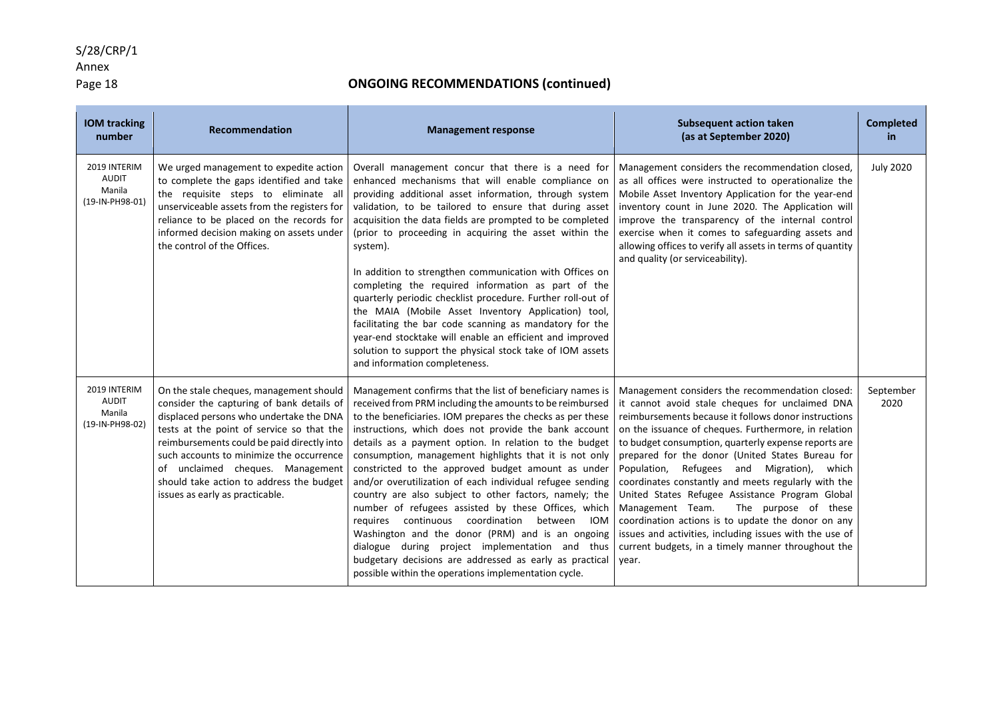### Annex

### Page 18 **ONGOING RECOMMENDATIONS (continued)**

| <b>IOM tracking</b><br>number                             | Recommendation                                                                                                                                                                                                                                                                                                                                                                            | <b>Management response</b>                                                                                                                                                                                                                                                                                                                                                                                                                                                                                                                                                                                                                                                                                                                                                                                                                                                        | <b>Subsequent action taken</b><br>(as at September 2020)                                                                                                                                                                                                                                                                                                                                                                                                                                                                                                                                                                                                                                                                 | <b>Completed</b><br>in |
|-----------------------------------------------------------|-------------------------------------------------------------------------------------------------------------------------------------------------------------------------------------------------------------------------------------------------------------------------------------------------------------------------------------------------------------------------------------------|-----------------------------------------------------------------------------------------------------------------------------------------------------------------------------------------------------------------------------------------------------------------------------------------------------------------------------------------------------------------------------------------------------------------------------------------------------------------------------------------------------------------------------------------------------------------------------------------------------------------------------------------------------------------------------------------------------------------------------------------------------------------------------------------------------------------------------------------------------------------------------------|--------------------------------------------------------------------------------------------------------------------------------------------------------------------------------------------------------------------------------------------------------------------------------------------------------------------------------------------------------------------------------------------------------------------------------------------------------------------------------------------------------------------------------------------------------------------------------------------------------------------------------------------------------------------------------------------------------------------------|------------------------|
| 2019 INTERIM<br><b>AUDIT</b><br>Manila<br>(19-IN-PH98-01) | We urged management to expedite action<br>to complete the gaps identified and take<br>the requisite steps to eliminate all<br>unserviceable assets from the registers for<br>reliance to be placed on the records for<br>informed decision making on assets under<br>the control of the Offices.                                                                                          | Overall management concur that there is a need for<br>enhanced mechanisms that will enable compliance on<br>providing additional asset information, through system<br>validation, to be tailored to ensure that during asset<br>acquisition the data fields are prompted to be completed<br>(prior to proceeding in acquiring the asset within the<br>system).<br>In addition to strengthen communication with Offices on<br>completing the required information as part of the<br>quarterly periodic checklist procedure. Further roll-out of<br>the MAIA (Mobile Asset Inventory Application) tool,<br>facilitating the bar code scanning as mandatory for the<br>year-end stocktake will enable an efficient and improved<br>solution to support the physical stock take of IOM assets<br>and information completeness.                                                        | Management considers the recommendation closed,<br>as all offices were instructed to operationalize the<br>Mobile Asset Inventory Application for the year-end<br>inventory count in June 2020. The Application will<br>improve the transparency of the internal control<br>exercise when it comes to safeguarding assets and<br>allowing offices to verify all assets in terms of quantity<br>and quality (or serviceability).                                                                                                                                                                                                                                                                                          | <b>July 2020</b>       |
| 2019 INTERIM<br><b>AUDIT</b><br>Manila<br>(19-IN-PH98-02) | On the stale cheques, management should<br>consider the capturing of bank details of<br>displaced persons who undertake the DNA<br>tests at the point of service so that the<br>reimbursements could be paid directly into<br>such accounts to minimize the occurrence<br>of unclaimed cheques. Management<br>should take action to address the budget<br>issues as early as practicable. | Management confirms that the list of beneficiary names is<br>received from PRM including the amounts to be reimbursed<br>to the beneficiaries. IOM prepares the checks as per these<br>instructions, which does not provide the bank account<br>details as a payment option. In relation to the budget<br>consumption, management highlights that it is not only<br>constricted to the approved budget amount as under<br>and/or overutilization of each individual refugee sending<br>country are also subject to other factors, namely; the<br>number of refugees assisted by these Offices, which<br>requires continuous coordination between<br>IOM<br>Washington and the donor (PRM) and is an ongoing<br>dialogue during project implementation and thus<br>budgetary decisions are addressed as early as practical<br>possible within the operations implementation cycle. | Management considers the recommendation closed:<br>it cannot avoid stale cheques for unclaimed DNA<br>reimbursements because it follows donor instructions<br>on the issuance of cheques. Furthermore, in relation<br>to budget consumption, quarterly expense reports are<br>prepared for the donor (United States Bureau for<br>Refugees and Migration),<br>Population,<br>which<br>coordinates constantly and meets regularly with the<br>United States Refugee Assistance Program Global<br>Management Team.<br>The purpose of these<br>coordination actions is to update the donor on any<br>issues and activities, including issues with the use of<br>current budgets, in a timely manner throughout the<br>year. | September<br>2020      |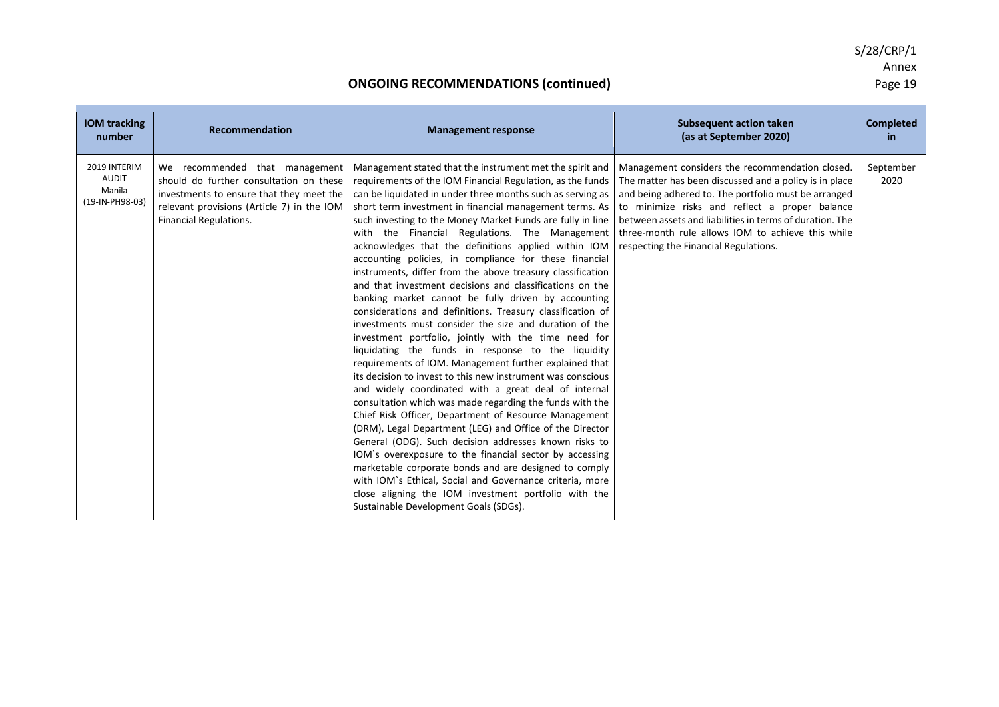| <b>IOM</b> tracking<br>number                             | <b>Recommendation</b>                                                                                                                                                                                | <b>Management response</b>                                                                                                                                                                                                                                                                                                                                                                                                                                                                                                                                                                                                                                                                                                                                                                                                                                                                                                                                                                                                                                                                                                                                                                                                                                                                                                                                                                                                                                                                                                                                                                                           | <b>Subsequent action taken</b><br>(as at September 2020)                                                                                                                                                                                                                                                                                                                      | <b>Completed</b><br>in. |
|-----------------------------------------------------------|------------------------------------------------------------------------------------------------------------------------------------------------------------------------------------------------------|----------------------------------------------------------------------------------------------------------------------------------------------------------------------------------------------------------------------------------------------------------------------------------------------------------------------------------------------------------------------------------------------------------------------------------------------------------------------------------------------------------------------------------------------------------------------------------------------------------------------------------------------------------------------------------------------------------------------------------------------------------------------------------------------------------------------------------------------------------------------------------------------------------------------------------------------------------------------------------------------------------------------------------------------------------------------------------------------------------------------------------------------------------------------------------------------------------------------------------------------------------------------------------------------------------------------------------------------------------------------------------------------------------------------------------------------------------------------------------------------------------------------------------------------------------------------------------------------------------------------|-------------------------------------------------------------------------------------------------------------------------------------------------------------------------------------------------------------------------------------------------------------------------------------------------------------------------------------------------------------------------------|-------------------------|
| 2019 INTERIM<br><b>AUDIT</b><br>Manila<br>(19-IN-PH98-03) | We recommended that management<br>should do further consultation on these<br>investments to ensure that they meet the<br>relevant provisions (Article 7) in the IOM<br><b>Financial Regulations.</b> | Management stated that the instrument met the spirit and<br>requirements of the IOM Financial Regulation, as the funds<br>can be liquidated in under three months such as serving as<br>short term investment in financial management terms. As<br>such investing to the Money Market Funds are fully in line<br>with the Financial Regulations. The Management<br>acknowledges that the definitions applied within IOM<br>accounting policies, in compliance for these financial<br>instruments, differ from the above treasury classification<br>and that investment decisions and classifications on the<br>banking market cannot be fully driven by accounting<br>considerations and definitions. Treasury classification of<br>investments must consider the size and duration of the<br>investment portfolio, jointly with the time need for<br>liquidating the funds in response to the liquidity<br>requirements of IOM. Management further explained that<br>its decision to invest to this new instrument was conscious<br>and widely coordinated with a great deal of internal<br>consultation which was made regarding the funds with the<br>Chief Risk Officer, Department of Resource Management<br>(DRM), Legal Department (LEG) and Office of the Director<br>General (ODG). Such decision addresses known risks to<br>IOM's overexposure to the financial sector by accessing<br>marketable corporate bonds and are designed to comply<br>with IOM's Ethical, Social and Governance criteria, more<br>close aligning the IOM investment portfolio with the<br>Sustainable Development Goals (SDGs). | Management considers the recommendation closed.<br>The matter has been discussed and a policy is in place<br>and being adhered to. The portfolio must be arranged<br>to minimize risks and reflect a proper balance<br>between assets and liabilities in terms of duration. The<br>three-month rule allows IOM to achieve this while<br>respecting the Financial Regulations. | September<br>2020       |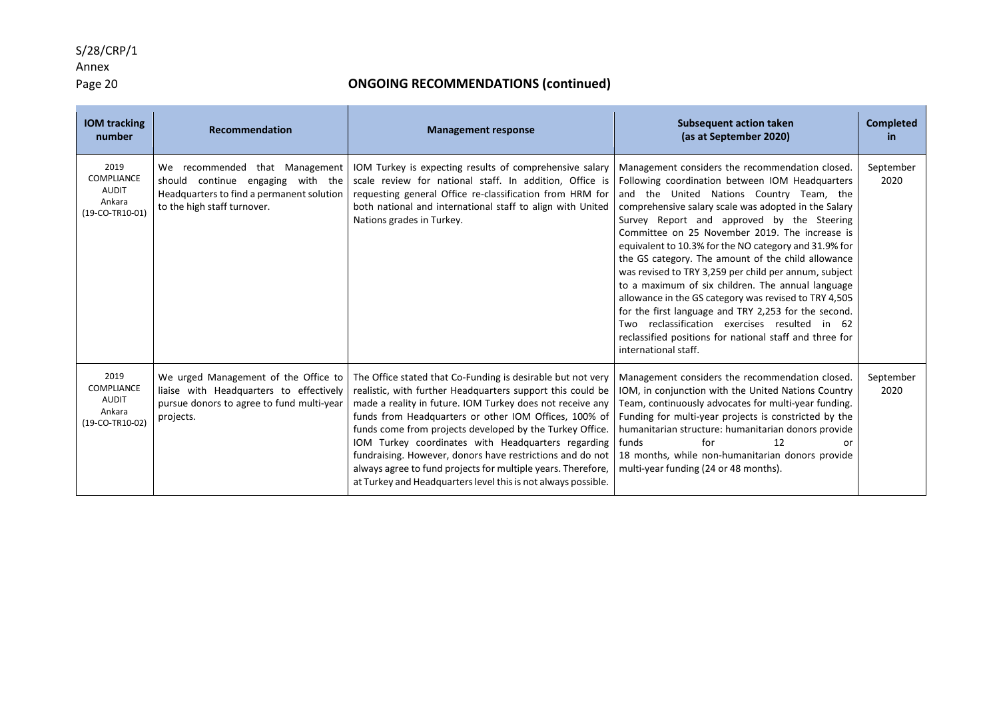Annex<br>Page 20

| <b>IOM</b> tracking<br>number                                          | Recommendation                                                                                                                                     | <b>Management response</b>                                                                                                                                                                                                                                                                                                                                                                                                                                                                                                                                      | <b>Subsequent action taken</b><br>(as at September 2020)                                                                                                                                                                                                                                                                                                                                                                                                                                                                                                                                                                                                                                                                                                                                 | <b>Completed</b><br>in. |
|------------------------------------------------------------------------|----------------------------------------------------------------------------------------------------------------------------------------------------|-----------------------------------------------------------------------------------------------------------------------------------------------------------------------------------------------------------------------------------------------------------------------------------------------------------------------------------------------------------------------------------------------------------------------------------------------------------------------------------------------------------------------------------------------------------------|------------------------------------------------------------------------------------------------------------------------------------------------------------------------------------------------------------------------------------------------------------------------------------------------------------------------------------------------------------------------------------------------------------------------------------------------------------------------------------------------------------------------------------------------------------------------------------------------------------------------------------------------------------------------------------------------------------------------------------------------------------------------------------------|-------------------------|
| 2019<br><b>COMPLIANCE</b><br><b>AUDIT</b><br>Ankara<br>(19-CO-TR10-01) | We recommended that Management<br>continue engaging with the<br>should<br>Headquarters to find a permanent solution<br>to the high staff turnover. | IOM Turkey is expecting results of comprehensive salary<br>scale review for national staff. In addition, Office is<br>requesting general Office re-classification from HRM for<br>both national and international staff to align with United<br>Nations grades in Turkey.                                                                                                                                                                                                                                                                                       | Management considers the recommendation closed.<br>Following coordination between IOM Headquarters<br>and the United Nations Country Team, the<br>comprehensive salary scale was adopted in the Salary<br>Survey Report and approved by the Steering<br>Committee on 25 November 2019. The increase is<br>equivalent to 10.3% for the NO category and 31.9% for<br>the GS category. The amount of the child allowance<br>was revised to TRY 3,259 per child per annum, subject<br>to a maximum of six children. The annual language<br>allowance in the GS category was revised to TRY 4,505<br>for the first language and TRY 2,253 for the second.<br>Two reclassification exercises resulted in 62<br>reclassified positions for national staff and three for<br>international staff. | September<br>2020       |
| 2019<br><b>COMPLIANCE</b><br><b>AUDIT</b><br>Ankara<br>(19-CO-TR10-02) | We urged Management of the Office to<br>liaise with Headquarters to effectively<br>pursue donors to agree to fund multi-year<br>projects.          | The Office stated that Co-Funding is desirable but not very<br>realistic, with further Headquarters support this could be<br>made a reality in future. IOM Turkey does not receive any<br>funds from Headquarters or other IOM Offices, 100% of<br>funds come from projects developed by the Turkey Office.<br>IOM Turkey coordinates with Headquarters regarding<br>fundraising. However, donors have restrictions and do not<br>always agree to fund projects for multiple years. Therefore,<br>at Turkey and Headquarters level this is not always possible. | Management considers the recommendation closed.<br>IOM, in conjunction with the United Nations Country<br>Team, continuously advocates for multi-year funding.<br>Funding for multi-year projects is constricted by the<br>humanitarian structure: humanitarian donors provide<br>for<br>12<br>funds<br>or<br>18 months, while non-humanitarian donors provide<br>multi-year funding (24 or 48 months).                                                                                                                                                                                                                                                                                                                                                                                  | September<br>2020       |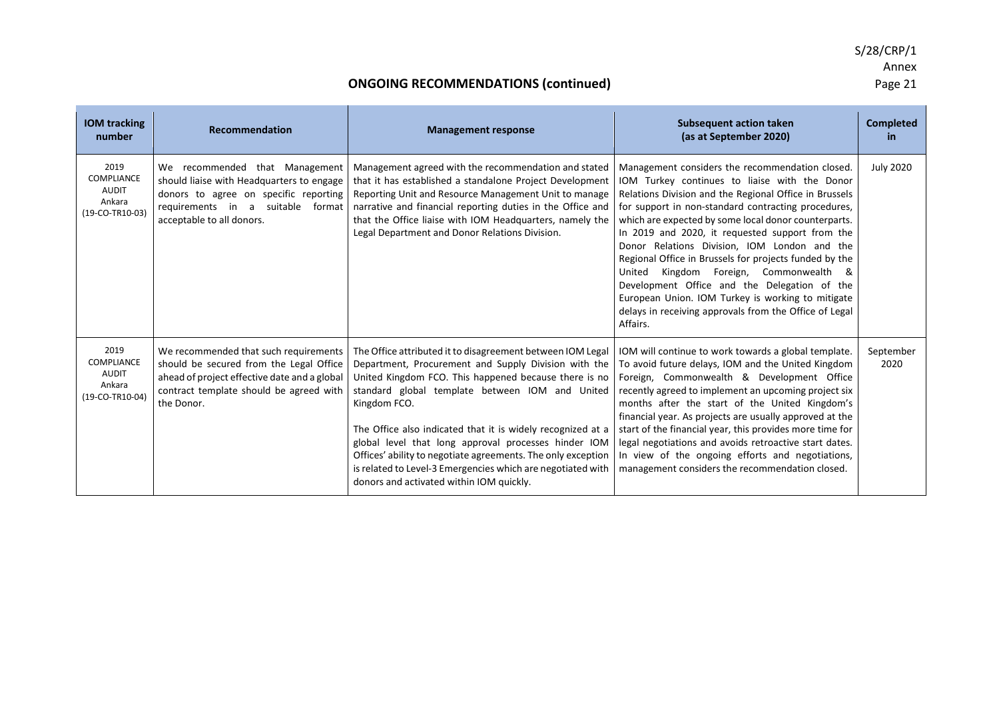| <b>IOM tracking</b><br>number                                          | Recommendation                                                                                                                                                                            | <b>Management response</b>                                                                                                                                                                                                                                                                                                                                                                                                                                                                                                                       | <b>Subsequent action taken</b><br>(as at September 2020)                                                                                                                                                                                                                                                                                                                                                                                                                                                                                                                                                                                                       | <b>Completed</b><br>in. |
|------------------------------------------------------------------------|-------------------------------------------------------------------------------------------------------------------------------------------------------------------------------------------|--------------------------------------------------------------------------------------------------------------------------------------------------------------------------------------------------------------------------------------------------------------------------------------------------------------------------------------------------------------------------------------------------------------------------------------------------------------------------------------------------------------------------------------------------|----------------------------------------------------------------------------------------------------------------------------------------------------------------------------------------------------------------------------------------------------------------------------------------------------------------------------------------------------------------------------------------------------------------------------------------------------------------------------------------------------------------------------------------------------------------------------------------------------------------------------------------------------------------|-------------------------|
| 2019<br><b>COMPLIANCE</b><br><b>AUDIT</b><br>Ankara<br>(19-CO-TR10-03) | We recommended that Management<br>should liaise with Headquarters to engage<br>donors to agree on specific reporting<br>requirements in a suitable<br>format<br>acceptable to all donors. | Management agreed with the recommendation and stated<br>that it has established a standalone Project Development<br>Reporting Unit and Resource Management Unit to manage<br>narrative and financial reporting duties in the Office and<br>that the Office liaise with IOM Headquarters, namely the<br>Legal Department and Donor Relations Division.                                                                                                                                                                                            | Management considers the recommendation closed.<br>IOM Turkey continues to liaise with the Donor<br>Relations Division and the Regional Office in Brussels<br>for support in non-standard contracting procedures,<br>which are expected by some local donor counterparts.<br>In 2019 and 2020, it requested support from the<br>Donor Relations Division, IOM London and the<br>Regional Office in Brussels for projects funded by the<br>Kingdom Foreign, Commonwealth &<br>United<br>Development Office and the Delegation of the<br>European Union. IOM Turkey is working to mitigate<br>delays in receiving approvals from the Office of Legal<br>Affairs. | <b>July 2020</b>        |
| 2019<br>COMPLIANCE<br><b>AUDIT</b><br>Ankara<br>(19-CO-TR10-04)        | We recommended that such requirements<br>should be secured from the Legal Office<br>ahead of project effective date and a global<br>contract template should be agreed with<br>the Donor. | The Office attributed it to disagreement between IOM Legal<br>Department, Procurement and Supply Division with the<br>United Kingdom FCO. This happened because there is no<br>standard global template between IOM and United<br>Kingdom FCO.<br>The Office also indicated that it is widely recognized at a<br>global level that long approval processes hinder IOM<br>Offices' ability to negotiate agreements. The only exception<br>is related to Level-3 Emergencies which are negotiated with<br>donors and activated within IOM quickly. | IOM will continue to work towards a global template.<br>To avoid future delays, IOM and the United Kingdom<br>Foreign, Commonwealth & Development Office<br>recently agreed to implement an upcoming project six<br>months after the start of the United Kingdom's<br>financial year. As projects are usually approved at the<br>start of the financial year, this provides more time for<br>legal negotiations and avoids retroactive start dates.<br>In view of the ongoing efforts and negotiations,<br>management considers the recommendation closed.                                                                                                     | September<br>2020       |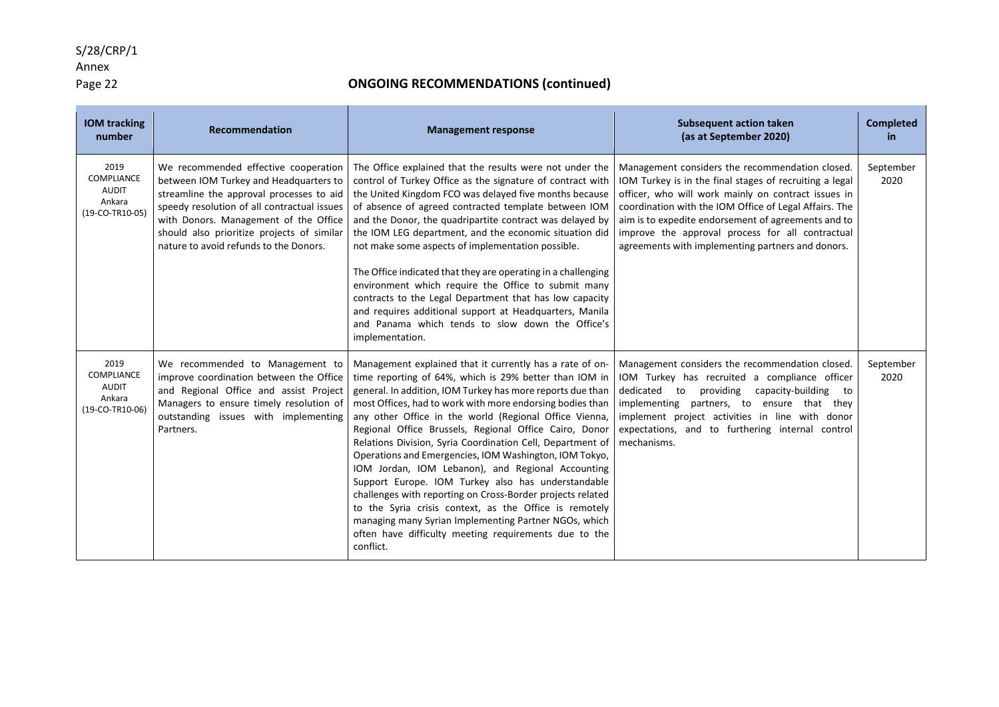### Annex

### Page 22 **ONGOING RECOMMENDATIONS (continued)**

| <b>IOM tracking</b><br>number                                          | <b>Recommendation</b>                                                                                                                                                                                                                                                                                      | <b>Management response</b>                                                                                                                                                                                                                                                                                                                                                                                                                                                                                                                                                                                                                                                                                                                                                                                                                                  | <b>Subsequent action taken</b><br>(as at September 2020)                                                                                                                                                                                                                                                                                                                                    | <b>Completed</b><br>in. |
|------------------------------------------------------------------------|------------------------------------------------------------------------------------------------------------------------------------------------------------------------------------------------------------------------------------------------------------------------------------------------------------|-------------------------------------------------------------------------------------------------------------------------------------------------------------------------------------------------------------------------------------------------------------------------------------------------------------------------------------------------------------------------------------------------------------------------------------------------------------------------------------------------------------------------------------------------------------------------------------------------------------------------------------------------------------------------------------------------------------------------------------------------------------------------------------------------------------------------------------------------------------|---------------------------------------------------------------------------------------------------------------------------------------------------------------------------------------------------------------------------------------------------------------------------------------------------------------------------------------------------------------------------------------------|-------------------------|
| 2019<br><b>COMPLIANCE</b><br><b>AUDIT</b><br>Ankara<br>(19-CO-TR10-05) | We recommended effective cooperation<br>between IOM Turkey and Headquarters to<br>streamline the approval processes to aid<br>speedy resolution of all contractual issues<br>with Donors. Management of the Office<br>should also prioritize projects of similar<br>nature to avoid refunds to the Donors. | The Office explained that the results were not under the<br>control of Turkey Office as the signature of contract with<br>the United Kingdom FCO was delayed five months because<br>of absence of agreed contracted template between IOM<br>and the Donor, the quadripartite contract was delayed by<br>the IOM LEG department, and the economic situation did<br>not make some aspects of implementation possible.<br>The Office indicated that they are operating in a challenging<br>environment which require the Office to submit many<br>contracts to the Legal Department that has low capacity<br>and requires additional support at Headquarters, Manila<br>and Panama which tends to slow down the Office's<br>implementation.                                                                                                                    | Management considers the recommendation closed.<br>IOM Turkey is in the final stages of recruiting a legal<br>officer, who will work mainly on contract issues in<br>coordination with the IOM Office of Legal Affairs. The<br>aim is to expedite endorsement of agreements and to<br>improve the approval process for all contractual<br>agreements with implementing partners and donors. | September<br>2020       |
| 2019<br><b>COMPLIANCE</b><br><b>AUDIT</b><br>Ankara<br>(19-CO-TR10-06) | We recommended to Management to<br>improve coordination between the Office<br>and Regional Office and assist Project<br>Managers to ensure timely resolution of<br>outstanding issues with implementing<br>Partners.                                                                                       | Management explained that it currently has a rate of on-<br>time reporting of 64%, which is 29% better than IOM in<br>general. In addition, IOM Turkey has more reports due than<br>most Offices, had to work with more endorsing bodies than<br>any other Office in the world (Regional Office Vienna,<br>Regional Office Brussels, Regional Office Cairo, Donor<br>Relations Division, Syria Coordination Cell, Department of<br>Operations and Emergencies, IOM Washington, IOM Tokyo,<br>IOM Jordan, IOM Lebanon), and Regional Accounting<br>Support Europe. IOM Turkey also has understandable<br>challenges with reporting on Cross-Border projects related<br>to the Syria crisis context, as the Office is remotely<br>managing many Syrian Implementing Partner NGOs, which<br>often have difficulty meeting requirements due to the<br>conflict. | Management considers the recommendation closed.<br>IOM Turkey has recruited a compliance officer<br>dedicated to providing capacity-building to<br>implementing partners, to ensure that they<br>implement project activities in line with donor<br>expectations, and to furthering internal control<br>mechanisms.                                                                         | September<br>2020       |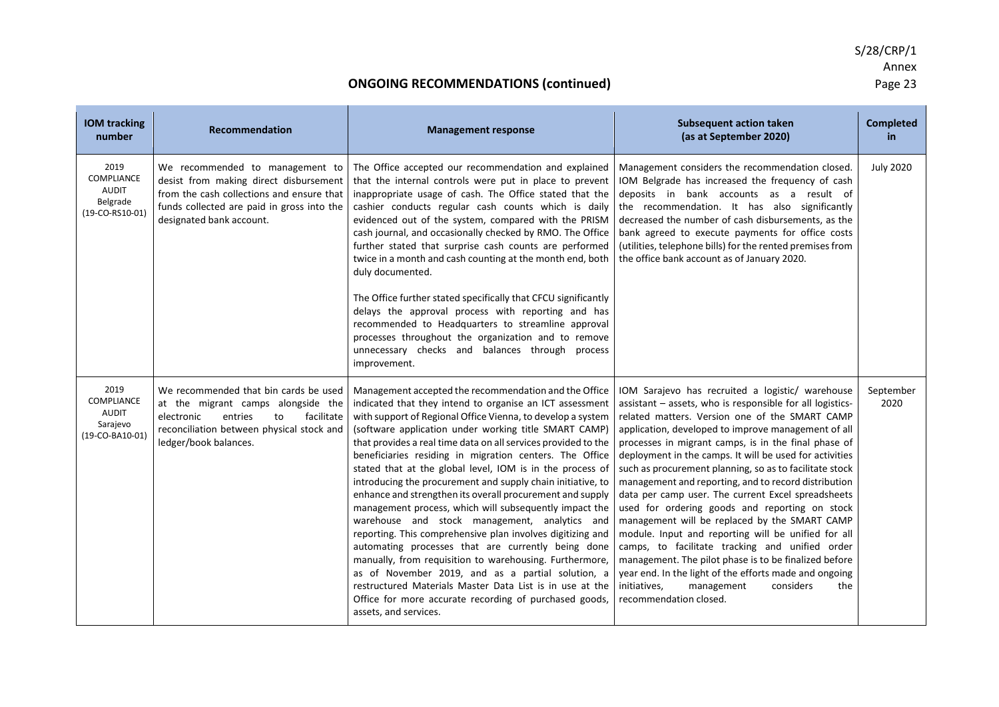| <b>IOM tracking</b><br>number                                            | <b>Recommendation</b>                                                                                                                                                                            | <b>Management response</b>                                                                                                                                                                                                                                                                                                                                                                                                                                                                                                                                                                                                                                                                                                                                                                                                                                                                                                                                                                                                                                    | <b>Subsequent action taken</b><br>(as at September 2020)                                                                                                                                                                                                                                                                                                                                                                                                                                                                                                                                                                                                                                                                                                                                                                                                                                                                       | <b>Completed</b><br>in. |
|--------------------------------------------------------------------------|--------------------------------------------------------------------------------------------------------------------------------------------------------------------------------------------------|---------------------------------------------------------------------------------------------------------------------------------------------------------------------------------------------------------------------------------------------------------------------------------------------------------------------------------------------------------------------------------------------------------------------------------------------------------------------------------------------------------------------------------------------------------------------------------------------------------------------------------------------------------------------------------------------------------------------------------------------------------------------------------------------------------------------------------------------------------------------------------------------------------------------------------------------------------------------------------------------------------------------------------------------------------------|--------------------------------------------------------------------------------------------------------------------------------------------------------------------------------------------------------------------------------------------------------------------------------------------------------------------------------------------------------------------------------------------------------------------------------------------------------------------------------------------------------------------------------------------------------------------------------------------------------------------------------------------------------------------------------------------------------------------------------------------------------------------------------------------------------------------------------------------------------------------------------------------------------------------------------|-------------------------|
| 2019<br><b>COMPLIANCE</b><br><b>AUDIT</b><br>Belgrade<br>(19-CO-RS10-01) | We recommended to management to<br>desist from making direct disbursement<br>from the cash collections and ensure that<br>funds collected are paid in gross into the<br>designated bank account. | The Office accepted our recommendation and explained<br>that the internal controls were put in place to prevent<br>inappropriate usage of cash. The Office stated that the<br>cashier conducts regular cash counts which is daily<br>evidenced out of the system, compared with the PRISM<br>cash journal, and occasionally checked by RMO. The Office<br>further stated that surprise cash counts are performed<br>twice in a month and cash counting at the month end, both<br>duly documented.<br>The Office further stated specifically that CFCU significantly<br>delays the approval process with reporting and has<br>recommended to Headquarters to streamline approval<br>processes throughout the organization and to remove<br>unnecessary checks and balances through process<br>improvement.                                                                                                                                                                                                                                                     | Management considers the recommendation closed.<br>IOM Belgrade has increased the frequency of cash<br>deposits in bank accounts as a result of<br>the recommendation. It has also significantly<br>decreased the number of cash disbursements, as the<br>bank agreed to execute payments for office costs<br>(utilities, telephone bills) for the rented premises from<br>the office bank account as of January 2020.                                                                                                                                                                                                                                                                                                                                                                                                                                                                                                         | <b>July 2020</b>        |
| 2019<br><b>COMPLIANCE</b><br><b>AUDIT</b><br>Sarajevo<br>(19-CO-BA10-01) | We recommended that bin cards be used<br>at the migrant camps alongside the<br>electronic<br>entries<br>facilitate<br>to<br>reconciliation between physical stock and<br>ledger/book balances.   | Management accepted the recommendation and the Office<br>indicated that they intend to organise an ICT assessment<br>with support of Regional Office Vienna, to develop a system<br>(software application under working title SMART CAMP)<br>that provides a real time data on all services provided to the<br>beneficiaries residing in migration centers. The Office<br>stated that at the global level, IOM is in the process of<br>introducing the procurement and supply chain initiative, to<br>enhance and strengthen its overall procurement and supply<br>management process, which will subsequently impact the<br>warehouse and stock management, analytics and<br>reporting. This comprehensive plan involves digitizing and<br>automating processes that are currently being done<br>manually, from requisition to warehousing. Furthermore,<br>as of November 2019, and as a partial solution, a<br>restructured Materials Master Data List is in use at the<br>Office for more accurate recording of purchased goods,<br>assets, and services. | IOM Sarajevo has recruited a logistic/ warehouse<br>assistant - assets, who is responsible for all logistics-<br>related matters. Version one of the SMART CAMP<br>application, developed to improve management of all<br>processes in migrant camps, is in the final phase of<br>deployment in the camps. It will be used for activities<br>such as procurement planning, so as to facilitate stock<br>management and reporting, and to record distribution<br>data per camp user. The current Excel spreadsheets<br>used for ordering goods and reporting on stock<br>management will be replaced by the SMART CAMP<br>module. Input and reporting will be unified for all<br>camps, to facilitate tracking and unified order<br>management. The pilot phase is to be finalized before<br>year end. In the light of the efforts made and ongoing<br>initiatives,<br>management<br>considers<br>the<br>recommendation closed. | September<br>2020       |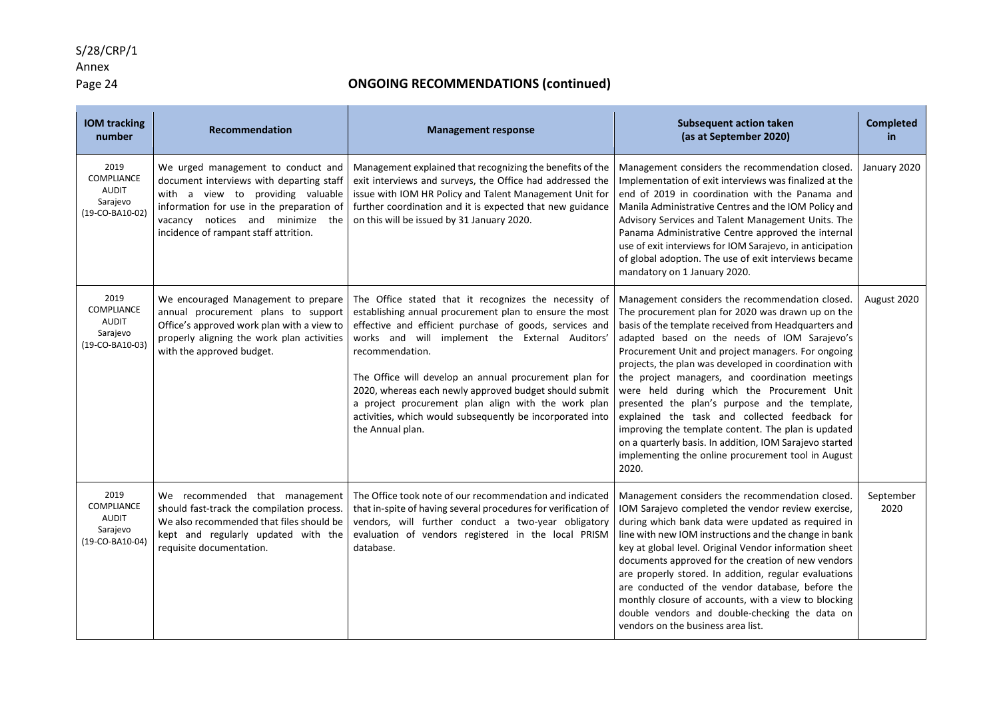### Annex

### Page 24 **COLLET COMMENT CONGOING RECOMMENDATIONS (continued)**

| <b>IOM tracking</b><br>number                                     | Recommendation                                                                                                                                                                                                                                | <b>Management response</b>                                                                                                                                                                                                                                                                                                                                                                                                                                                                                    | <b>Subsequent action taken</b><br>(as at September 2020)                                                                                                                                                                                                                                                                                                                                                                                                                                                                                                                                                                                                                                                          | <b>Completed</b><br>in |
|-------------------------------------------------------------------|-----------------------------------------------------------------------------------------------------------------------------------------------------------------------------------------------------------------------------------------------|---------------------------------------------------------------------------------------------------------------------------------------------------------------------------------------------------------------------------------------------------------------------------------------------------------------------------------------------------------------------------------------------------------------------------------------------------------------------------------------------------------------|-------------------------------------------------------------------------------------------------------------------------------------------------------------------------------------------------------------------------------------------------------------------------------------------------------------------------------------------------------------------------------------------------------------------------------------------------------------------------------------------------------------------------------------------------------------------------------------------------------------------------------------------------------------------------------------------------------------------|------------------------|
| 2019<br>COMPLIANCE<br><b>AUDIT</b><br>Sarajevo<br>(19-CO-BA10-02) | We urged management to conduct and<br>document interviews with departing staff<br>with a view to providing valuable<br>information for use in the preparation of<br>vacancy notices and minimize the<br>incidence of rampant staff attrition. | Management explained that recognizing the benefits of the<br>exit interviews and surveys, the Office had addressed the<br>issue with IOM HR Policy and Talent Management Unit for<br>further coordination and it is expected that new guidance<br>on this will be issued by 31 January 2020.                                                                                                                                                                                                                  | Management considers the recommendation closed.<br>Implementation of exit interviews was finalized at the<br>end of 2019 in coordination with the Panama and<br>Manila Administrative Centres and the IOM Policy and<br>Advisory Services and Talent Management Units. The<br>Panama Administrative Centre approved the internal<br>use of exit interviews for IOM Sarajevo, in anticipation<br>of global adoption. The use of exit interviews became<br>mandatory on 1 January 2020.                                                                                                                                                                                                                             | January 2020           |
| 2019<br>COMPLIANCE<br><b>AUDIT</b><br>Sarajevo<br>(19-CO-BA10-03) | We encouraged Management to prepare<br>annual procurement plans to support<br>Office's approved work plan with a view to<br>properly aligning the work plan activities<br>with the approved budget.                                           | The Office stated that it recognizes the necessity of<br>establishing annual procurement plan to ensure the most<br>effective and efficient purchase of goods, services and<br>works and will implement the External Auditors'<br>recommendation.<br>The Office will develop an annual procurement plan for<br>2020, whereas each newly approved budget should submit<br>a project procurement plan align with the work plan<br>activities, which would subsequently be incorporated into<br>the Annual plan. | Management considers the recommendation closed.<br>The procurement plan for 2020 was drawn up on the<br>basis of the template received from Headquarters and<br>adapted based on the needs of IOM Sarajevo's<br>Procurement Unit and project managers. For ongoing<br>projects, the plan was developed in coordination with<br>the project managers, and coordination meetings<br>were held during which the Procurement Unit<br>presented the plan's purpose and the template,<br>explained the task and collected feedback for<br>improving the template content. The plan is updated<br>on a quarterly basis. In addition, IOM Sarajevo started<br>implementing the online procurement tool in August<br>2020. | August 2020            |
| 2019<br>COMPLIANCE<br><b>AUDIT</b><br>Sarajevo<br>(19-CO-BA10-04) | We recommended that management<br>should fast-track the compilation process.<br>We also recommended that files should be<br>kept and regularly updated with the<br>requisite documentation.                                                   | The Office took note of our recommendation and indicated<br>that in-spite of having several procedures for verification of<br>vendors, will further conduct a two-year obligatory<br>evaluation of vendors registered in the local PRISM<br>database.                                                                                                                                                                                                                                                         | Management considers the recommendation closed.<br>IOM Sarajevo completed the vendor review exercise,<br>during which bank data were updated as required in<br>line with new IOM instructions and the change in bank<br>key at global level. Original Vendor information sheet<br>documents approved for the creation of new vendors<br>are properly stored. In addition, regular evaluations<br>are conducted of the vendor database, before the<br>monthly closure of accounts, with a view to blocking<br>double vendors and double-checking the data on<br>vendors on the business area list.                                                                                                                 | September<br>2020      |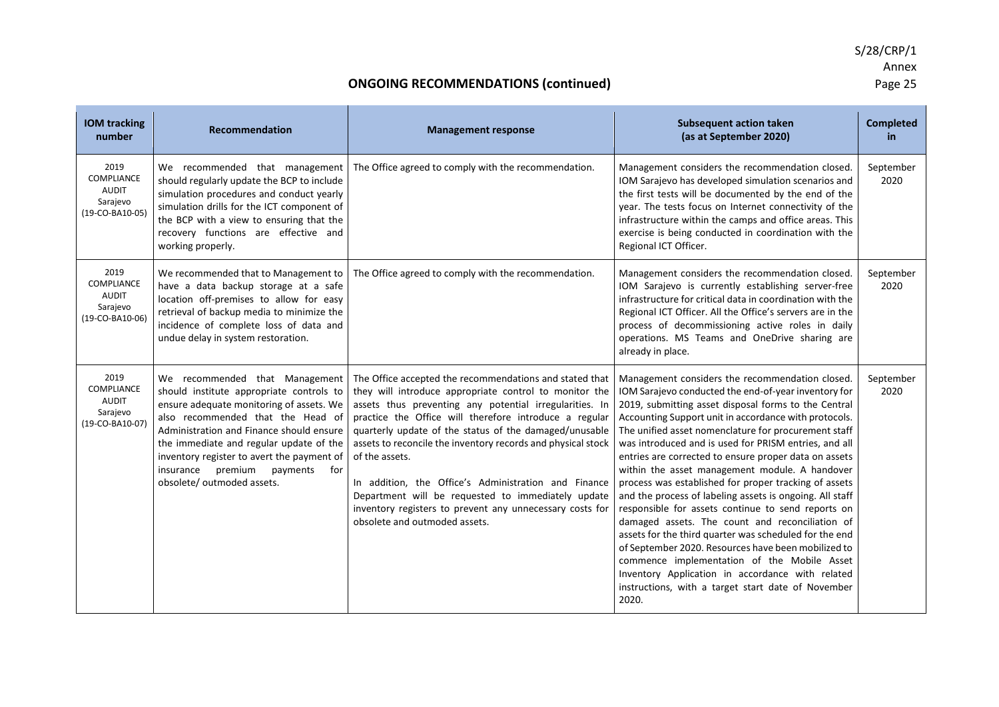| <b>IOM tracking</b><br>number                                            | <b>Recommendation</b>                                                                                                                                                                                                                                                                                                                                                  | <b>Management response</b>                                                                                                                                                                                                                                                                                                                                                                                                                                                                                                                                                                    | <b>Subsequent action taken</b><br>(as at September 2020)                                                                                                                                                                                                                                                                                                                                                                                                                                                                                                                                                                                                                                                                                                                                                                                                                                                                                                              | <b>Completed</b><br>in |
|--------------------------------------------------------------------------|------------------------------------------------------------------------------------------------------------------------------------------------------------------------------------------------------------------------------------------------------------------------------------------------------------------------------------------------------------------------|-----------------------------------------------------------------------------------------------------------------------------------------------------------------------------------------------------------------------------------------------------------------------------------------------------------------------------------------------------------------------------------------------------------------------------------------------------------------------------------------------------------------------------------------------------------------------------------------------|-----------------------------------------------------------------------------------------------------------------------------------------------------------------------------------------------------------------------------------------------------------------------------------------------------------------------------------------------------------------------------------------------------------------------------------------------------------------------------------------------------------------------------------------------------------------------------------------------------------------------------------------------------------------------------------------------------------------------------------------------------------------------------------------------------------------------------------------------------------------------------------------------------------------------------------------------------------------------|------------------------|
| 2019<br>COMPLIANCE<br><b>AUDIT</b><br>Sarajevo<br>(19-CO-BA10-05)        | We recommended that management<br>should regularly update the BCP to include<br>simulation procedures and conduct yearly<br>simulation drills for the ICT component of<br>the BCP with a view to ensuring that the<br>recovery functions are effective and<br>working properly.                                                                                        | The Office agreed to comply with the recommendation.                                                                                                                                                                                                                                                                                                                                                                                                                                                                                                                                          | Management considers the recommendation closed.<br>IOM Sarajevo has developed simulation scenarios and<br>the first tests will be documented by the end of the<br>year. The tests focus on Internet connectivity of the<br>infrastructure within the camps and office areas. This<br>exercise is being conducted in coordination with the<br>Regional ICT Officer.                                                                                                                                                                                                                                                                                                                                                                                                                                                                                                                                                                                                    | September<br>2020      |
| 2019<br>COMPLIANCE<br><b>AUDIT</b><br>Sarajevo<br>(19-CO-BA10-06)        | We recommended that to Management to<br>have a data backup storage at a safe<br>location off-premises to allow for easy<br>retrieval of backup media to minimize the<br>incidence of complete loss of data and<br>undue delay in system restoration.                                                                                                                   | The Office agreed to comply with the recommendation.                                                                                                                                                                                                                                                                                                                                                                                                                                                                                                                                          | Management considers the recommendation closed.<br>IOM Sarajevo is currently establishing server-free<br>infrastructure for critical data in coordination with the<br>Regional ICT Officer. All the Office's servers are in the<br>process of decommissioning active roles in daily<br>operations. MS Teams and OneDrive sharing are<br>already in place.                                                                                                                                                                                                                                                                                                                                                                                                                                                                                                                                                                                                             | September<br>2020      |
| 2019<br><b>COMPLIANCE</b><br><b>AUDIT</b><br>Sarajevo<br>(19-CO-BA10-07) | We recommended that Management<br>should institute appropriate controls to<br>ensure adequate monitoring of assets. We<br>also recommended that the Head of<br>Administration and Finance should ensure<br>the immediate and regular update of the<br>inventory register to avert the payment of<br>insurance<br>premium<br>payments for<br>obsolete/ outmoded assets. | The Office accepted the recommendations and stated that<br>they will introduce appropriate control to monitor the<br>assets thus preventing any potential irregularities. In<br>practice the Office will therefore introduce a regular<br>quarterly update of the status of the damaged/unusable<br>assets to reconcile the inventory records and physical stock<br>of the assets.<br>In addition, the Office's Administration and Finance<br>Department will be requested to immediately update<br>inventory registers to prevent any unnecessary costs for<br>obsolete and outmoded assets. | Management considers the recommendation closed.<br>IOM Sarajevo conducted the end-of-year inventory for<br>2019, submitting asset disposal forms to the Central<br>Accounting Support unit in accordance with protocols.<br>The unified asset nomenclature for procurement staff<br>was introduced and is used for PRISM entries, and all<br>entries are corrected to ensure proper data on assets<br>within the asset management module. A handover<br>process was established for proper tracking of assets<br>and the process of labeling assets is ongoing. All staff<br>responsible for assets continue to send reports on<br>damaged assets. The count and reconciliation of<br>assets for the third quarter was scheduled for the end<br>of September 2020. Resources have been mobilized to<br>commence implementation of the Mobile Asset<br>Inventory Application in accordance with related<br>instructions, with a target start date of November<br>2020. | September<br>2020      |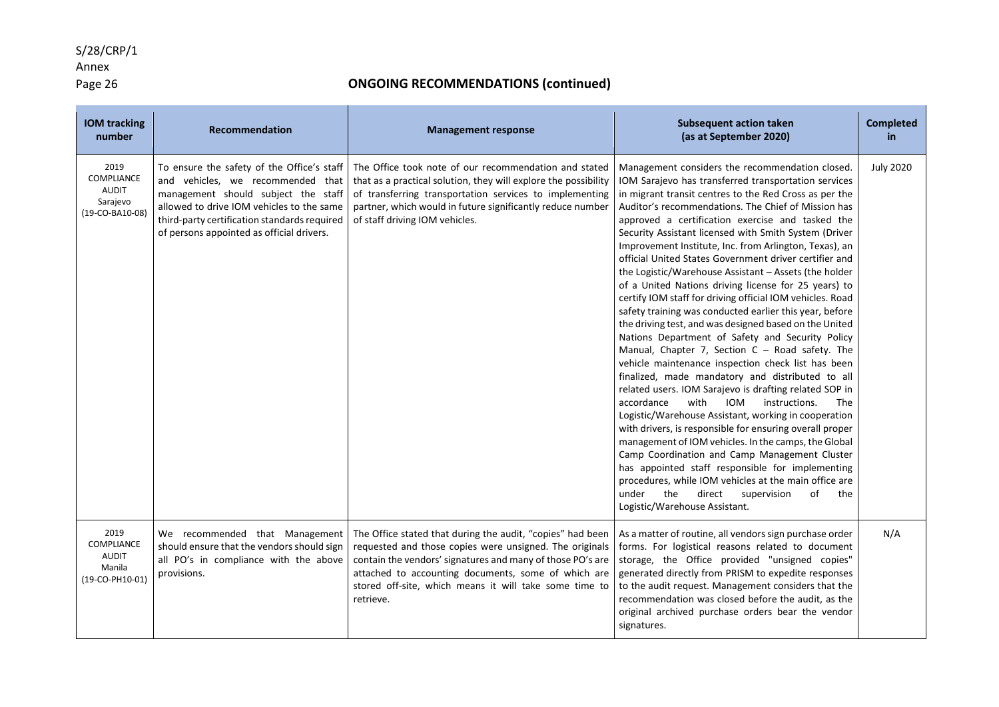Annex<br>Page 26

| <b>IOM tracking</b><br>number                                     | Recommendation                                                                                                                                                                                                                                                   | <b>Management response</b>                                                                                                                                                                                                                                                                                        | <b>Subsequent action taken</b><br>(as at September 2020)                                                                                                                                                                                                                                                                                                                                                                                                                                                                                                                                                                                                                                                                                                                                                                                                                                                                                                                                                                                                                                                                                                                                                                                                                                                                                                                                                                                                                                                                        | <b>Completed</b><br>in |
|-------------------------------------------------------------------|------------------------------------------------------------------------------------------------------------------------------------------------------------------------------------------------------------------------------------------------------------------|-------------------------------------------------------------------------------------------------------------------------------------------------------------------------------------------------------------------------------------------------------------------------------------------------------------------|---------------------------------------------------------------------------------------------------------------------------------------------------------------------------------------------------------------------------------------------------------------------------------------------------------------------------------------------------------------------------------------------------------------------------------------------------------------------------------------------------------------------------------------------------------------------------------------------------------------------------------------------------------------------------------------------------------------------------------------------------------------------------------------------------------------------------------------------------------------------------------------------------------------------------------------------------------------------------------------------------------------------------------------------------------------------------------------------------------------------------------------------------------------------------------------------------------------------------------------------------------------------------------------------------------------------------------------------------------------------------------------------------------------------------------------------------------------------------------------------------------------------------------|------------------------|
| 2019<br>COMPLIANCE<br><b>AUDIT</b><br>Sarajevo<br>(19-CO-BA10-08) | To ensure the safety of the Office's staff<br>and vehicles, we recommended that<br>management should subject the staff<br>allowed to drive IOM vehicles to the same<br>third-party certification standards required<br>of persons appointed as official drivers. | The Office took note of our recommendation and stated<br>that as a practical solution, they will explore the possibility<br>of transferring transportation services to implementing<br>partner, which would in future significantly reduce number<br>of staff driving IOM vehicles.                               | Management considers the recommendation closed.<br>IOM Sarajevo has transferred transportation services<br>in migrant transit centres to the Red Cross as per the<br>Auditor's recommendations. The Chief of Mission has<br>approved a certification exercise and tasked the<br>Security Assistant licensed with Smith System (Driver<br>Improvement Institute, Inc. from Arlington, Texas), an<br>official United States Government driver certifier and<br>the Logistic/Warehouse Assistant - Assets (the holder<br>of a United Nations driving license for 25 years) to<br>certify IOM staff for driving official IOM vehicles. Road<br>safety training was conducted earlier this year, before<br>the driving test, and was designed based on the United<br>Nations Department of Safety and Security Policy<br>Manual, Chapter 7, Section $C -$ Road safety. The<br>vehicle maintenance inspection check list has been<br>finalized, made mandatory and distributed to all<br>related users. IOM Sarajevo is drafting related SOP in<br>with<br>accordance<br>IOM<br>instructions.<br>The<br>Logistic/Warehouse Assistant, working in cooperation<br>with drivers, is responsible for ensuring overall proper<br>management of IOM vehicles. In the camps, the Global<br>Camp Coordination and Camp Management Cluster<br>has appointed staff responsible for implementing<br>procedures, while IOM vehicles at the main office are<br>under<br>of<br>the<br>direct<br>supervision<br>the<br>Logistic/Warehouse Assistant. | <b>July 2020</b>       |
| 2019<br>COMPLIANCE<br><b>AUDIT</b><br>Manila<br>(19-CO-PH10-01)   | We recommended that Management<br>should ensure that the vendors should sign<br>all PO's in compliance with the above<br>provisions.                                                                                                                             | The Office stated that during the audit, "copies" had been<br>requested and those copies were unsigned. The originals<br>contain the vendors' signatures and many of those PO's are<br>attached to accounting documents, some of which are<br>stored off-site, which means it will take some time to<br>retrieve. | As a matter of routine, all vendors sign purchase order<br>forms. For logistical reasons related to document<br>storage, the Office provided "unsigned copies"<br>generated directly from PRISM to expedite responses<br>to the audit request. Management considers that the<br>recommendation was closed before the audit, as the<br>original archived purchase orders bear the vendor<br>signatures.                                                                                                                                                                                                                                                                                                                                                                                                                                                                                                                                                                                                                                                                                                                                                                                                                                                                                                                                                                                                                                                                                                                          | N/A                    |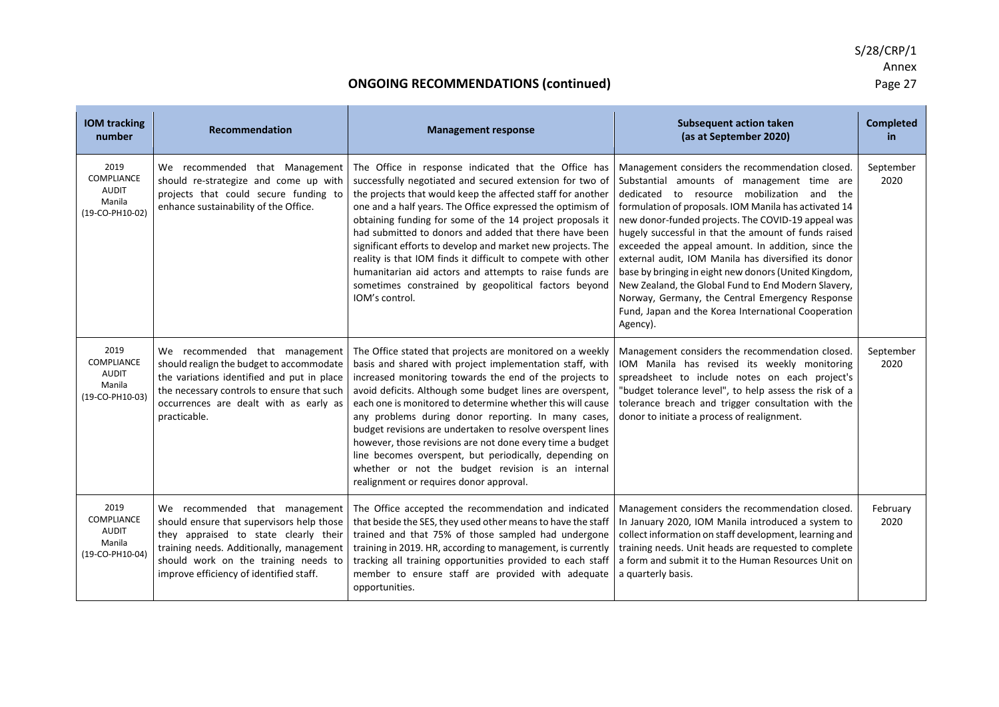| <b>IOM tracking</b><br>number                                          | Recommendation                                                                                                                                                                                                                                      | <b>Management response</b>                                                                                                                                                                                                                                                                                                                                                                                                                                                                                                                                                                                                                              | <b>Subsequent action taken</b><br>(as at September 2020)                                                                                                                                                                                                                                                                                                                                                                                                                                                                                                                                                                                                                  | <b>Completed</b><br>in. |
|------------------------------------------------------------------------|-----------------------------------------------------------------------------------------------------------------------------------------------------------------------------------------------------------------------------------------------------|---------------------------------------------------------------------------------------------------------------------------------------------------------------------------------------------------------------------------------------------------------------------------------------------------------------------------------------------------------------------------------------------------------------------------------------------------------------------------------------------------------------------------------------------------------------------------------------------------------------------------------------------------------|---------------------------------------------------------------------------------------------------------------------------------------------------------------------------------------------------------------------------------------------------------------------------------------------------------------------------------------------------------------------------------------------------------------------------------------------------------------------------------------------------------------------------------------------------------------------------------------------------------------------------------------------------------------------------|-------------------------|
| 2019<br>COMPLIANCE<br><b>AUDIT</b><br>Manila<br>(19-CO-PH10-02)        | We recommended that Management<br>should re-strategize and come up with<br>projects that could secure funding to<br>enhance sustainability of the Office.                                                                                           | The Office in response indicated that the Office has<br>successfully negotiated and secured extension for two of<br>the projects that would keep the affected staff for another<br>one and a half years. The Office expressed the optimism of<br>obtaining funding for some of the 14 project proposals it<br>had submitted to donors and added that there have been<br>significant efforts to develop and market new projects. The<br>reality is that IOM finds it difficult to compete with other<br>humanitarian aid actors and attempts to raise funds are<br>sometimes constrained by geopolitical factors beyond<br>IOM's control.                | Management considers the recommendation closed.<br>Substantial amounts of management time are<br>dedicated to resource mobilization and<br>the<br>formulation of proposals. IOM Manila has activated 14<br>new donor-funded projects. The COVID-19 appeal was<br>hugely successful in that the amount of funds raised<br>exceeded the appeal amount. In addition, since the<br>external audit, IOM Manila has diversified its donor<br>base by bringing in eight new donors (United Kingdom,<br>New Zealand, the Global Fund to End Modern Slavery,<br>Norway, Germany, the Central Emergency Response<br>Fund, Japan and the Korea International Cooperation<br>Agency). | September<br>2020       |
| 2019<br><b>COMPLIANCE</b><br><b>AUDIT</b><br>Manila<br>(19-CO-PH10-03) | We recommended that management<br>should realign the budget to accommodate<br>the variations identified and put in place<br>the necessary controls to ensure that such<br>occurrences are dealt with as early as<br>practicable.                    | The Office stated that projects are monitored on a weekly<br>basis and shared with project implementation staff, with<br>increased monitoring towards the end of the projects to<br>avoid deficits. Although some budget lines are overspent,<br>each one is monitored to determine whether this will cause<br>any problems during donor reporting. In many cases,<br>budget revisions are undertaken to resolve overspent lines<br>however, those revisions are not done every time a budget<br>line becomes overspent, but periodically, depending on<br>whether or not the budget revision is an internal<br>realignment or requires donor approval. | Management considers the recommendation closed.<br>IOM Manila has revised its weekly monitoring<br>spreadsheet to include notes on each project's<br>"budget tolerance level", to help assess the risk of a<br>tolerance breach and trigger consultation with the<br>donor to initiate a process of realignment.                                                                                                                                                                                                                                                                                                                                                          | September<br>2020       |
| 2019<br><b>COMPLIANCE</b><br><b>AUDIT</b><br>Manila<br>(19-CO-PH10-04) | We recommended that management<br>should ensure that supervisors help those<br>they appraised to state clearly their<br>training needs. Additionally, management<br>should work on the training needs to<br>improve efficiency of identified staff. | The Office accepted the recommendation and indicated<br>that beside the SES, they used other means to have the staff<br>trained and that 75% of those sampled had undergone<br>training in 2019. HR, according to management, is currently<br>tracking all training opportunities provided to each staff<br>member to ensure staff are provided with adequate<br>opportunities.                                                                                                                                                                                                                                                                         | Management considers the recommendation closed.<br>In January 2020, IOM Manila introduced a system to<br>collect information on staff development, learning and<br>training needs. Unit heads are requested to complete<br>a form and submit it to the Human Resources Unit on<br>a quarterly basis.                                                                                                                                                                                                                                                                                                                                                                      | February<br>2020        |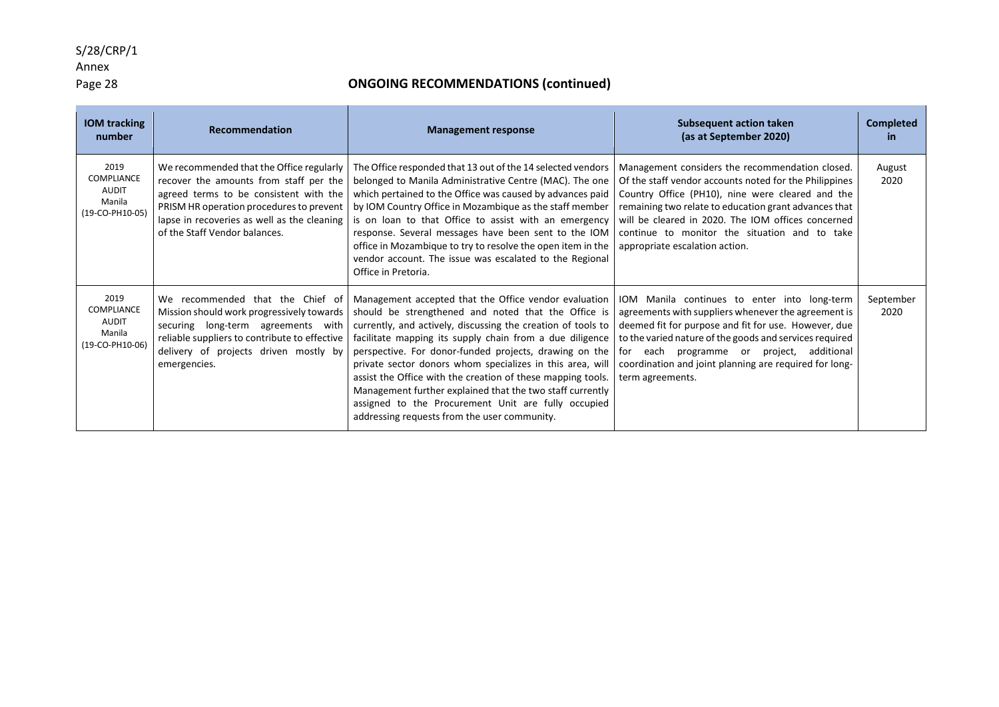# Annex<br>Page 28

| <b>IOM</b> tracking<br>number                                   | <b>Recommendation</b>                                                                                                                                                                                                                                    | <b>Management response</b>                                                                                                                                                                                                                                                                                                                                                                                                                                                                                                                                                                         | <b>Subsequent action taken</b><br>(as at September 2020)                                                                                                                                                                                                                                                                                                        | <b>Completed</b><br>in. |
|-----------------------------------------------------------------|----------------------------------------------------------------------------------------------------------------------------------------------------------------------------------------------------------------------------------------------------------|----------------------------------------------------------------------------------------------------------------------------------------------------------------------------------------------------------------------------------------------------------------------------------------------------------------------------------------------------------------------------------------------------------------------------------------------------------------------------------------------------------------------------------------------------------------------------------------------------|-----------------------------------------------------------------------------------------------------------------------------------------------------------------------------------------------------------------------------------------------------------------------------------------------------------------------------------------------------------------|-------------------------|
| 2019<br>COMPLIANCE<br><b>AUDIT</b><br>Manila<br>(19-CO-PH10-05) | We recommended that the Office regularly<br>recover the amounts from staff per the<br>agreed terms to be consistent with the<br>PRISM HR operation procedures to prevent<br>lapse in recoveries as well as the cleaning<br>of the Staff Vendor balances. | The Office responded that 13 out of the 14 selected vendors<br>belonged to Manila Administrative Centre (MAC). The one<br>which pertained to the Office was caused by advances paid<br>by IOM Country Office in Mozambique as the staff member<br>is on loan to that Office to assist with an emergency<br>response. Several messages have been sent to the IOM<br>office in Mozambique to try to resolve the open item in the<br>vendor account. The issue was escalated to the Regional<br>Office in Pretoria.                                                                                   | Management considers the recommendation closed.<br>Of the staff vendor accounts noted for the Philippines<br>Country Office (PH10), nine were cleared and the<br>remaining two relate to education grant advances that<br>will be cleared in 2020. The IOM offices concerned<br>continue to monitor the situation and to take<br>appropriate escalation action. | August<br>2020          |
| 2019<br>COMPLIANCE<br><b>AUDIT</b><br>Manila<br>(19-CO-PH10-06) | We recommended that the Chief of<br>Mission should work progressively towards<br>securing long-term agreements with<br>reliable suppliers to contribute to effective<br>delivery of projects driven mostly by<br>emergencies.                            | Management accepted that the Office vendor evaluation<br>should be strengthened and noted that the Office is<br>currently, and actively, discussing the creation of tools to<br>facilitate mapping its supply chain from a due diligence<br>perspective. For donor-funded projects, drawing on the<br>private sector donors whom specializes in this area, will<br>assist the Office with the creation of these mapping tools.<br>Management further explained that the two staff currently<br>assigned to the Procurement Unit are fully occupied<br>addressing requests from the user community. | IOM Manila continues to enter into long-term<br>agreements with suppliers whenever the agreement is<br>deemed fit for purpose and fit for use. However, due<br>to the varied nature of the goods and services required<br>for each<br>programme or project,<br>additional<br>coordination and joint planning are required for long-<br>term agreements.         | September<br>2020       |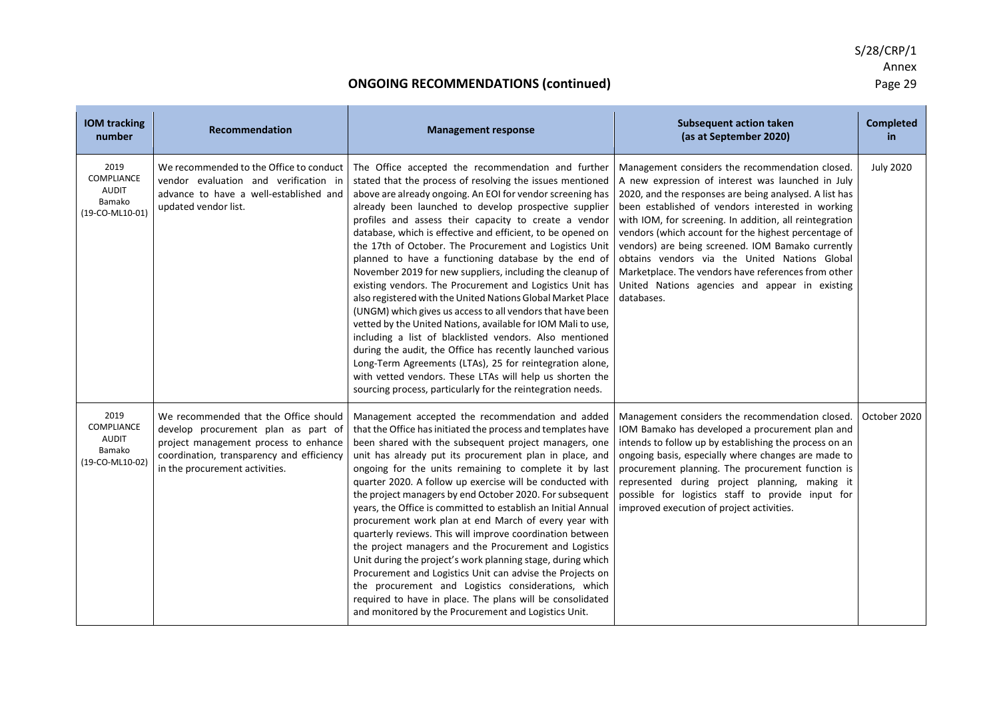| <b>IOM tracking</b><br>number                                   | Recommendation                                                                                                                                                                                       | <b>Management response</b>                                                                                                                                                                                                                                                                                                                                                                                                                                                                                                                                                                                                                                                                                                                                                                                                                                                                                                                                                                                                                                                                                              | <b>Subsequent action taken</b><br>(as at September 2020)                                                                                                                                                                                                                                                                                                                                                                                                                                                                                                            | <b>Completed</b><br>in. |
|-----------------------------------------------------------------|------------------------------------------------------------------------------------------------------------------------------------------------------------------------------------------------------|-------------------------------------------------------------------------------------------------------------------------------------------------------------------------------------------------------------------------------------------------------------------------------------------------------------------------------------------------------------------------------------------------------------------------------------------------------------------------------------------------------------------------------------------------------------------------------------------------------------------------------------------------------------------------------------------------------------------------------------------------------------------------------------------------------------------------------------------------------------------------------------------------------------------------------------------------------------------------------------------------------------------------------------------------------------------------------------------------------------------------|---------------------------------------------------------------------------------------------------------------------------------------------------------------------------------------------------------------------------------------------------------------------------------------------------------------------------------------------------------------------------------------------------------------------------------------------------------------------------------------------------------------------------------------------------------------------|-------------------------|
| 2019<br>COMPLIANCE<br><b>AUDIT</b><br>Bamako<br>(19-CO-ML10-01) | We recommended to the Office to conduct<br>vendor evaluation and verification in<br>advance to have a well-established and<br>updated vendor list.                                                   | The Office accepted the recommendation and further<br>stated that the process of resolving the issues mentioned<br>above are already ongoing. An EOI for vendor screening has<br>already been launched to develop prospective supplier<br>profiles and assess their capacity to create a vendor<br>database, which is effective and efficient, to be opened on<br>the 17th of October. The Procurement and Logistics Unit<br>planned to have a functioning database by the end of<br>November 2019 for new suppliers, including the cleanup of<br>existing vendors. The Procurement and Logistics Unit has<br>also registered with the United Nations Global Market Place<br>(UNGM) which gives us access to all vendors that have been<br>vetted by the United Nations, available for IOM Mali to use,<br>including a list of blacklisted vendors. Also mentioned<br>during the audit, the Office has recently launched various<br>Long-Term Agreements (LTAs), 25 for reintegration alone,<br>with vetted vendors. These LTAs will help us shorten the<br>sourcing process, particularly for the reintegration needs. | Management considers the recommendation closed.<br>A new expression of interest was launched in July<br>2020, and the responses are being analysed. A list has<br>been established of vendors interested in working<br>with IOM, for screening. In addition, all reintegration<br>vendors (which account for the highest percentage of<br>vendors) are being screened. IOM Bamako currently<br>obtains vendors via the United Nations Global<br>Marketplace. The vendors have references from other<br>United Nations agencies and appear in existing<br>databases. | <b>July 2020</b>        |
| 2019<br>COMPLIANCE<br><b>AUDIT</b><br>Bamako<br>(19-CO-ML10-02) | We recommended that the Office should<br>develop procurement plan as part of<br>project management process to enhance<br>coordination, transparency and efficiency<br>in the procurement activities. | Management accepted the recommendation and added<br>that the Office has initiated the process and templates have<br>been shared with the subsequent project managers, one<br>unit has already put its procurement plan in place, and<br>ongoing for the units remaining to complete it by last<br>quarter 2020. A follow up exercise will be conducted with<br>the project managers by end October 2020. For subsequent<br>years, the Office is committed to establish an Initial Annual<br>procurement work plan at end March of every year with<br>quarterly reviews. This will improve coordination between<br>the project managers and the Procurement and Logistics<br>Unit during the project's work planning stage, during which<br>Procurement and Logistics Unit can advise the Projects on<br>the procurement and Logistics considerations, which<br>required to have in place. The plans will be consolidated<br>and monitored by the Procurement and Logistics Unit.                                                                                                                                        | Management considers the recommendation closed.<br>IOM Bamako has developed a procurement plan and<br>intends to follow up by establishing the process on an<br>ongoing basis, especially where changes are made to<br>procurement planning. The procurement function is<br>represented during project planning, making it<br>possible for logistics staff to provide input for<br>improved execution of project activities.                                                                                                                                        | October 2020            |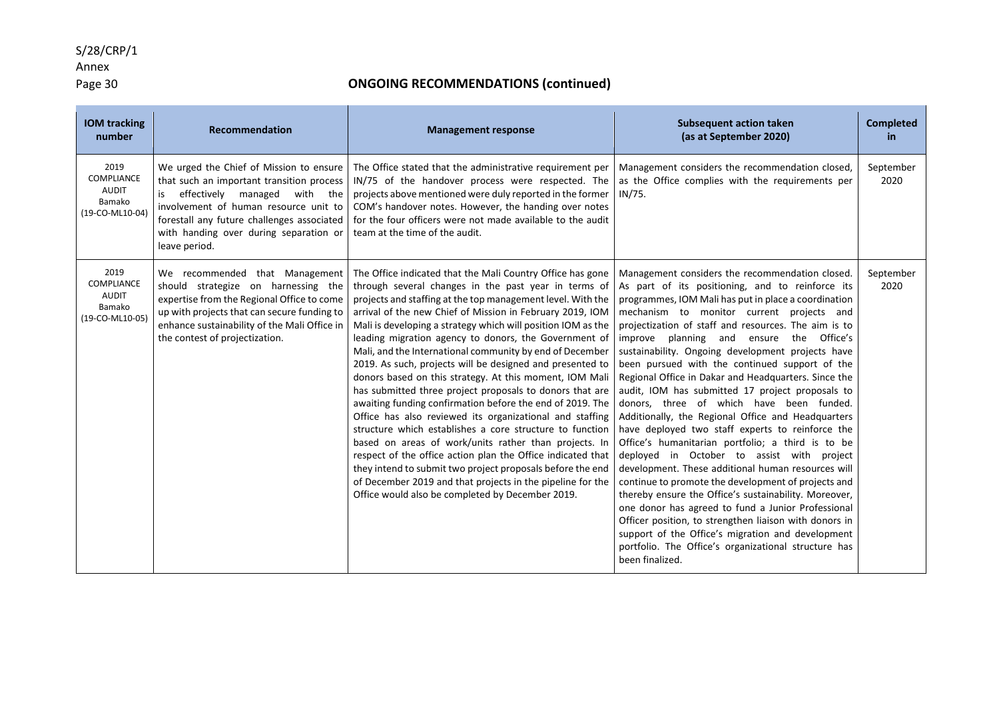### Annex

### Page 30 **ONGOING RECOMMENDATIONS (continued)**

| <b>IOM tracking</b><br>number                                          | Recommendation                                                                                                                                                                                                                                                            | <b>Management response</b>                                                                                                                                                                                                                                                                                                                                                                                                                                                                                                                                                                                                                                                                                                                                                                                                                                                                                                                                                                                                                                                                                           | <b>Subsequent action taken</b><br>(as at September 2020)                                                                                                                                                                                                                                                                                                                                                                                                                                                                                                                                                                                                                                                                                                                                                                                                                                                                                                                                                                                                                                                                                                                                                          | <b>Completed</b><br>in. |
|------------------------------------------------------------------------|---------------------------------------------------------------------------------------------------------------------------------------------------------------------------------------------------------------------------------------------------------------------------|----------------------------------------------------------------------------------------------------------------------------------------------------------------------------------------------------------------------------------------------------------------------------------------------------------------------------------------------------------------------------------------------------------------------------------------------------------------------------------------------------------------------------------------------------------------------------------------------------------------------------------------------------------------------------------------------------------------------------------------------------------------------------------------------------------------------------------------------------------------------------------------------------------------------------------------------------------------------------------------------------------------------------------------------------------------------------------------------------------------------|-------------------------------------------------------------------------------------------------------------------------------------------------------------------------------------------------------------------------------------------------------------------------------------------------------------------------------------------------------------------------------------------------------------------------------------------------------------------------------------------------------------------------------------------------------------------------------------------------------------------------------------------------------------------------------------------------------------------------------------------------------------------------------------------------------------------------------------------------------------------------------------------------------------------------------------------------------------------------------------------------------------------------------------------------------------------------------------------------------------------------------------------------------------------------------------------------------------------|-------------------------|
| 2019<br><b>COMPLIANCE</b><br><b>AUDIT</b><br>Bamako<br>(19-CO-ML10-04) | We urged the Chief of Mission to ensure<br>that such an important transition process<br>is effectively managed with the<br>involvement of human resource unit to<br>forestall any future challenges associated<br>with handing over during separation or<br>leave period. | The Office stated that the administrative requirement per<br>IN/75 of the handover process were respected. The<br>projects above mentioned were duly reported in the former<br>COM's handover notes. However, the handing over notes<br>for the four officers were not made available to the audit<br>team at the time of the audit.                                                                                                                                                                                                                                                                                                                                                                                                                                                                                                                                                                                                                                                                                                                                                                                 | Management considers the recommendation closed,<br>as the Office complies with the requirements per<br>IN/75.                                                                                                                                                                                                                                                                                                                                                                                                                                                                                                                                                                                                                                                                                                                                                                                                                                                                                                                                                                                                                                                                                                     | September<br>2020       |
| 2019<br><b>COMPLIANCE</b><br><b>AUDIT</b><br>Bamako<br>(19-CO-ML10-05) | We recommended that Management<br>should strategize on harnessing the<br>expertise from the Regional Office to come<br>up with projects that can secure funding to<br>enhance sustainability of the Mali Office in<br>the contest of projectization.                      | The Office indicated that the Mali Country Office has gone<br>through several changes in the past year in terms of<br>projects and staffing at the top management level. With the<br>arrival of the new Chief of Mission in February 2019, IOM<br>Mali is developing a strategy which will position IOM as the<br>leading migration agency to donors, the Government of<br>Mali, and the International community by end of December<br>2019. As such, projects will be designed and presented to<br>donors based on this strategy. At this moment, IOM Mali<br>has submitted three project proposals to donors that are<br>awaiting funding confirmation before the end of 2019. The<br>Office has also reviewed its organizational and staffing<br>structure which establishes a core structure to function<br>based on areas of work/units rather than projects. In<br>respect of the office action plan the Office indicated that<br>they intend to submit two project proposals before the end<br>of December 2019 and that projects in the pipeline for the<br>Office would also be completed by December 2019. | Management considers the recommendation closed.<br>As part of its positioning, and to reinforce its<br>programmes, IOM Mali has put in place a coordination<br>mechanism to monitor current projects and<br>projectization of staff and resources. The aim is to<br>improve planning and ensure<br>the Office's<br>sustainability. Ongoing development projects have<br>been pursued with the continued support of the<br>Regional Office in Dakar and Headquarters. Since the<br>audit, IOM has submitted 17 project proposals to<br>donors, three of which have been funded.<br>Additionally, the Regional Office and Headquarters<br>have deployed two staff experts to reinforce the<br>Office's humanitarian portfolio; a third is to be<br>deployed in October to assist with project<br>development. These additional human resources will<br>continue to promote the development of projects and<br>thereby ensure the Office's sustainability. Moreover,<br>one donor has agreed to fund a Junior Professional<br>Officer position, to strengthen liaison with donors in<br>support of the Office's migration and development<br>portfolio. The Office's organizational structure has<br>been finalized. | September<br>2020       |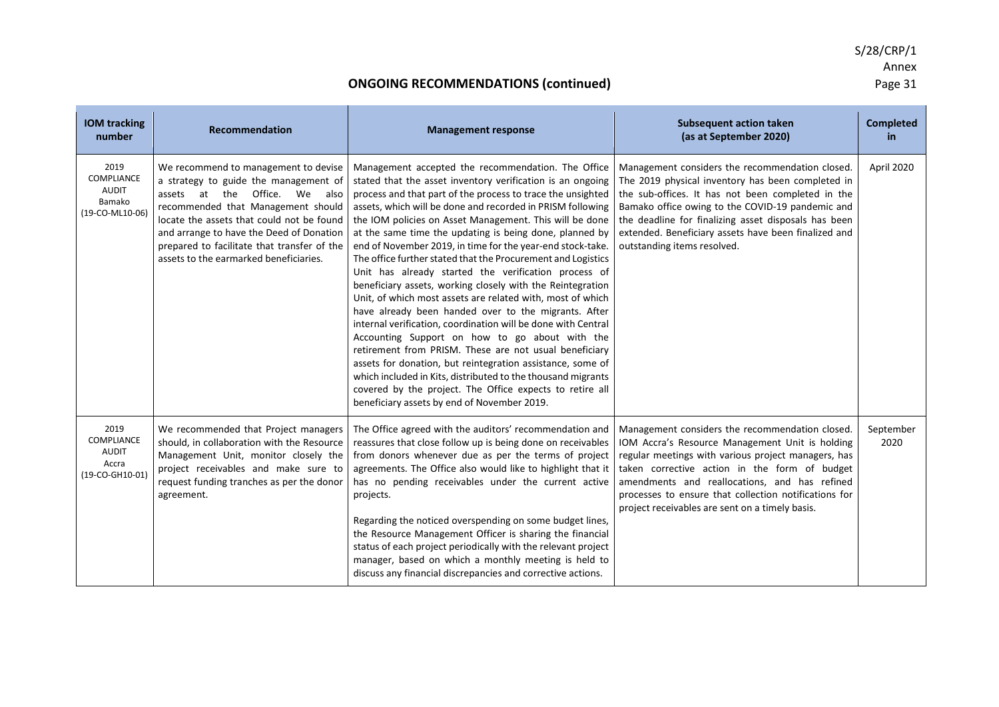| <b>IOM tracking</b><br>number                                   | Recommendation                                                                                                                                                                                                                                                                                                                         | <b>Management response</b>                                                                                                                                                                                                                                                                                                                                                                                                                                                                                                                                                                                                                                                                                                                                                                                                                                                                                                                                                                                                                                                                                                                                          | <b>Subsequent action taken</b><br>(as at September 2020)                                                                                                                                                                                                                                                                                                                | <b>Completed</b><br>in. |
|-----------------------------------------------------------------|----------------------------------------------------------------------------------------------------------------------------------------------------------------------------------------------------------------------------------------------------------------------------------------------------------------------------------------|---------------------------------------------------------------------------------------------------------------------------------------------------------------------------------------------------------------------------------------------------------------------------------------------------------------------------------------------------------------------------------------------------------------------------------------------------------------------------------------------------------------------------------------------------------------------------------------------------------------------------------------------------------------------------------------------------------------------------------------------------------------------------------------------------------------------------------------------------------------------------------------------------------------------------------------------------------------------------------------------------------------------------------------------------------------------------------------------------------------------------------------------------------------------|-------------------------------------------------------------------------------------------------------------------------------------------------------------------------------------------------------------------------------------------------------------------------------------------------------------------------------------------------------------------------|-------------------------|
| 2019<br>COMPLIANCE<br><b>AUDIT</b><br>Bamako<br>(19-CO-ML10-06) | We recommend to management to devise<br>a strategy to guide the management of<br>assets at the Office. We also<br>recommended that Management should<br>locate the assets that could not be found<br>and arrange to have the Deed of Donation<br>prepared to facilitate that transfer of the<br>assets to the earmarked beneficiaries. | Management accepted the recommendation. The Office<br>stated that the asset inventory verification is an ongoing<br>process and that part of the process to trace the unsighted<br>assets, which will be done and recorded in PRISM following<br>the IOM policies on Asset Management. This will be done<br>at the same time the updating is being done, planned by<br>end of November 2019, in time for the year-end stock-take.<br>The office further stated that the Procurement and Logistics<br>Unit has already started the verification process of<br>beneficiary assets, working closely with the Reintegration<br>Unit, of which most assets are related with, most of which<br>have already been handed over to the migrants. After<br>internal verification, coordination will be done with Central<br>Accounting Support on how to go about with the<br>retirement from PRISM. These are not usual beneficiary<br>assets for donation, but reintegration assistance, some of<br>which included in Kits, distributed to the thousand migrants<br>covered by the project. The Office expects to retire all<br>beneficiary assets by end of November 2019. | Management considers the recommendation closed.<br>The 2019 physical inventory has been completed in<br>the sub-offices. It has not been completed in the<br>Bamako office owing to the COVID-19 pandemic and<br>the deadline for finalizing asset disposals has been<br>extended. Beneficiary assets have been finalized and<br>outstanding items resolved.            | April 2020              |
| 2019<br>COMPLIANCE<br><b>AUDIT</b><br>Accra<br>(19-CO-GH10-01)  | We recommended that Project managers<br>should, in collaboration with the Resource<br>Management Unit, monitor closely the<br>project receivables and make sure to<br>request funding tranches as per the donor<br>agreement.                                                                                                          | The Office agreed with the auditors' recommendation and<br>reassures that close follow up is being done on receivables<br>from donors whenever due as per the terms of project<br>agreements. The Office also would like to highlight that it<br>has no pending receivables under the current active<br>projects.<br>Regarding the noticed overspending on some budget lines,<br>the Resource Management Officer is sharing the financial<br>status of each project periodically with the relevant project<br>manager, based on which a monthly meeting is held to<br>discuss any financial discrepancies and corrective actions.                                                                                                                                                                                                                                                                                                                                                                                                                                                                                                                                   | Management considers the recommendation closed.<br>IOM Accra's Resource Management Unit is holding<br>regular meetings with various project managers, has<br>taken corrective action in the form of budget<br>amendments and reallocations, and has refined<br>processes to ensure that collection notifications for<br>project receivables are sent on a timely basis. | September<br>2020       |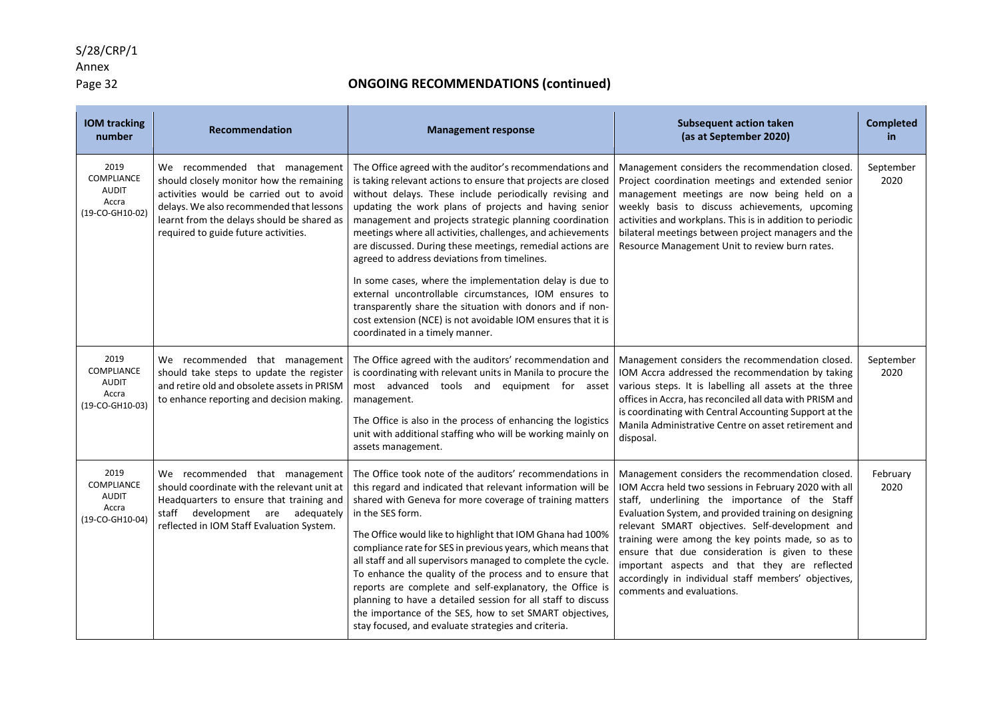### Annex

### Page 32 **ONGOING RECOMMENDATIONS (continued)**

| <b>IOM</b> tracking<br>number                                         | Recommendation                                                                                                                                                                                                                                           | <b>Management response</b>                                                                                                                                                                                                                                                                                                                                                                                                                                                                                                                                                                                                                                                                                     | <b>Subsequent action taken</b><br>(as at September 2020)                                                                                                                                                                                                                                                                                                                                                                                                                                                             | <b>Completed</b><br>in |
|-----------------------------------------------------------------------|----------------------------------------------------------------------------------------------------------------------------------------------------------------------------------------------------------------------------------------------------------|----------------------------------------------------------------------------------------------------------------------------------------------------------------------------------------------------------------------------------------------------------------------------------------------------------------------------------------------------------------------------------------------------------------------------------------------------------------------------------------------------------------------------------------------------------------------------------------------------------------------------------------------------------------------------------------------------------------|----------------------------------------------------------------------------------------------------------------------------------------------------------------------------------------------------------------------------------------------------------------------------------------------------------------------------------------------------------------------------------------------------------------------------------------------------------------------------------------------------------------------|------------------------|
| 2019<br>COMPLIANCE<br><b>AUDIT</b><br>Accra<br>(19-CO-GH10-02)        | We recommended that management<br>should closely monitor how the remaining<br>activities would be carried out to avoid<br>delays. We also recommended that lessons<br>learnt from the delays should be shared as<br>required to guide future activities. | The Office agreed with the auditor's recommendations and<br>is taking relevant actions to ensure that projects are closed<br>without delays. These include periodically revising and<br>updating the work plans of projects and having senior<br>management and projects strategic planning coordination<br>meetings where all activities, challenges, and achievements<br>are discussed. During these meetings, remedial actions are<br>agreed to address deviations from timelines.                                                                                                                                                                                                                          | Management considers the recommendation closed.<br>Project coordination meetings and extended senior<br>management meetings are now being held on a<br>weekly basis to discuss achievements, upcoming<br>activities and workplans. This is in addition to periodic<br>bilateral meetings between project managers and the<br>Resource Management Unit to review burn rates.                                                                                                                                          | September<br>2020      |
|                                                                       |                                                                                                                                                                                                                                                          | In some cases, where the implementation delay is due to<br>external uncontrollable circumstances, IOM ensures to<br>transparently share the situation with donors and if non-<br>cost extension (NCE) is not avoidable IOM ensures that it is<br>coordinated in a timely manner.                                                                                                                                                                                                                                                                                                                                                                                                                               |                                                                                                                                                                                                                                                                                                                                                                                                                                                                                                                      |                        |
| 2019<br>COMPLIANCE<br><b>AUDIT</b><br>Accra<br>(19-CO-GH10-03)        | We recommended that management<br>should take steps to update the register<br>and retire old and obsolete assets in PRISM<br>to enhance reporting and decision making.                                                                                   | The Office agreed with the auditors' recommendation and<br>is coordinating with relevant units in Manila to procure the<br>most advanced tools and equipment for asset<br>management.<br>The Office is also in the process of enhancing the logistics<br>unit with additional staffing who will be working mainly on<br>assets management.                                                                                                                                                                                                                                                                                                                                                                     | Management considers the recommendation closed.<br>IOM Accra addressed the recommendation by taking<br>various steps. It is labelling all assets at the three<br>offices in Accra, has reconciled all data with PRISM and<br>is coordinating with Central Accounting Support at the<br>Manila Administrative Centre on asset retirement and<br>disposal.                                                                                                                                                             | September<br>2020      |
| 2019<br><b>COMPLIANCE</b><br><b>AUDIT</b><br>Accra<br>(19-CO-GH10-04) | We recommended that management<br>should coordinate with the relevant unit at<br>Headquarters to ensure that training and<br>staff development are adequately<br>reflected in IOM Staff Evaluation System.                                               | The Office took note of the auditors' recommendations in<br>this regard and indicated that relevant information will be<br>shared with Geneva for more coverage of training matters<br>in the SES form.<br>The Office would like to highlight that IOM Ghana had 100%<br>compliance rate for SES in previous years, which means that<br>all staff and all supervisors managed to complete the cycle.<br>To enhance the quality of the process and to ensure that<br>reports are complete and self-explanatory, the Office is<br>planning to have a detailed session for all staff to discuss<br>the importance of the SES, how to set SMART objectives,<br>stay focused, and evaluate strategies and criteria. | Management considers the recommendation closed.<br>IOM Accra held two sessions in February 2020 with all<br>staff, underlining the importance of the Staff<br>Evaluation System, and provided training on designing<br>relevant SMART objectives. Self-development and<br>training were among the key points made, so as to<br>ensure that due consideration is given to these<br>important aspects and that they are reflected<br>accordingly in individual staff members' objectives,<br>comments and evaluations. | February<br>2020       |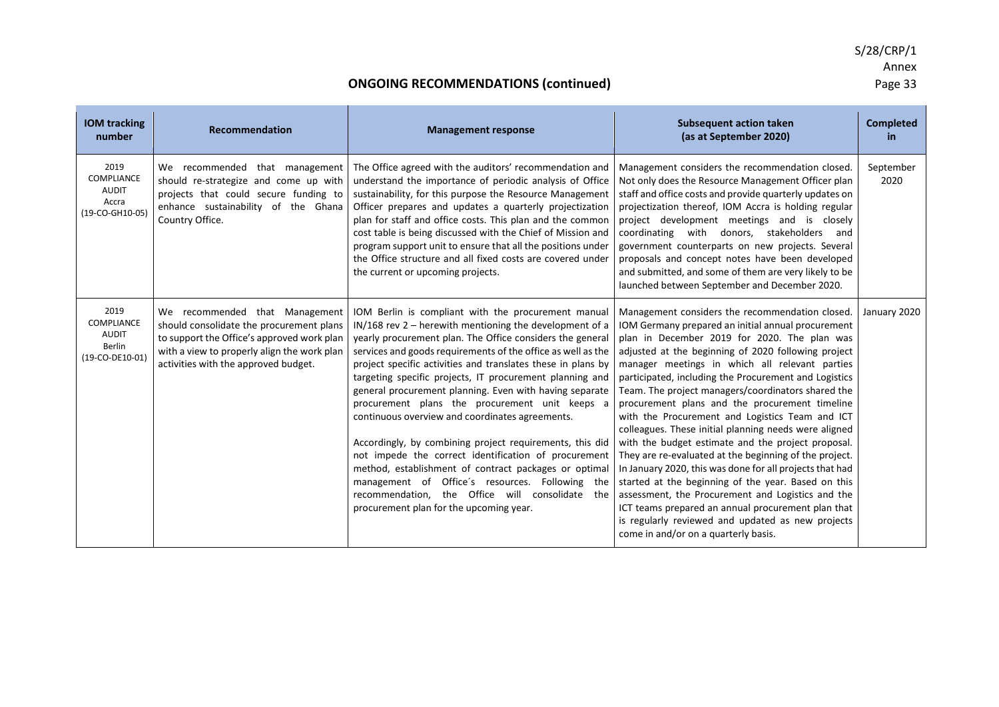| <b>IOM</b> tracking<br>number                                          | <b>Recommendation</b>                                                                                                                                                                                           | <b>Management response</b>                                                                                                                                                                                                                                                                                                                                                                                                                                                                                                                                                                                                                                                                                                                                                                                                                                              | <b>Subsequent action taken</b><br>(as at September 2020)                                                                                                                                                                                                                                                                                                                                                                                                                                                                                                                                                                                                                                                                                                                                                                                                                                                                                                                               | <b>Completed</b><br>in |
|------------------------------------------------------------------------|-----------------------------------------------------------------------------------------------------------------------------------------------------------------------------------------------------------------|-------------------------------------------------------------------------------------------------------------------------------------------------------------------------------------------------------------------------------------------------------------------------------------------------------------------------------------------------------------------------------------------------------------------------------------------------------------------------------------------------------------------------------------------------------------------------------------------------------------------------------------------------------------------------------------------------------------------------------------------------------------------------------------------------------------------------------------------------------------------------|----------------------------------------------------------------------------------------------------------------------------------------------------------------------------------------------------------------------------------------------------------------------------------------------------------------------------------------------------------------------------------------------------------------------------------------------------------------------------------------------------------------------------------------------------------------------------------------------------------------------------------------------------------------------------------------------------------------------------------------------------------------------------------------------------------------------------------------------------------------------------------------------------------------------------------------------------------------------------------------|------------------------|
| 2019<br><b>COMPLIANCE</b><br><b>AUDIT</b><br>Accra<br>(19-CO-GH10-05)  | We recommended that management<br>should re-strategize and come up with<br>projects that could secure funding to<br>enhance sustainability of the Ghana<br>Country Office.                                      | The Office agreed with the auditors' recommendation and<br>understand the importance of periodic analysis of Office<br>sustainability, for this purpose the Resource Management<br>Officer prepares and updates a quarterly projectization<br>plan for staff and office costs. This plan and the common<br>cost table is being discussed with the Chief of Mission and<br>program support unit to ensure that all the positions under<br>the Office structure and all fixed costs are covered under<br>the current or upcoming projects.                                                                                                                                                                                                                                                                                                                                | Management considers the recommendation closed.<br>Not only does the Resource Management Officer plan<br>staff and office costs and provide quarterly updates on<br>projectization thereof, IOM Accra is holding regular<br>project development meetings and is closely<br>coordinating with donors, stakeholders<br>and<br>government counterparts on new projects. Several<br>proposals and concept notes have been developed<br>and submitted, and some of them are very likely to be<br>launched between September and December 2020.                                                                                                                                                                                                                                                                                                                                                                                                                                              | September<br>2020      |
| 2019<br><b>COMPLIANCE</b><br><b>AUDIT</b><br>Berlin<br>(19-CO-DE10-01) | We recommended that Management<br>should consolidate the procurement plans<br>to support the Office's approved work plan<br>with a view to properly align the work plan<br>activities with the approved budget. | IOM Berlin is compliant with the procurement manual<br>$IN/168$ rev 2 – herewith mentioning the development of a<br>yearly procurement plan. The Office considers the general<br>services and goods requirements of the office as well as the<br>project specific activities and translates these in plans by<br>targeting specific projects, IT procurement planning and<br>general procurement planning. Even with having separate<br>procurement plans the procurement unit keeps a<br>continuous overview and coordinates agreements.<br>Accordingly, by combining project requirements, this did<br>not impede the correct identification of procurement<br>method, establishment of contract packages or optimal<br>management of Office's resources. Following the<br>recommendation, the Office will consolidate the<br>procurement plan for the upcoming year. | Management considers the recommendation closed.<br>IOM Germany prepared an initial annual procurement<br>plan in December 2019 for 2020. The plan was<br>adjusted at the beginning of 2020 following project<br>manager meetings in which all relevant parties<br>participated, including the Procurement and Logistics<br>Team. The project managers/coordinators shared the<br>procurement plans and the procurement timeline<br>with the Procurement and Logistics Team and ICT<br>colleagues. These initial planning needs were aligned<br>with the budget estimate and the project proposal.<br>They are re-evaluated at the beginning of the project.<br>In January 2020, this was done for all projects that had<br>started at the beginning of the year. Based on this<br>assessment, the Procurement and Logistics and the<br>ICT teams prepared an annual procurement plan that<br>is regularly reviewed and updated as new projects<br>come in and/or on a quarterly basis. | January 2020           |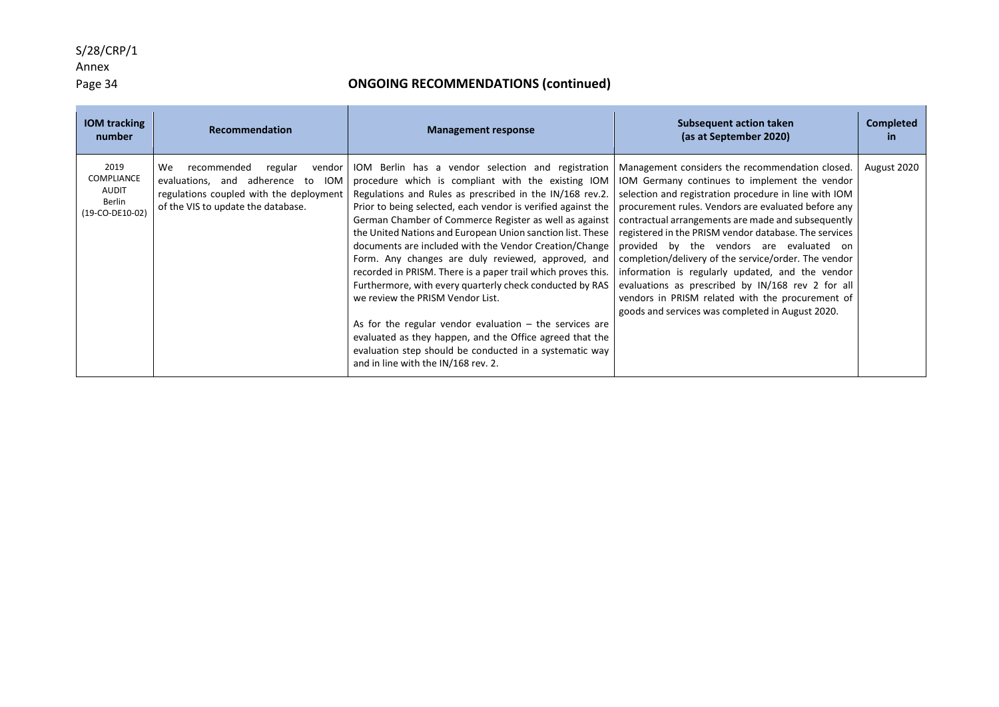### Annex

### Page 34 **ONGOING RECOMMENDATIONS (continued)**

| <b>IOM tracking</b><br>number                                   | Recommendation                                                                                                                                                           | <b>Management response</b>                                                                                                                                                                                                                                                                                                                                                                                                                                                                                                                                                                                                                                                                                                                                                                                                                                              | Subsequent action taken<br>(as at September 2020)                                                                                                                                                                                                                                                                                                                                                                                                                                                                                                                                                                                                    | <b>Completed</b><br>in. |
|-----------------------------------------------------------------|--------------------------------------------------------------------------------------------------------------------------------------------------------------------------|-------------------------------------------------------------------------------------------------------------------------------------------------------------------------------------------------------------------------------------------------------------------------------------------------------------------------------------------------------------------------------------------------------------------------------------------------------------------------------------------------------------------------------------------------------------------------------------------------------------------------------------------------------------------------------------------------------------------------------------------------------------------------------------------------------------------------------------------------------------------------|------------------------------------------------------------------------------------------------------------------------------------------------------------------------------------------------------------------------------------------------------------------------------------------------------------------------------------------------------------------------------------------------------------------------------------------------------------------------------------------------------------------------------------------------------------------------------------------------------------------------------------------------------|-------------------------|
| 2019<br>COMPLIANCE<br><b>AUDIT</b><br>Berlin<br>(19-CO-DE10-02) | We .<br>recommended<br>regular<br>vendor<br>evaluations, and adherence to<br><b>IOM</b><br>regulations coupled with the deployment<br>of the VIS to update the database. | IOM Berlin has a vendor selection and registration<br>procedure which is compliant with the existing IOM<br>Regulations and Rules as prescribed in the IN/168 rev.2.<br>Prior to being selected, each vendor is verified against the<br>German Chamber of Commerce Register as well as against<br>the United Nations and European Union sanction list. These<br>documents are included with the Vendor Creation/Change<br>Form. Any changes are duly reviewed, approved, and<br>recorded in PRISM. There is a paper trail which proves this.<br>Furthermore, with every quarterly check conducted by RAS<br>we review the PRISM Vendor List.<br>As for the regular vendor evaluation $-$ the services are<br>evaluated as they happen, and the Office agreed that the<br>evaluation step should be conducted in a systematic way<br>and in line with the IN/168 rev. 2. | Management considers the recommendation closed.<br>IOM Germany continues to implement the vendor<br>selection and registration procedure in line with IOM<br>procurement rules. Vendors are evaluated before any<br>contractual arrangements are made and subsequently<br>registered in the PRISM vendor database. The services<br>provided by the vendors are evaluated on<br>completion/delivery of the service/order. The vendor<br>information is regularly updated, and the vendor<br>evaluations as prescribed by IN/168 rev 2 for all<br>vendors in PRISM related with the procurement of<br>goods and services was completed in August 2020. | August 2020             |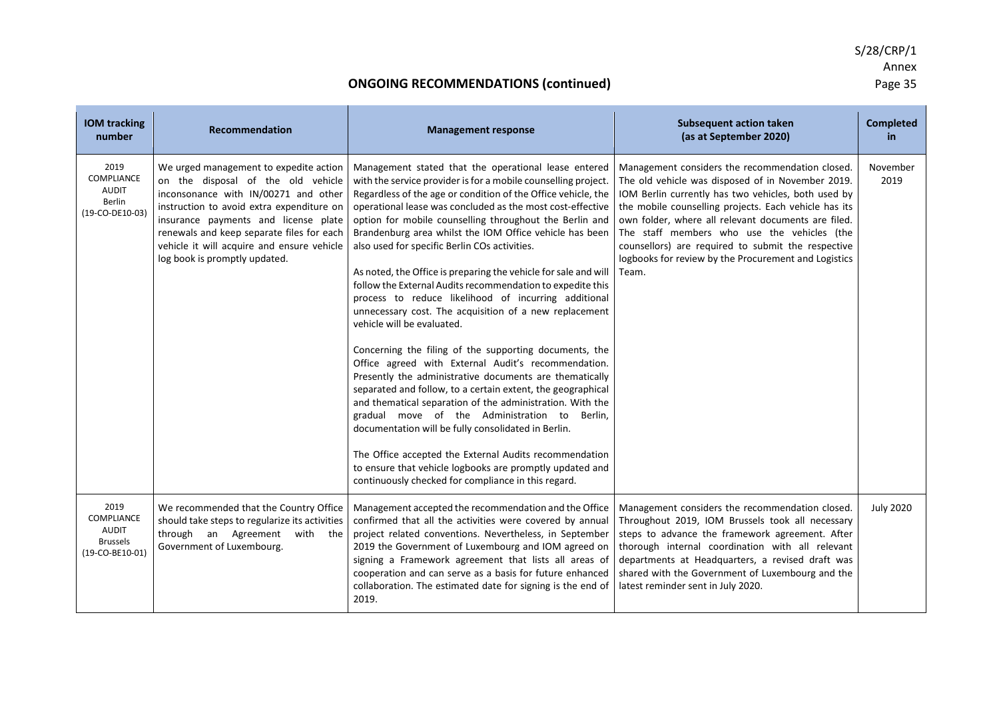| <b>IOM</b> tracking<br>number                                                   | <b>Recommendation</b>                                                                                                                                                                                                                                                                                                                 | <b>Management response</b>                                                                                                                                                                                                                                                                                                                                                                                                                                                                                                                                                                                                                                                                                                                                                                                                                                                                                                                                                                                                                                                                                                                                                                                                                                                                                 | <b>Subsequent action taken</b><br>(as at September 2020)                                                                                                                                                                                                                                                                                                                                                                                          | <b>Completed</b><br>in |
|---------------------------------------------------------------------------------|---------------------------------------------------------------------------------------------------------------------------------------------------------------------------------------------------------------------------------------------------------------------------------------------------------------------------------------|------------------------------------------------------------------------------------------------------------------------------------------------------------------------------------------------------------------------------------------------------------------------------------------------------------------------------------------------------------------------------------------------------------------------------------------------------------------------------------------------------------------------------------------------------------------------------------------------------------------------------------------------------------------------------------------------------------------------------------------------------------------------------------------------------------------------------------------------------------------------------------------------------------------------------------------------------------------------------------------------------------------------------------------------------------------------------------------------------------------------------------------------------------------------------------------------------------------------------------------------------------------------------------------------------------|---------------------------------------------------------------------------------------------------------------------------------------------------------------------------------------------------------------------------------------------------------------------------------------------------------------------------------------------------------------------------------------------------------------------------------------------------|------------------------|
| 2019<br>COMPLIANCE<br><b>AUDIT</b><br>Berlin<br>(19-CO-DE10-03)                 | We urged management to expedite action<br>on the disposal of the old vehicle<br>inconsonance with IN/00271 and other<br>instruction to avoid extra expenditure on<br>insurance payments and license plate<br>renewals and keep separate files for each<br>vehicle it will acquire and ensure vehicle<br>log book is promptly updated. | Management stated that the operational lease entered<br>with the service provider is for a mobile counselling project.<br>Regardless of the age or condition of the Office vehicle, the<br>operational lease was concluded as the most cost-effective<br>option for mobile counselling throughout the Berlin and<br>Brandenburg area whilst the IOM Office vehicle has been<br>also used for specific Berlin COs activities.<br>As noted, the Office is preparing the vehicle for sale and will<br>follow the External Audits recommendation to expedite this<br>process to reduce likelihood of incurring additional<br>unnecessary cost. The acquisition of a new replacement<br>vehicle will be evaluated.<br>Concerning the filing of the supporting documents, the<br>Office agreed with External Audit's recommendation.<br>Presently the administrative documents are thematically<br>separated and follow, to a certain extent, the geographical<br>and thematical separation of the administration. With the<br>gradual move of the Administration to Berlin,<br>documentation will be fully consolidated in Berlin.<br>The Office accepted the External Audits recommendation<br>to ensure that vehicle logbooks are promptly updated and<br>continuously checked for compliance in this regard. | Management considers the recommendation closed.<br>The old vehicle was disposed of in November 2019.<br>IOM Berlin currently has two vehicles, both used by<br>the mobile counselling projects. Each vehicle has its<br>own folder, where all relevant documents are filed.<br>The staff members who use the vehicles (the<br>counsellors) are required to submit the respective<br>logbooks for review by the Procurement and Logistics<br>Team. | November<br>2019       |
| 2019<br><b>COMPLIANCE</b><br><b>AUDIT</b><br><b>Brussels</b><br>(19-CO-BE10-01) | We recommended that the Country Office<br>should take steps to regularize its activities<br>through an Agreement with the<br>Government of Luxembourg.                                                                                                                                                                                | Management accepted the recommendation and the Office<br>confirmed that all the activities were covered by annual<br>project related conventions. Nevertheless, in September<br>2019 the Government of Luxembourg and IOM agreed on<br>signing a Framework agreement that lists all areas of<br>cooperation and can serve as a basis for future enhanced<br>collaboration. The estimated date for signing is the end of<br>2019.                                                                                                                                                                                                                                                                                                                                                                                                                                                                                                                                                                                                                                                                                                                                                                                                                                                                           | Management considers the recommendation closed.<br>Throughout 2019, IOM Brussels took all necessary<br>steps to advance the framework agreement. After<br>thorough internal coordination with all relevant<br>departments at Headquarters, a revised draft was<br>shared with the Government of Luxembourg and the<br>latest reminder sent in July 2020.                                                                                          | <b>July 2020</b>       |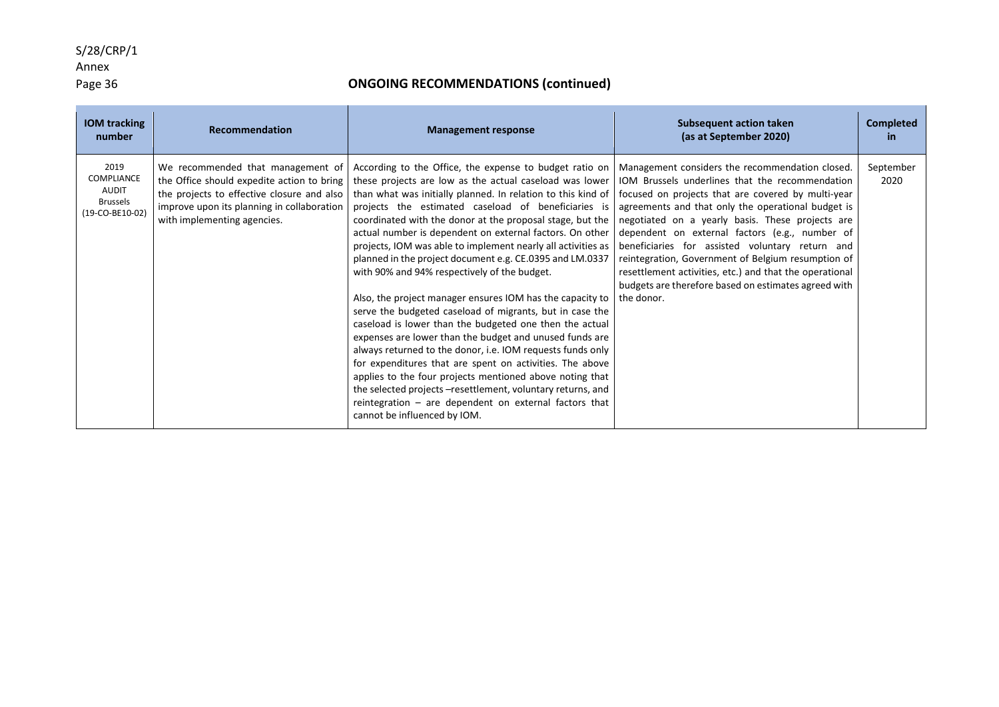### Annex

### Page 36 **ONGOING RECOMMENDATIONS (continued)**

| <b>IOM tracking</b><br>number                                            | <b>Recommendation</b>                                                                                                                                                                                      | <b>Management response</b>                                                                                                                                                                                                                                                                                                                                                                                                                                                                                                                                                                                                                                                                                                                                                                                                                                                                                                                                                                                                                                                                                                                                                                                                                                                                                                                                                                                                                                                                                                        | <b>Subsequent action taken</b><br>(as at September 2020)                                                                                                              | <b>Completed</b><br>in |
|--------------------------------------------------------------------------|------------------------------------------------------------------------------------------------------------------------------------------------------------------------------------------------------------|-----------------------------------------------------------------------------------------------------------------------------------------------------------------------------------------------------------------------------------------------------------------------------------------------------------------------------------------------------------------------------------------------------------------------------------------------------------------------------------------------------------------------------------------------------------------------------------------------------------------------------------------------------------------------------------------------------------------------------------------------------------------------------------------------------------------------------------------------------------------------------------------------------------------------------------------------------------------------------------------------------------------------------------------------------------------------------------------------------------------------------------------------------------------------------------------------------------------------------------------------------------------------------------------------------------------------------------------------------------------------------------------------------------------------------------------------------------------------------------------------------------------------------------|-----------------------------------------------------------------------------------------------------------------------------------------------------------------------|------------------------|
| 2019<br>COMPLIANCE<br><b>AUDIT</b><br><b>Brussels</b><br>(19-CO-BE10-02) | We recommended that management of<br>the Office should expedite action to bring<br>the projects to effective closure and also<br>improve upon its planning in collaboration<br>with implementing agencies. | According to the Office, the expense to budget ratio on   Management considers the recommendation closed.<br>these projects are low as the actual caseload was lower   IOM Brussels underlines that the recommendation<br>than what was initially planned. In relation to this kind of   focused on projects that are covered by multi-year<br>projects the estimated caseload of beneficiaries is agreements and that only the operational budget is<br>coordinated with the donor at the proposal stage, but the   negotiated on a yearly basis. These projects are<br>actual number is dependent on external factors. On other dependent on external factors (e.g., number of<br>projects, IOM was able to implement nearly all activities as   beneficiaries for assisted voluntary return and<br>planned in the project document e.g. CE.0395 and LM.0337<br>with 90% and 94% respectively of the budget.<br>Also, the project manager ensures IOM has the capacity to $\vert$ the donor.<br>serve the budgeted caseload of migrants, but in case the<br>caseload is lower than the budgeted one then the actual<br>expenses are lower than the budget and unused funds are<br>always returned to the donor, i.e. IOM requests funds only<br>for expenditures that are spent on activities. The above<br>applies to the four projects mentioned above noting that<br>the selected projects -resettlement, voluntary returns, and<br>reintegration $-$ are dependent on external factors that<br>cannot be influenced by IOM. | reintegration, Government of Belgium resumption of<br>resettlement activities, etc.) and that the operational<br>budgets are therefore based on estimates agreed with | September<br>2020      |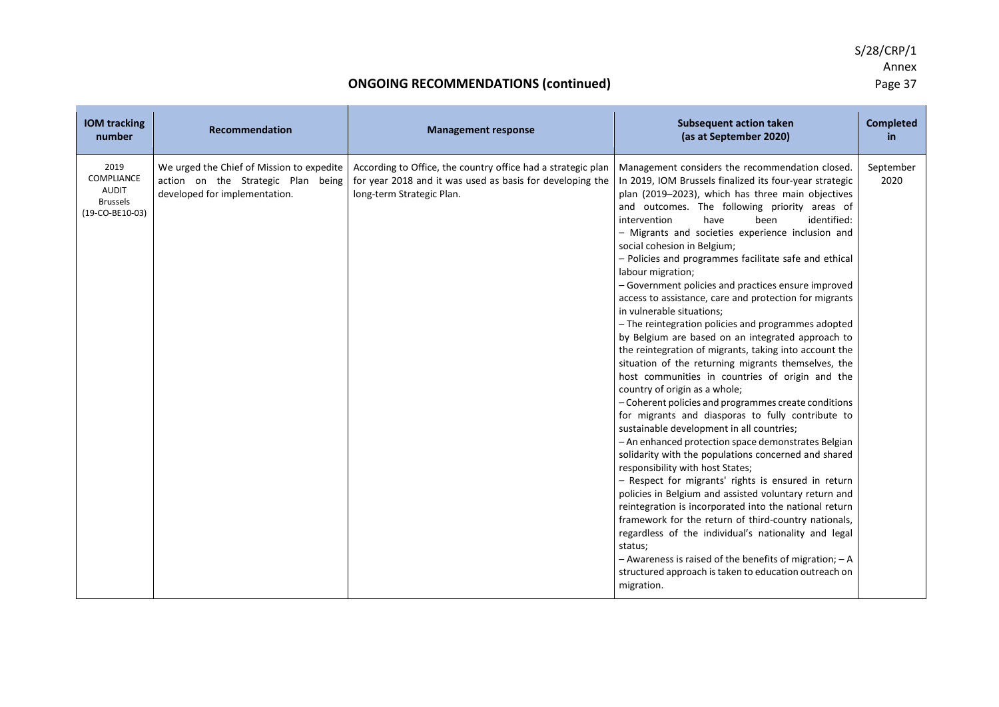| <b>IOM tracking</b><br>number                                            | <b>Recommendation</b>                                                                                            | <b>Management response</b>                                                                                                                             | <b>Subsequent action taken</b><br>(as at September 2020)                                                                                                                                                                                                                                                                                                                                                                                                                                                                                                                                                                                                                                                                                                                                                                                                                                                                                                                                                                                                                                                                                                                                                                                                                                                                                                                                                                                                                                                                                                                                                                                                 | <b>Completed</b><br>in |
|--------------------------------------------------------------------------|------------------------------------------------------------------------------------------------------------------|--------------------------------------------------------------------------------------------------------------------------------------------------------|----------------------------------------------------------------------------------------------------------------------------------------------------------------------------------------------------------------------------------------------------------------------------------------------------------------------------------------------------------------------------------------------------------------------------------------------------------------------------------------------------------------------------------------------------------------------------------------------------------------------------------------------------------------------------------------------------------------------------------------------------------------------------------------------------------------------------------------------------------------------------------------------------------------------------------------------------------------------------------------------------------------------------------------------------------------------------------------------------------------------------------------------------------------------------------------------------------------------------------------------------------------------------------------------------------------------------------------------------------------------------------------------------------------------------------------------------------------------------------------------------------------------------------------------------------------------------------------------------------------------------------------------------------|------------------------|
| 2019<br>COMPLIANCE<br><b>AUDIT</b><br><b>Brussels</b><br>(19-CO-BE10-03) | We urged the Chief of Mission to expedite<br>action on the Strategic Plan being<br>developed for implementation. | According to Office, the country office had a strategic plan<br>for year 2018 and it was used as basis for developing the<br>long-term Strategic Plan. | Management considers the recommendation closed.<br>In 2019, IOM Brussels finalized its four-year strategic<br>plan (2019-2023), which has three main objectives<br>and outcomes. The following priority areas of<br>identified:<br>intervention<br>have<br>been<br>- Migrants and societies experience inclusion and<br>social cohesion in Belgium;<br>- Policies and programmes facilitate safe and ethical<br>labour migration;<br>- Government policies and practices ensure improved<br>access to assistance, care and protection for migrants<br>in vulnerable situations;<br>- The reintegration policies and programmes adopted<br>by Belgium are based on an integrated approach to<br>the reintegration of migrants, taking into account the<br>situation of the returning migrants themselves, the<br>host communities in countries of origin and the<br>country of origin as a whole;<br>- Coherent policies and programmes create conditions<br>for migrants and diasporas to fully contribute to<br>sustainable development in all countries;<br>- An enhanced protection space demonstrates Belgian<br>solidarity with the populations concerned and shared<br>responsibility with host States;<br>- Respect for migrants' rights is ensured in return<br>policies in Belgium and assisted voluntary return and<br>reintegration is incorporated into the national return<br>framework for the return of third-country nationals,<br>regardless of the individual's nationality and legal<br>status;<br>$-$ Awareness is raised of the benefits of migration; $-$ A<br>structured approach is taken to education outreach on<br>migration. | September<br>2020      |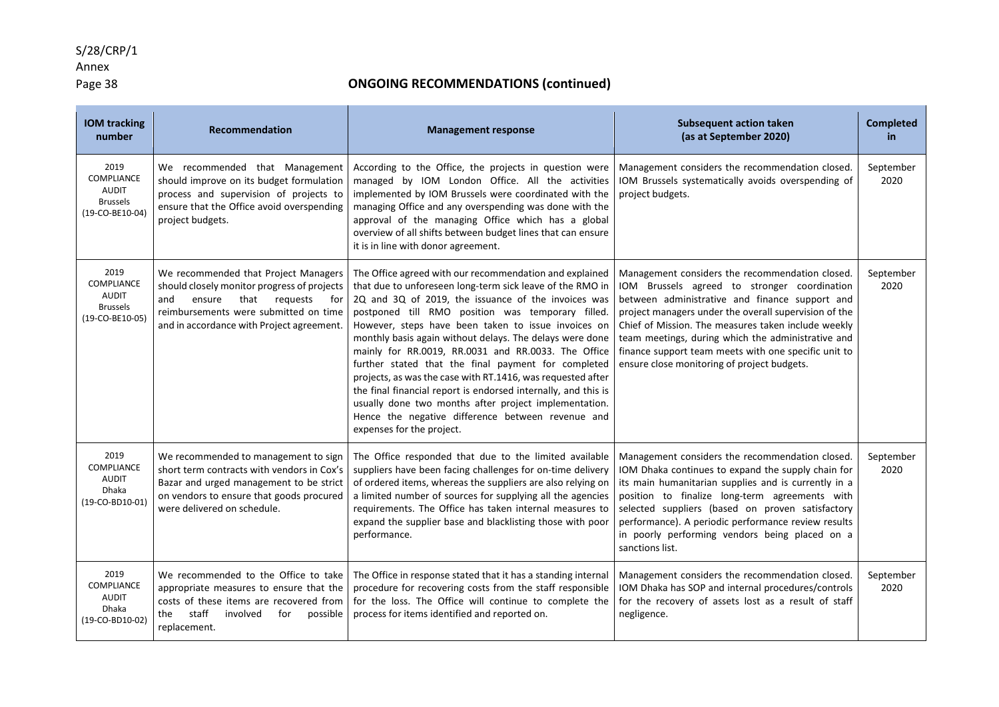# Annex<br>Page 38

| <b>IOM tracking</b><br>number                                                   | Recommendation                                                                                                                                                                                                        | <b>Management response</b>                                                                                                                                                                                                                                                                                                                                                                                                                                                                                                                                                                                                                                                                                                                    | <b>Subsequent action taken</b><br>(as at September 2020)                                                                                                                                                                                                                                                                                                                                                                       | <b>Completed</b><br>in. |
|---------------------------------------------------------------------------------|-----------------------------------------------------------------------------------------------------------------------------------------------------------------------------------------------------------------------|-----------------------------------------------------------------------------------------------------------------------------------------------------------------------------------------------------------------------------------------------------------------------------------------------------------------------------------------------------------------------------------------------------------------------------------------------------------------------------------------------------------------------------------------------------------------------------------------------------------------------------------------------------------------------------------------------------------------------------------------------|--------------------------------------------------------------------------------------------------------------------------------------------------------------------------------------------------------------------------------------------------------------------------------------------------------------------------------------------------------------------------------------------------------------------------------|-------------------------|
| 2019<br><b>COMPLIANCE</b><br><b>AUDIT</b><br><b>Brussels</b><br>(19-CO-BE10-04) | We recommended that Management<br>should improve on its budget formulation<br>process and supervision of projects to<br>ensure that the Office avoid overspending<br>project budgets.                                 | According to the Office, the projects in question were<br>managed by IOM London Office. All the activities<br>implemented by IOM Brussels were coordinated with the<br>managing Office and any overspending was done with the<br>approval of the managing Office which has a global<br>overview of all shifts between budget lines that can ensure<br>it is in line with donor agreement.                                                                                                                                                                                                                                                                                                                                                     | Management considers the recommendation closed.<br>IOM Brussels systematically avoids overspending of<br>project budgets.                                                                                                                                                                                                                                                                                                      | September<br>2020       |
| 2019<br><b>COMPLIANCE</b><br><b>AUDIT</b><br><b>Brussels</b><br>(19-CO-BE10-05) | We recommended that Project Managers<br>should closely monitor progress of projects<br>that<br>and<br>ensure<br>requests<br>for<br>reimbursements were submitted on time<br>and in accordance with Project agreement. | The Office agreed with our recommendation and explained<br>that due to unforeseen long-term sick leave of the RMO in<br>2Q and 3Q of 2019, the issuance of the invoices was<br>postponed till RMO position was temporary filled.<br>However, steps have been taken to issue invoices on<br>monthly basis again without delays. The delays were done<br>mainly for RR.0019, RR.0031 and RR.0033. The Office<br>further stated that the final payment for completed<br>projects, as was the case with RT.1416, was requested after<br>the final financial report is endorsed internally, and this is<br>usually done two months after project implementation.<br>Hence the negative difference between revenue and<br>expenses for the project. | Management considers the recommendation closed.<br>IOM Brussels agreed to stronger coordination<br>between administrative and finance support and<br>project managers under the overall supervision of the<br>Chief of Mission. The measures taken include weekly<br>team meetings, during which the administrative and<br>finance support team meets with one specific unit to<br>ensure close monitoring of project budgets. | September<br>2020       |
| 2019<br><b>COMPLIANCE</b><br><b>AUDIT</b><br><b>Dhaka</b><br>(19-CO-BD10-01)    | We recommended to management to sign<br>short term contracts with vendors in Cox's<br>Bazar and urged management to be strict<br>on vendors to ensure that goods procured<br>were delivered on schedule.              | The Office responded that due to the limited available<br>suppliers have been facing challenges for on-time delivery<br>of ordered items, whereas the suppliers are also relying on<br>a limited number of sources for supplying all the agencies<br>requirements. The Office has taken internal measures to<br>expand the supplier base and blacklisting those with poor<br>performance.                                                                                                                                                                                                                                                                                                                                                     | Management considers the recommendation closed.<br>IOM Dhaka continues to expand the supply chain for<br>its main humanitarian supplies and is currently in a<br>position to finalize long-term agreements with<br>selected suppliers (based on proven satisfactory<br>performance). A periodic performance review results<br>in poorly performing vendors being placed on a<br>sanctions list.                                | September<br>2020       |
| 2019<br><b>COMPLIANCE</b><br><b>AUDIT</b><br>Dhaka<br>(19-CO-BD10-02)           | We recommended to the Office to take<br>appropriate measures to ensure that the<br>costs of these items are recovered from<br>staff<br>involved<br>for<br>possible<br>the<br>replacement.                             | The Office in response stated that it has a standing internal<br>procedure for recovering costs from the staff responsible<br>for the loss. The Office will continue to complete the<br>process for items identified and reported on.                                                                                                                                                                                                                                                                                                                                                                                                                                                                                                         | Management considers the recommendation closed.<br>IOM Dhaka has SOP and internal procedures/controls<br>for the recovery of assets lost as a result of staff<br>negligence.                                                                                                                                                                                                                                                   | September<br>2020       |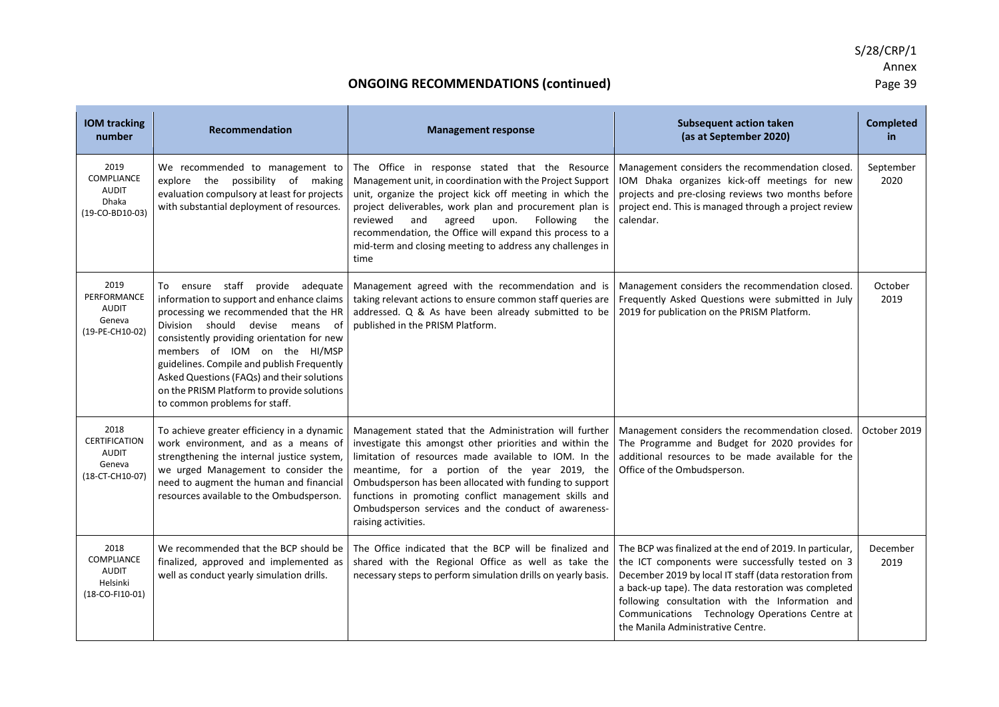| <b>IOM tracking</b><br>number                                                | <b>Recommendation</b>                                                                                                                                                                                                                                                                                                                                                                                              | <b>Management response</b>                                                                                                                                                                                                                                                                                                                                                                                                     | <b>Subsequent action taken</b><br>(as at September 2020)                                                                                                                                                                                                                                                                                                                | <b>Completed</b><br>in |
|------------------------------------------------------------------------------|--------------------------------------------------------------------------------------------------------------------------------------------------------------------------------------------------------------------------------------------------------------------------------------------------------------------------------------------------------------------------------------------------------------------|--------------------------------------------------------------------------------------------------------------------------------------------------------------------------------------------------------------------------------------------------------------------------------------------------------------------------------------------------------------------------------------------------------------------------------|-------------------------------------------------------------------------------------------------------------------------------------------------------------------------------------------------------------------------------------------------------------------------------------------------------------------------------------------------------------------------|------------------------|
| 2019<br><b>COMPLIANCE</b><br><b>AUDIT</b><br><b>Dhaka</b><br>(19-CO-BD10-03) | We recommended to management to<br>explore the possibility of making<br>evaluation compulsory at least for projects<br>with substantial deployment of resources.                                                                                                                                                                                                                                                   | The Office in response stated that the Resource<br>Management unit, in coordination with the Project Support<br>unit, organize the project kick off meeting in which the<br>project deliverables, work plan and procurement plan is<br>reviewed<br>and<br>agreed<br>upon.<br>Following<br>the<br>recommendation, the Office will expand this process to a<br>mid-term and closing meeting to address any challenges in<br>time | Management considers the recommendation closed.<br>IOM Dhaka organizes kick-off meetings for new<br>projects and pre-closing reviews two months before<br>project end. This is managed through a project review<br>calendar.                                                                                                                                            | September<br>2020      |
| 2019<br>PERFORMANCE<br><b>AUDIT</b><br>Geneva<br>(19-PE-CH10-02)             | To ensure staff provide adequate<br>information to support and enhance claims<br>processing we recommended that the HR<br>Division should devise means of<br>consistently providing orientation for new<br>members of IOM on the HI/MSP<br>guidelines. Compile and publish Frequently<br>Asked Questions (FAQs) and their solutions<br>on the PRISM Platform to provide solutions<br>to common problems for staff. | Management agreed with the recommendation and is<br>taking relevant actions to ensure common staff queries are<br>addressed. Q & As have been already submitted to be<br>published in the PRISM Platform.                                                                                                                                                                                                                      | Management considers the recommendation closed.<br>Frequently Asked Questions were submitted in July<br>2019 for publication on the PRISM Platform.                                                                                                                                                                                                                     | October<br>2019        |
| 2018<br>CERTIFICATION<br><b>AUDIT</b><br>Geneva<br>(18-CT-CH10-07)           | To achieve greater efficiency in a dynamic<br>work environment, and as a means of<br>strengthening the internal justice system,<br>we urged Management to consider the<br>need to augment the human and financial<br>resources available to the Ombudsperson.                                                                                                                                                      | Management stated that the Administration will further<br>investigate this amongst other priorities and within the<br>limitation of resources made available to IOM. In the<br>meantime, for a portion of the year 2019, the<br>Ombudsperson has been allocated with funding to support<br>functions in promoting conflict management skills and<br>Ombudsperson services and the conduct of awareness-<br>raising activities. | Management considers the recommendation closed.<br>The Programme and Budget for 2020 provides for<br>additional resources to be made available for the<br>Office of the Ombudsperson.                                                                                                                                                                                   | October 2019           |
| 2018<br>COMPLIANCE<br><b>AUDIT</b><br>Helsinki<br>(18-CO-FI10-01)            | We recommended that the BCP should be<br>finalized, approved and implemented as<br>well as conduct yearly simulation drills.                                                                                                                                                                                                                                                                                       | The Office indicated that the BCP will be finalized and<br>shared with the Regional Office as well as take the<br>necessary steps to perform simulation drills on yearly basis.                                                                                                                                                                                                                                                | The BCP was finalized at the end of 2019. In particular,<br>the ICT components were successfully tested on 3<br>December 2019 by local IT staff (data restoration from<br>a back-up tape). The data restoration was completed<br>following consultation with the Information and<br>Communications Technology Operations Centre at<br>the Manila Administrative Centre. | December<br>2019       |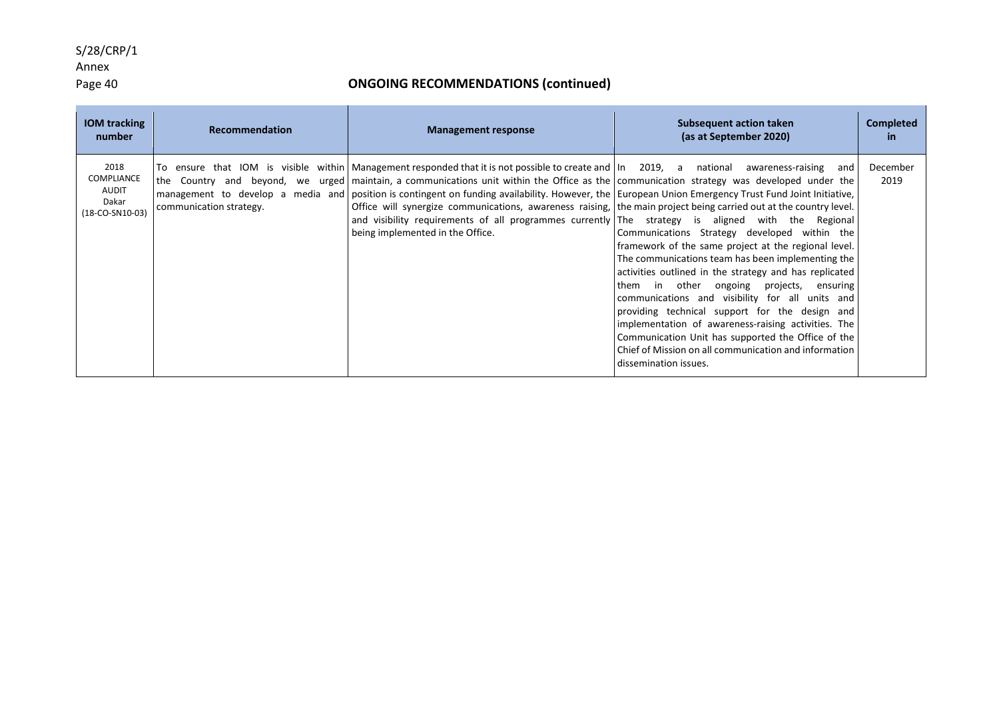### Annex

### Page 40 **ONGOING RECOMMENDATIONS (continued)**

| <b>IOM</b> tracking<br>number                                         | Recommendation          | <b>Management response</b>                                                                                                                                                                                                                                                                                                                                                                                                                                                                                                                                                                                                                                                                                      | Subsequent action taken<br>(as at September 2020)                                                                                                                                                                                                                                                                                                                                                                                                                                                                                                                         | <b>Completed</b><br>in. |
|-----------------------------------------------------------------------|-------------------------|-----------------------------------------------------------------------------------------------------------------------------------------------------------------------------------------------------------------------------------------------------------------------------------------------------------------------------------------------------------------------------------------------------------------------------------------------------------------------------------------------------------------------------------------------------------------------------------------------------------------------------------------------------------------------------------------------------------------|---------------------------------------------------------------------------------------------------------------------------------------------------------------------------------------------------------------------------------------------------------------------------------------------------------------------------------------------------------------------------------------------------------------------------------------------------------------------------------------------------------------------------------------------------------------------------|-------------------------|
| 2018<br><b>COMPLIANCE</b><br><b>AUDIT</b><br>Dakar<br>(18-CO-SN10-03) | communication strategy. | To ensure that IOM is visible within   Management responded that it is not possible to create and   In 2019, a national awareness-raising and<br>the Country and beyond, we urged maintain, a communications unit within the Office as the communication strategy was developed under the<br>management to develop a media and position is contingent on funding availability. However, the European Union Emergency Trust Fund Joint Initiative,<br>Office will synergize communications, awareness raising, the main project being carried out at the country level.<br>and visibility requirements of all programmes currently The strategy is aligned with the Regional<br>being implemented in the Office. | Communications Strategy developed within the<br>framework of the same project at the regional level.<br>The communications team has been implementing the<br>activities outlined in the strategy and has replicated<br>in other ongoing projects,<br>ensuring<br>them<br>communications and visibility for all units and<br>providing technical support for the design and<br>implementation of awareness-raising activities. The<br>Communication Unit has supported the Office of the<br>Chief of Mission on all communication and information<br>dissemination issues. | December<br>2019        |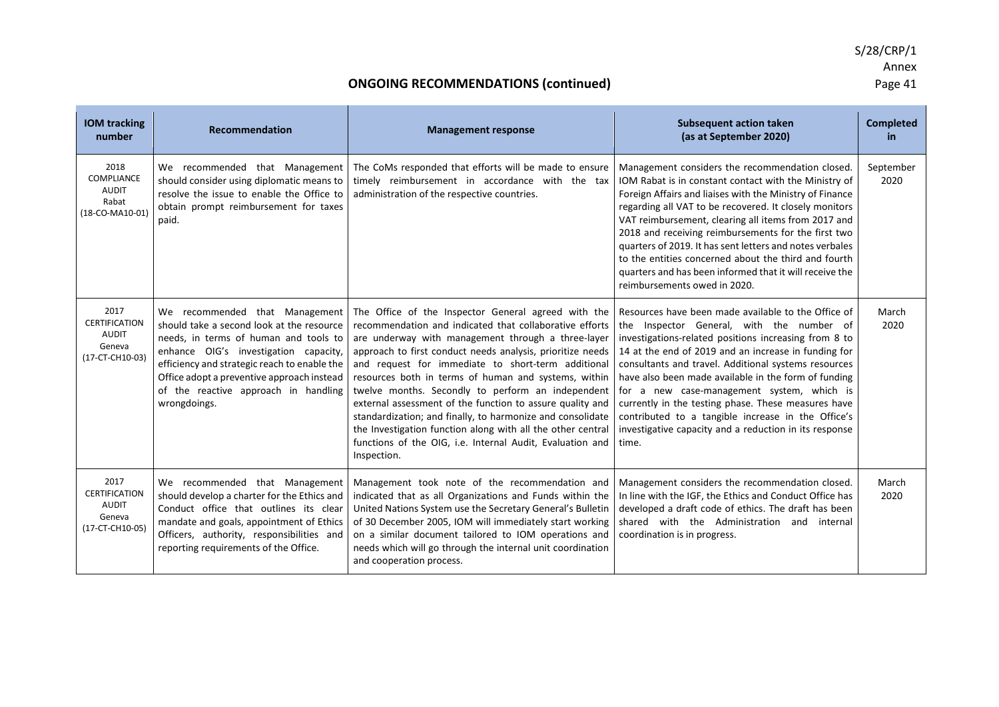| <b>IOM tracking</b><br>number                                             | <b>Recommendation</b>                                                                                                                                                                                                                                                                                               | <b>Management response</b>                                                                                                                                                                                                                                                                                                                                                                                                                                                                                                                                                                                                                                                  | <b>Subsequent action taken</b><br>(as at September 2020)                                                                                                                                                                                                                                                                                                                                                                                                                                                                                                        | <b>Completed</b><br>in |
|---------------------------------------------------------------------------|---------------------------------------------------------------------------------------------------------------------------------------------------------------------------------------------------------------------------------------------------------------------------------------------------------------------|-----------------------------------------------------------------------------------------------------------------------------------------------------------------------------------------------------------------------------------------------------------------------------------------------------------------------------------------------------------------------------------------------------------------------------------------------------------------------------------------------------------------------------------------------------------------------------------------------------------------------------------------------------------------------------|-----------------------------------------------------------------------------------------------------------------------------------------------------------------------------------------------------------------------------------------------------------------------------------------------------------------------------------------------------------------------------------------------------------------------------------------------------------------------------------------------------------------------------------------------------------------|------------------------|
| 2018<br><b>COMPLIANCE</b><br><b>AUDIT</b><br>Rabat<br>(18-CO-MA10-01)     | We recommended that Management<br>should consider using diplomatic means to<br>resolve the issue to enable the Office to<br>obtain prompt reimbursement for taxes<br>paid.                                                                                                                                          | The CoMs responded that efforts will be made to ensure<br>timely reimbursement in accordance with the tax<br>administration of the respective countries.                                                                                                                                                                                                                                                                                                                                                                                                                                                                                                                    | Management considers the recommendation closed.<br>IOM Rabat is in constant contact with the Ministry of<br>Foreign Affairs and liaises with the Ministry of Finance<br>regarding all VAT to be recovered. It closely monitors<br>VAT reimbursement, clearing all items from 2017 and<br>2018 and receiving reimbursements for the first two<br>quarters of 2019. It has sent letters and notes verbales<br>to the entities concerned about the third and fourth<br>quarters and has been informed that it will receive the<br>reimbursements owed in 2020.     | September<br>2020      |
| 2017<br><b>CERTIFICATION</b><br><b>AUDIT</b><br>Geneva<br>(17-CT-CH10-03) | We recommended that Management<br>should take a second look at the resource<br>needs, in terms of human and tools to<br>enhance OIG's investigation capacity,<br>efficiency and strategic reach to enable the<br>Office adopt a preventive approach instead<br>of the reactive approach in handling<br>wrongdoings. | The Office of the Inspector General agreed with the<br>recommendation and indicated that collaborative efforts<br>are underway with management through a three-layer<br>approach to first conduct needs analysis, prioritize needs<br>and request for immediate to short-term additional<br>resources both in terms of human and systems, within<br>twelve months. Secondly to perform an independent<br>external assessment of the function to assure quality and<br>standardization; and finally, to harmonize and consolidate<br>the Investigation function along with all the other central<br>functions of the OIG, i.e. Internal Audit, Evaluation and<br>Inspection. | Resources have been made available to the Office of<br>the Inspector General, with the number of<br>investigations-related positions increasing from 8 to<br>14 at the end of 2019 and an increase in funding for<br>consultants and travel. Additional systems resources<br>have also been made available in the form of funding<br>for a new case-management system, which is<br>currently in the testing phase. These measures have<br>contributed to a tangible increase in the Office's<br>investigative capacity and a reduction in its response<br>time. | March<br>2020          |
| 2017<br><b>CERTIFICATION</b><br>AUDIT<br>Geneva<br>(17-CT-CH10-05)        | We recommended that Management<br>should develop a charter for the Ethics and<br>Conduct office that outlines its clear<br>mandate and goals, appointment of Ethics<br>Officers, authority, responsibilities and<br>reporting requirements of the Office.                                                           | Management took note of the recommendation and<br>indicated that as all Organizations and Funds within the<br>United Nations System use the Secretary General's Bulletin<br>of 30 December 2005, IOM will immediately start working<br>on a similar document tailored to IOM operations and<br>needs which will go through the internal unit coordination<br>and cooperation process.                                                                                                                                                                                                                                                                                       | Management considers the recommendation closed.<br>In line with the IGF, the Ethics and Conduct Office has<br>developed a draft code of ethics. The draft has been<br>shared with the Administration and internal<br>coordination is in progress.                                                                                                                                                                                                                                                                                                               | March<br>2020          |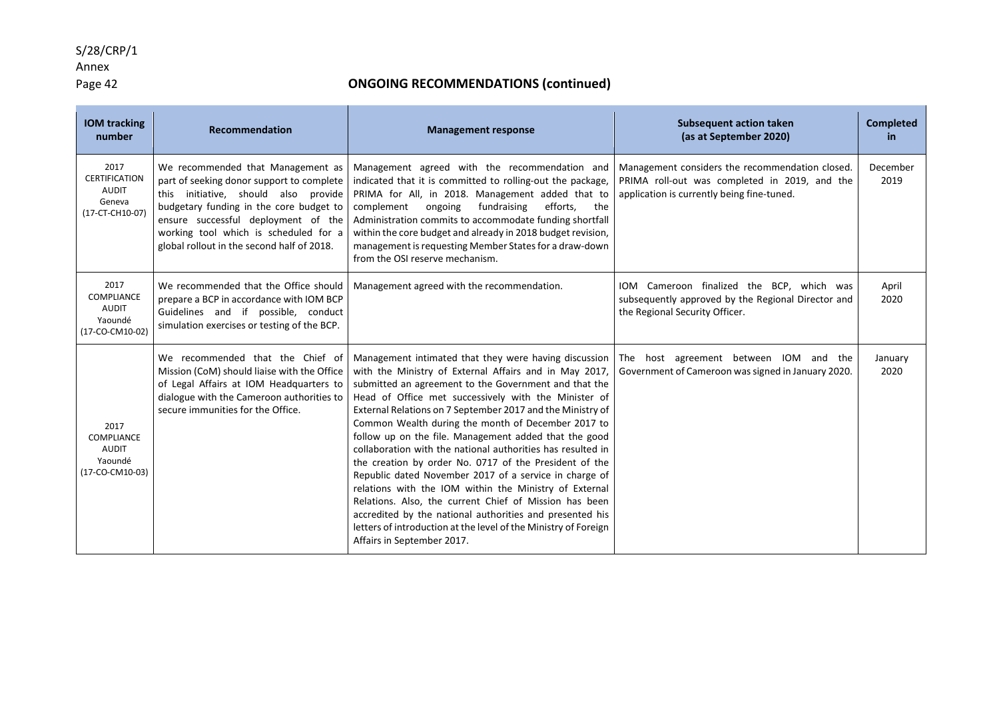### Annex

### Page 42 **ONGOING RECOMMENDATIONS (continued)**

| <b>IOM tracking</b><br>number                                      | <b>Recommendation</b>                                                                                                                                                                                                                                                                           | <b>Management response</b>                                                                                                                                                                                                                                                                                                                                                                                                                                                                                                                                                                                                                                                                                                                                                                                                                                                        | <b>Subsequent action taken</b><br>(as at September 2020)                                                                                       | <b>Completed</b><br><b>in</b> |
|--------------------------------------------------------------------|-------------------------------------------------------------------------------------------------------------------------------------------------------------------------------------------------------------------------------------------------------------------------------------------------|-----------------------------------------------------------------------------------------------------------------------------------------------------------------------------------------------------------------------------------------------------------------------------------------------------------------------------------------------------------------------------------------------------------------------------------------------------------------------------------------------------------------------------------------------------------------------------------------------------------------------------------------------------------------------------------------------------------------------------------------------------------------------------------------------------------------------------------------------------------------------------------|------------------------------------------------------------------------------------------------------------------------------------------------|-------------------------------|
| 2017<br><b>CERTIFICATION</b><br>AUDIT<br>Geneva<br>(17-CT-CH10-07) | We recommended that Management as<br>part of seeking donor support to complete<br>this initiative, should also provide<br>budgetary funding in the core budget to<br>ensure successful deployment of the<br>working tool which is scheduled for a<br>global rollout in the second half of 2018. | Management agreed with the recommendation and<br>indicated that it is committed to rolling-out the package,<br>PRIMA for All, in 2018. Management added that to<br>complement<br>ongoing<br>fundraising<br>efforts,<br>the<br>Administration commits to accommodate funding shortfall<br>within the core budget and already in 2018 budget revision,<br>management is requesting Member States for a draw-down<br>from the OSI reserve mechanism.                                                                                                                                                                                                                                                                                                                                                                                                                                 | Management considers the recommendation closed.<br>PRIMA roll-out was completed in 2019, and the<br>application is currently being fine-tuned. | December<br>2019              |
| 2017<br>COMPLIANCE<br>AUDIT<br>Yaoundé<br>(17-CO-CM10-02)          | We recommended that the Office should<br>prepare a BCP in accordance with IOM BCP<br>Guidelines and if possible, conduct<br>simulation exercises or testing of the BCP.                                                                                                                         | Management agreed with the recommendation.                                                                                                                                                                                                                                                                                                                                                                                                                                                                                                                                                                                                                                                                                                                                                                                                                                        | IOM Cameroon finalized the BCP, which was<br>subsequently approved by the Regional Director and<br>the Regional Security Officer.              | April<br>2020                 |
| 2017<br>COMPLIANCE<br><b>AUDIT</b><br>Yaoundé<br>(17-CO-CM10-03)   | We recommended that the Chief of<br>Mission (CoM) should liaise with the Office<br>of Legal Affairs at IOM Headquarters to<br>dialogue with the Cameroon authorities to<br>secure immunities for the Office.                                                                                    | Management intimated that they were having discussion<br>with the Ministry of External Affairs and in May 2017,<br>submitted an agreement to the Government and that the<br>Head of Office met successively with the Minister of<br>External Relations on 7 September 2017 and the Ministry of<br>Common Wealth during the month of December 2017 to<br>follow up on the file. Management added that the good<br>collaboration with the national authorities has resulted in<br>the creation by order No. 0717 of the President of the<br>Republic dated November 2017 of a service in charge of<br>relations with the IOM within the Ministry of External<br>Relations. Also, the current Chief of Mission has been<br>accredited by the national authorities and presented his<br>letters of introduction at the level of the Ministry of Foreign<br>Affairs in September 2017. | The host agreement between IOM and the<br>Government of Cameroon was signed in January 2020.                                                   | January<br>2020               |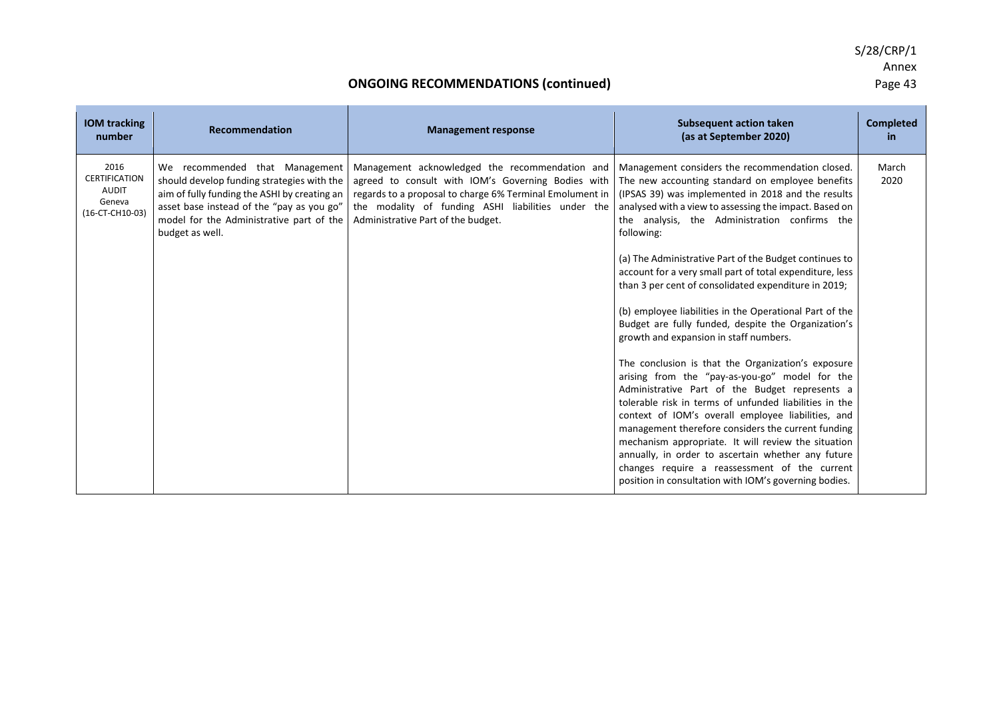| <b>IOM tracking</b><br>number                                             | <b>Recommendation</b>                                                                                                                                                                                                                    | <b>Management response</b>                                                                                                                                                                                                                                   | <b>Subsequent action taken</b><br>(as at September 2020)                                                                                                                                                                                                                                                                                                                                                                                                                                                                                            | <b>Completed</b><br>in. |
|---------------------------------------------------------------------------|------------------------------------------------------------------------------------------------------------------------------------------------------------------------------------------------------------------------------------------|--------------------------------------------------------------------------------------------------------------------------------------------------------------------------------------------------------------------------------------------------------------|-----------------------------------------------------------------------------------------------------------------------------------------------------------------------------------------------------------------------------------------------------------------------------------------------------------------------------------------------------------------------------------------------------------------------------------------------------------------------------------------------------------------------------------------------------|-------------------------|
| 2016<br><b>CERTIFICATION</b><br><b>AUDIT</b><br>Geneva<br>(16-CT-CH10-03) | We recommended that Management<br>should develop funding strategies with the<br>aim of fully funding the ASHI by creating an<br>asset base instead of the "pay as you go"<br>model for the Administrative part of the<br>budget as well. | Management acknowledged the recommendation and<br>agreed to consult with IOM's Governing Bodies with<br>regards to a proposal to charge 6% Terminal Emolument in<br>the modality of funding ASHI liabilities under the<br>Administrative Part of the budget. | Management considers the recommendation closed.<br>The new accounting standard on employee benefits<br>(IPSAS 39) was implemented in 2018 and the results<br>analysed with a view to assessing the impact. Based on<br>the analysis, the Administration confirms the<br>following:                                                                                                                                                                                                                                                                  | March<br>2020           |
|                                                                           |                                                                                                                                                                                                                                          |                                                                                                                                                                                                                                                              | (a) The Administrative Part of the Budget continues to<br>account for a very small part of total expenditure, less<br>than 3 per cent of consolidated expenditure in 2019;                                                                                                                                                                                                                                                                                                                                                                          |                         |
|                                                                           |                                                                                                                                                                                                                                          |                                                                                                                                                                                                                                                              | (b) employee liabilities in the Operational Part of the<br>Budget are fully funded, despite the Organization's<br>growth and expansion in staff numbers.                                                                                                                                                                                                                                                                                                                                                                                            |                         |
|                                                                           |                                                                                                                                                                                                                                          |                                                                                                                                                                                                                                                              | The conclusion is that the Organization's exposure<br>arising from the "pay-as-you-go" model for the<br>Administrative Part of the Budget represents a<br>tolerable risk in terms of unfunded liabilities in the<br>context of IOM's overall employee liabilities, and<br>management therefore considers the current funding<br>mechanism appropriate. It will review the situation<br>annually, in order to ascertain whether any future<br>changes require a reassessment of the current<br>position in consultation with IOM's governing bodies. |                         |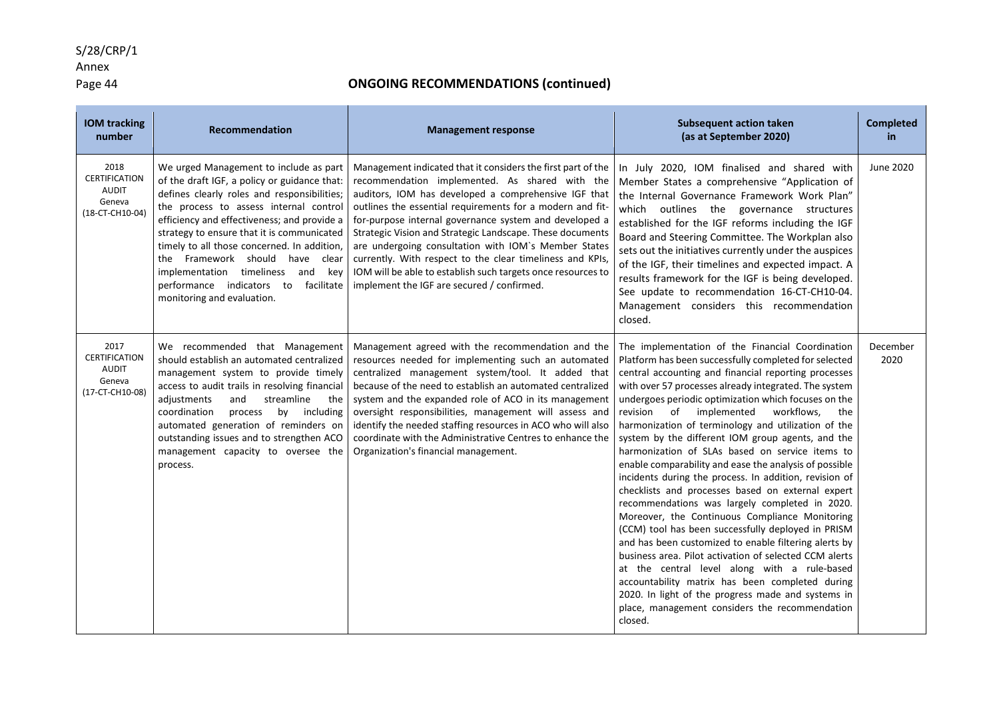### Annex

### Page 44 **ONGOING RECOMMENDATIONS (continued)**

| <b>IOM tracking</b><br>number                                             | Recommendation                                                                                                                                                                                                                                                                                                                                                                                                                                                                     | <b>Management response</b>                                                                                                                                                                                                                                                                                                                                                                                                                                                                                                                                                                    | <b>Subsequent action taken</b><br>(as at September 2020)                                                                                                                                                                                                                                                                                                                                                                                                                                                                                                                                                                                                                                                                                                                                                                                                                                                                                                                                                                                                                                                                                                                            | <b>Completed</b><br>in. |
|---------------------------------------------------------------------------|------------------------------------------------------------------------------------------------------------------------------------------------------------------------------------------------------------------------------------------------------------------------------------------------------------------------------------------------------------------------------------------------------------------------------------------------------------------------------------|-----------------------------------------------------------------------------------------------------------------------------------------------------------------------------------------------------------------------------------------------------------------------------------------------------------------------------------------------------------------------------------------------------------------------------------------------------------------------------------------------------------------------------------------------------------------------------------------------|-------------------------------------------------------------------------------------------------------------------------------------------------------------------------------------------------------------------------------------------------------------------------------------------------------------------------------------------------------------------------------------------------------------------------------------------------------------------------------------------------------------------------------------------------------------------------------------------------------------------------------------------------------------------------------------------------------------------------------------------------------------------------------------------------------------------------------------------------------------------------------------------------------------------------------------------------------------------------------------------------------------------------------------------------------------------------------------------------------------------------------------------------------------------------------------|-------------------------|
| 2018<br>CERTIFICATION<br><b>AUDIT</b><br>Geneva<br>(18-CT-CH10-04)        | We urged Management to include as part<br>of the draft IGF, a policy or guidance that:<br>defines clearly roles and responsibilities;<br>the process to assess internal control<br>efficiency and effectiveness; and provide a<br>strategy to ensure that it is communicated<br>timely to all those concerned. In addition,<br>the Framework should have clear<br>implementation timeliness<br>and<br>key<br>performance indicators to<br>facilitate<br>monitoring and evaluation. | Management indicated that it considers the first part of the<br>recommendation implemented. As shared with the<br>auditors, IOM has developed a comprehensive IGF that<br>outlines the essential requirements for a modern and fit-<br>for-purpose internal governance system and developed a<br>Strategic Vision and Strategic Landscape. These documents<br>are undergoing consultation with IOM's Member States<br>currently. With respect to the clear timeliness and KPIs,<br>IOM will be able to establish such targets once resources to<br>implement the IGF are secured / confirmed. | In July 2020, IOM finalised and shared with<br>Member States a comprehensive "Application of<br>the Internal Governance Framework Work Plan"<br>which outlines the governance structures<br>established for the IGF reforms including the IGF<br>Board and Steering Committee. The Workplan also<br>sets out the initiatives currently under the auspices<br>of the IGF, their timelines and expected impact. A<br>results framework for the IGF is being developed.<br>See update to recommendation 16-CT-CH10-04.<br>Management considers this recommendation<br>closed.                                                                                                                                                                                                                                                                                                                                                                                                                                                                                                                                                                                                          | June 2020               |
| 2017<br><b>CERTIFICATION</b><br><b>AUDIT</b><br>Geneva<br>(17-CT-CH10-08) | We recommended that Management<br>should establish an automated centralized<br>management system to provide timely<br>access to audit trails in resolving financial<br>and<br>adjustments<br>streamline<br>the<br>coordination<br>including<br>process<br>by<br>automated generation of reminders on<br>outstanding issues and to strengthen ACO<br>management capacity to oversee the<br>process.                                                                                 | Management agreed with the recommendation and the<br>resources needed for implementing such an automated<br>centralized management system/tool. It added that<br>because of the need to establish an automated centralized<br>system and the expanded role of ACO in its management<br>oversight responsibilities, management will assess and<br>identify the needed staffing resources in ACO who will also<br>coordinate with the Administrative Centres to enhance the<br>Organization's financial management.                                                                             | The implementation of the Financial Coordination<br>Platform has been successfully completed for selected<br>central accounting and financial reporting processes<br>with over 57 processes already integrated. The system<br>undergoes periodic optimization which focuses on the<br>implemented<br>revision<br>of<br>workflows,<br>the<br>harmonization of terminology and utilization of the<br>system by the different IOM group agents, and the<br>harmonization of SLAs based on service items to<br>enable comparability and ease the analysis of possible<br>incidents during the process. In addition, revision of<br>checklists and processes based on external expert<br>recommendations was largely completed in 2020.<br>Moreover, the Continuous Compliance Monitoring<br>(CCM) tool has been successfully deployed in PRISM<br>and has been customized to enable filtering alerts by<br>business area. Pilot activation of selected CCM alerts<br>at the central level along with a rule-based<br>accountability matrix has been completed during<br>2020. In light of the progress made and systems in<br>place, management considers the recommendation<br>closed. | December<br>2020        |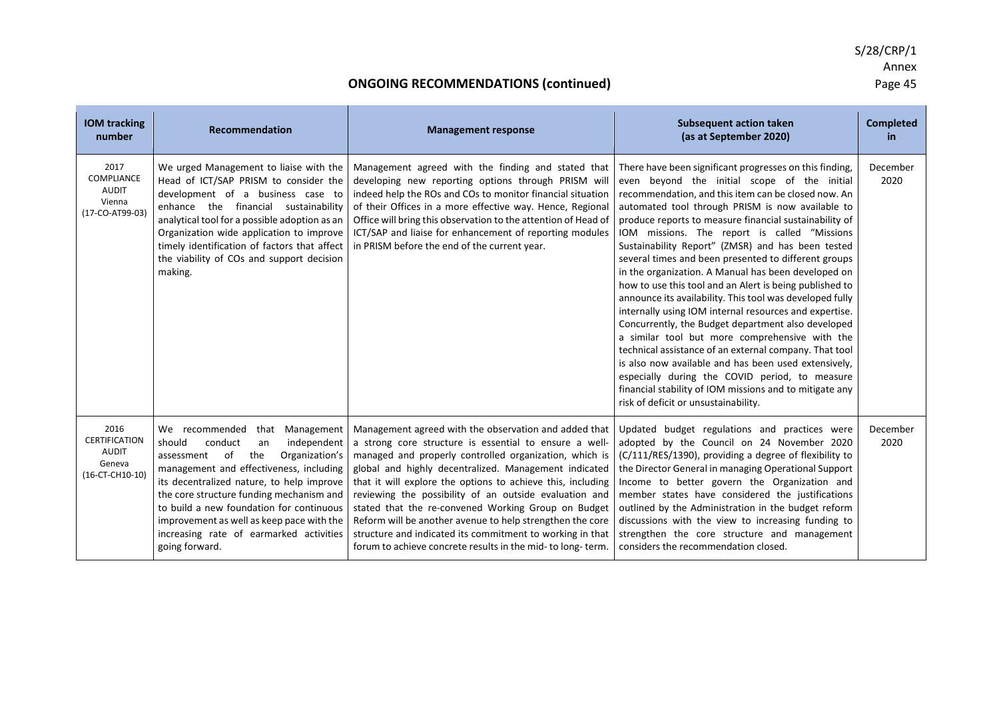# S/28/CRP/1 Annex<br>Page 45

### **ONGOING RECOMMENDATIONS (continued)**

| <b>IOM tracking</b><br>number                                             | <b>Recommendation</b>                                                                                                                                                                                                                                                                                                                                                                                              | <b>Management response</b>                                                                                                                                                                                                                                                                                                                                                                                                                                                                                                                                                                                  | <b>Subsequent action taken</b><br>(as at September 2020)                                                                                                                                                                                                                                                                                                                                                                                                                                                                                                                                                                                                                                                                                                                                                                                                                                                                                                                                                                                                         | <b>Completed</b><br>in |
|---------------------------------------------------------------------------|--------------------------------------------------------------------------------------------------------------------------------------------------------------------------------------------------------------------------------------------------------------------------------------------------------------------------------------------------------------------------------------------------------------------|-------------------------------------------------------------------------------------------------------------------------------------------------------------------------------------------------------------------------------------------------------------------------------------------------------------------------------------------------------------------------------------------------------------------------------------------------------------------------------------------------------------------------------------------------------------------------------------------------------------|------------------------------------------------------------------------------------------------------------------------------------------------------------------------------------------------------------------------------------------------------------------------------------------------------------------------------------------------------------------------------------------------------------------------------------------------------------------------------------------------------------------------------------------------------------------------------------------------------------------------------------------------------------------------------------------------------------------------------------------------------------------------------------------------------------------------------------------------------------------------------------------------------------------------------------------------------------------------------------------------------------------------------------------------------------------|------------------------|
| 2017<br>COMPLIANCE<br><b>AUDIT</b><br>Vienna<br>(17-CO-AT99-03)           | We urged Management to liaise with the<br>Head of ICT/SAP PRISM to consider the<br>development of a business case to<br>enhance the financial sustainability<br>analytical tool for a possible adoption as an<br>Organization wide application to improve<br>timely identification of factors that affect<br>the viability of COs and support decision<br>making.                                                  | Management agreed with the finding and stated that<br>developing new reporting options through PRISM will<br>indeed help the ROs and COs to monitor financial situation<br>of their Offices in a more effective way. Hence, Regional<br>Office will bring this observation to the attention of Head of<br>ICT/SAP and liaise for enhancement of reporting modules<br>in PRISM before the end of the current year.                                                                                                                                                                                           | There have been significant progresses on this finding,<br>even beyond the initial scope of the initial<br>recommendation, and this item can be closed now. An<br>automated tool through PRISM is now available to<br>produce reports to measure financial sustainability of<br>IOM missions. The report is called "Missions<br>Sustainability Report" (ZMSR) and has been tested<br>several times and been presented to different groups<br>in the organization. A Manual has been developed on<br>how to use this tool and an Alert is being published to<br>announce its availability. This tool was developed fully<br>internally using IOM internal resources and expertise.<br>Concurrently, the Budget department also developed<br>a similar tool but more comprehensive with the<br>technical assistance of an external company. That tool<br>is also now available and has been used extensively,<br>especially during the COVID period, to measure<br>financial stability of IOM missions and to mitigate any<br>risk of deficit or unsustainability. | December<br>2020       |
| 2016<br><b>CERTIFICATION</b><br><b>AUDIT</b><br>Geneva<br>(16-CT-CH10-10) | that Management<br>We recommended<br>should<br>conduct<br>independent<br>an<br>of<br>the<br>assessment<br>Organization's<br>management and effectiveness, including<br>its decentralized nature, to help improve<br>the core structure funding mechanism and<br>to build a new foundation for continuous<br>improvement as well as keep pace with the<br>increasing rate of earmarked activities<br>going forward. | Management agreed with the observation and added that<br>a strong core structure is essential to ensure a well-<br>managed and properly controlled organization, which is<br>global and highly decentralized. Management indicated<br>that it will explore the options to achieve this, including<br>reviewing the possibility of an outside evaluation and<br>stated that the re-convened Working Group on Budget<br>Reform will be another avenue to help strengthen the core<br>structure and indicated its commitment to working in that<br>forum to achieve concrete results in the mid- to long-term. | Updated budget regulations and practices were<br>adopted by the Council on 24 November 2020<br>(C/111/RES/1390), providing a degree of flexibility to<br>the Director General in managing Operational Support<br>Income to better govern the Organization and<br>member states have considered the justifications<br>outlined by the Administration in the budget reform<br>discussions with the view to increasing funding to<br>strengthen the core structure and management<br>considers the recommendation closed.                                                                                                                                                                                                                                                                                                                                                                                                                                                                                                                                           | December<br>2020       |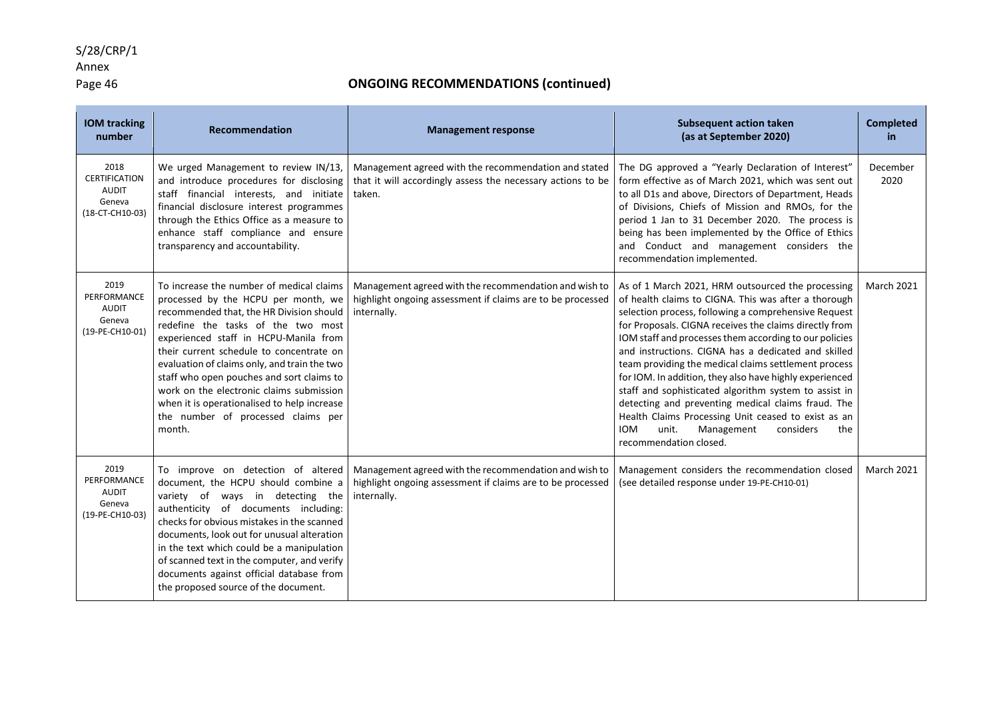#### S/28/CRP/1

## Page 46 **ONGOING RECOMMENDATIONS (continued)**

| <b>IOM tracking</b><br>number                                             | <b>Recommendation</b>                                                                                                                                                                                                                                                                                                                                                                                                                                                                          | <b>Management response</b>                                                                                                         | <b>Subsequent action taken</b><br>(as at September 2020)                                                                                                                                                                                                                                                                                                                                                                                                                                                                                                                                                                                                                                                                 | <b>Completed</b><br>in |
|---------------------------------------------------------------------------|------------------------------------------------------------------------------------------------------------------------------------------------------------------------------------------------------------------------------------------------------------------------------------------------------------------------------------------------------------------------------------------------------------------------------------------------------------------------------------------------|------------------------------------------------------------------------------------------------------------------------------------|--------------------------------------------------------------------------------------------------------------------------------------------------------------------------------------------------------------------------------------------------------------------------------------------------------------------------------------------------------------------------------------------------------------------------------------------------------------------------------------------------------------------------------------------------------------------------------------------------------------------------------------------------------------------------------------------------------------------------|------------------------|
| 2018<br><b>CERTIFICATION</b><br><b>AUDIT</b><br>Geneva<br>(18-CT-CH10-03) | We urged Management to review IN/13,<br>and introduce procedures for disclosing<br>staff financial interests, and initiate<br>financial disclosure interest programmes<br>through the Ethics Office as a measure to<br>enhance staff compliance and ensure<br>transparency and accountability.                                                                                                                                                                                                 | Management agreed with the recommendation and stated<br>that it will accordingly assess the necessary actions to be<br>taken.      | The DG approved a "Yearly Declaration of Interest"<br>form effective as of March 2021, which was sent out<br>to all D1s and above, Directors of Department, Heads<br>of Divisions, Chiefs of Mission and RMOs, for the<br>period 1 Jan to 31 December 2020. The process is<br>being has been implemented by the Office of Ethics<br>and Conduct and management considers the<br>recommendation implemented.                                                                                                                                                                                                                                                                                                              | December<br>2020       |
| 2019<br>PERFORMANCE<br><b>AUDIT</b><br>Geneva<br>(19-PE-CH10-01)          | To increase the number of medical claims<br>processed by the HCPU per month, we<br>recommended that, the HR Division should<br>redefine the tasks of the two most<br>experienced staff in HCPU-Manila from<br>their current schedule to concentrate on<br>evaluation of claims only, and train the two<br>staff who open pouches and sort claims to<br>work on the electronic claims submission<br>when it is operationalised to help increase<br>the number of processed claims per<br>month. | Management agreed with the recommendation and wish to<br>highlight ongoing assessment if claims are to be processed<br>internally. | As of 1 March 2021, HRM outsourced the processing<br>of health claims to CIGNA. This was after a thorough<br>selection process, following a comprehensive Request<br>for Proposals. CIGNA receives the claims directly from<br>IOM staff and processes them according to our policies<br>and instructions. CIGNA has a dedicated and skilled<br>team providing the medical claims settlement process<br>for IOM. In addition, they also have highly experienced<br>staff and sophisticated algorithm system to assist in<br>detecting and preventing medical claims fraud. The<br>Health Claims Processing Unit ceased to exist as an<br><b>IOM</b><br>unit.<br>considers<br>Management<br>the<br>recommendation closed. | <b>March 2021</b>      |
| 2019<br>PERFORMANCE<br><b>AUDIT</b><br>Geneva<br>(19-PE-CH10-03)          | To improve on detection of altered<br>document, the HCPU should combine a<br>variety of ways in detecting the<br>authenticity of documents including:<br>checks for obvious mistakes in the scanned<br>documents, look out for unusual alteration<br>in the text which could be a manipulation<br>of scanned text in the computer, and verify<br>documents against official database from<br>the proposed source of the document.                                                              | Management agreed with the recommendation and wish to<br>highlight ongoing assessment if claims are to be processed<br>internally. | Management considers the recommendation closed<br>(see detailed response under 19-PE-CH10-01)                                                                                                                                                                                                                                                                                                                                                                                                                                                                                                                                                                                                                            | <b>March 2021</b>      |

Annex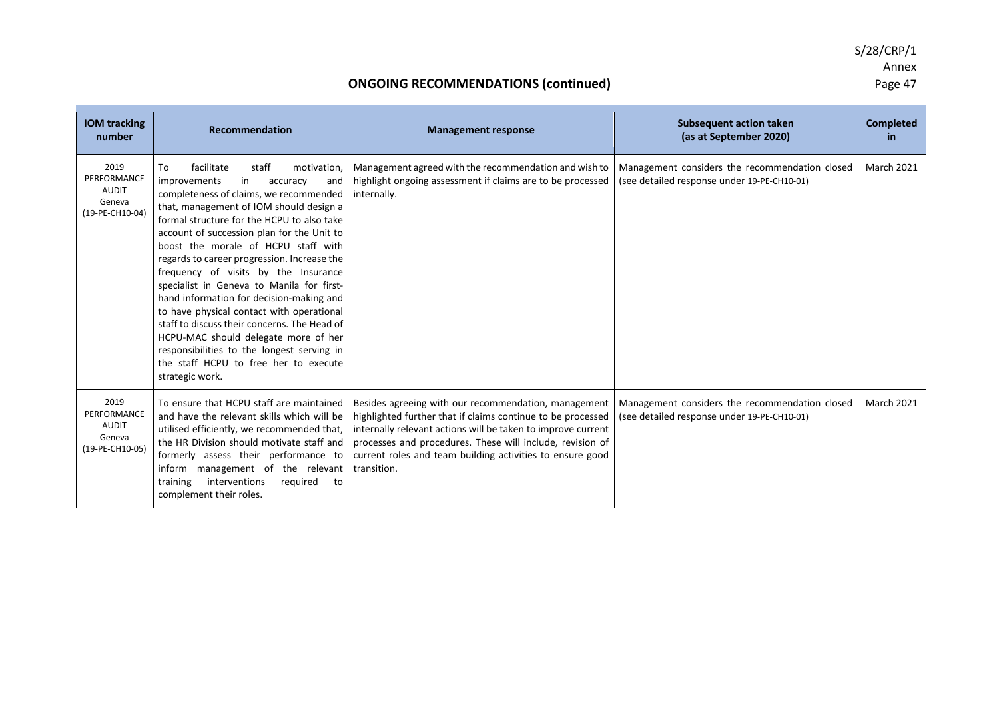### **ONGOING RECOMMENDATIONS (continued)**

| <b>IOM tracking</b><br>number                                    | Recommendation                                                                                                                                                                                                                                                                                                                                                                                                                                                                                                                                                                                                                                                                                                                           | <b>Management response</b>                                                                                                                                                                                                                                                                                                   | <b>Subsequent action taken</b><br>(as at September 2020)                                      | <b>Completed</b><br>in. |
|------------------------------------------------------------------|------------------------------------------------------------------------------------------------------------------------------------------------------------------------------------------------------------------------------------------------------------------------------------------------------------------------------------------------------------------------------------------------------------------------------------------------------------------------------------------------------------------------------------------------------------------------------------------------------------------------------------------------------------------------------------------------------------------------------------------|------------------------------------------------------------------------------------------------------------------------------------------------------------------------------------------------------------------------------------------------------------------------------------------------------------------------------|-----------------------------------------------------------------------------------------------|-------------------------|
| 2019<br>PERFORMANCE<br><b>AUDIT</b><br>Geneva<br>(19-PE-CH10-04) | To<br>facilitate<br>staff<br>motivation.<br>improvements<br>in<br>and<br>accuracy<br>completeness of claims, we recommended<br>that, management of IOM should design a<br>formal structure for the HCPU to also take<br>account of succession plan for the Unit to<br>boost the morale of HCPU staff with<br>regards to career progression. Increase the<br>frequency of visits by the Insurance<br>specialist in Geneva to Manila for first-<br>hand information for decision-making and<br>to have physical contact with operational<br>staff to discuss their concerns. The Head of<br>HCPU-MAC should delegate more of her<br>responsibilities to the longest serving in<br>the staff HCPU to free her to execute<br>strategic work. | Management agreed with the recommendation and wish to<br>highlight ongoing assessment if claims are to be processed<br>internally.                                                                                                                                                                                           | Management considers the recommendation closed<br>(see detailed response under 19-PE-CH10-01) | <b>March 2021</b>       |
| 2019<br>PERFORMANCE<br><b>AUDIT</b><br>Geneva<br>(19-PE-CH10-05) | To ensure that HCPU staff are maintained<br>and have the relevant skills which will be<br>utilised efficiently, we recommended that,<br>the HR Division should motivate staff and<br>formerly assess their performance to<br>inform management of the relevant<br>interventions<br>training<br>required<br>to<br>complement their roles.                                                                                                                                                                                                                                                                                                                                                                                                 | Besides agreeing with our recommendation, management<br>highlighted further that if claims continue to be processed<br>internally relevant actions will be taken to improve current<br>processes and procedures. These will include, revision of<br>current roles and team building activities to ensure good<br>transition. | Management considers the recommendation closed<br>(see detailed response under 19-PE-CH10-01) | <b>March 2021</b>       |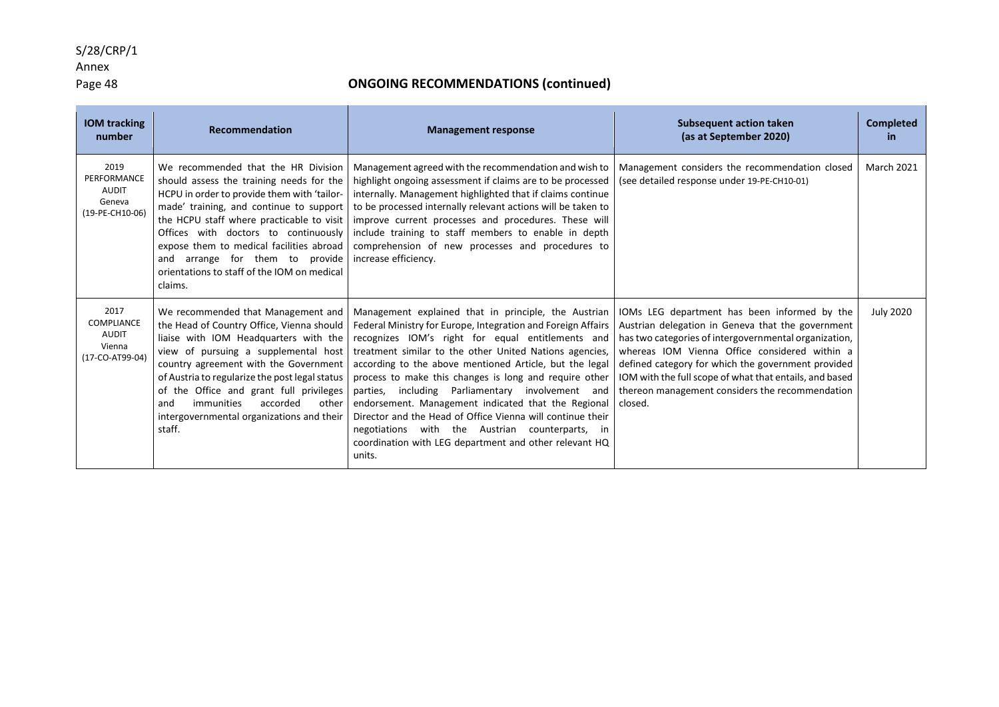#### S/28/CRP/1

## Annex

### Page 48 **ONGOING RECOMMENDATIONS (continued)**

| <b>IOM</b> tracking<br>number                                    | <b>Recommendation</b>                                                                                                                                                                                                                                                                                                                                                                                   | <b>Management response</b>                                                                                                                                                                                                                                                                                                                                                                                                                                                                                                                                                                                                                                | <b>Subsequent action taken</b><br>(as at September 2020)                                                                                                                                                                                                                                                                                                                                   | <b>Completed</b><br>-in |
|------------------------------------------------------------------|---------------------------------------------------------------------------------------------------------------------------------------------------------------------------------------------------------------------------------------------------------------------------------------------------------------------------------------------------------------------------------------------------------|-----------------------------------------------------------------------------------------------------------------------------------------------------------------------------------------------------------------------------------------------------------------------------------------------------------------------------------------------------------------------------------------------------------------------------------------------------------------------------------------------------------------------------------------------------------------------------------------------------------------------------------------------------------|--------------------------------------------------------------------------------------------------------------------------------------------------------------------------------------------------------------------------------------------------------------------------------------------------------------------------------------------------------------------------------------------|-------------------------|
| 2019<br>PERFORMANCE<br><b>AUDIT</b><br>Geneva<br>(19-PE-CH10-06) | We recommended that the HR Division<br>should assess the training needs for the<br>HCPU in order to provide them with 'tailor-<br>made' training, and continue to support<br>the HCPU staff where practicable to visit<br>Offices with doctors to continuously<br>expose them to medical facilities abroad<br>and arrange for them to provide<br>orientations to staff of the IOM on medical<br>claims. | Management agreed with the recommendation and wish to<br>highlight ongoing assessment if claims are to be processed<br>internally. Management highlighted that if claims continue<br>to be processed internally relevant actions will be taken to<br>improve current processes and procedures. These will<br>include training to staff members to enable in depth<br>comprehension of new processes and procedures to<br>increase efficiency.                                                                                                                                                                                                             | Management considers the recommendation closed<br>(see detailed response under 19-PE-CH10-01)                                                                                                                                                                                                                                                                                              | <b>March 2021</b>       |
| 2017<br>COMPLIANCE<br><b>AUDIT</b><br>Vienna<br>(17-CO-AT99-04)  | We recommended that Management and<br>the Head of Country Office, Vienna should<br>liaise with IOM Headquarters with the<br>view of pursuing a supplemental host<br>country agreement with the Government<br>of Austria to regularize the post legal status<br>of the Office and grant full privileges<br>immunities<br>accorded<br>other<br>and<br>intergovernmental organizations and their<br>staff. | Management explained that in principle, the Austrian<br>Federal Ministry for Europe, Integration and Foreign Affairs<br>recognizes IOM's right for equal entitlements and<br>treatment similar to the other United Nations agencies,<br>according to the above mentioned Article, but the legal<br>process to make this changes is long and require other<br>parties, including Parliamentary involvement and<br>endorsement. Management indicated that the Regional<br>Director and the Head of Office Vienna will continue their<br>negotiations with the Austrian counterparts, in<br>coordination with LEG department and other relevant HQ<br>units. | IOMs LEG department has been informed by the<br>Austrian delegation in Geneva that the government<br>has two categories of intergovernmental organization,<br>whereas IOM Vienna Office considered within a<br>defined category for which the government provided<br>IOM with the full scope of what that entails, and based<br>thereon management considers the recommendation<br>closed. | <b>July 2020</b>        |